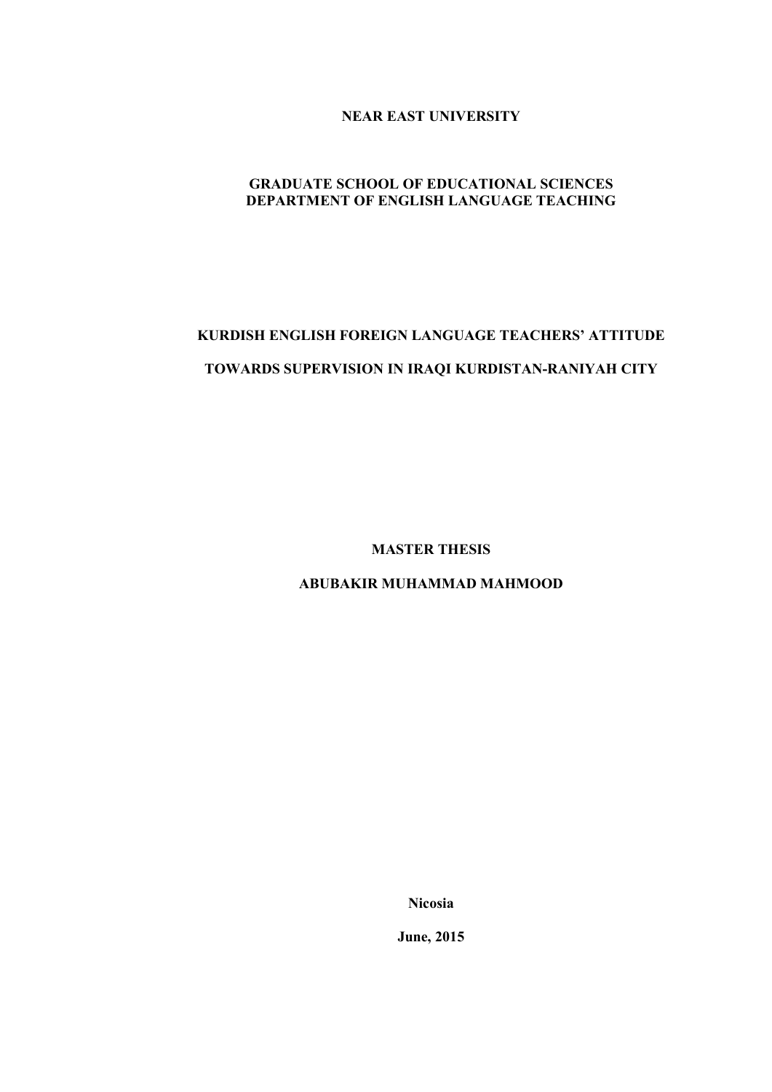**NEAR EAST UNIVERSITY**

# **GRADUATE SCHOOL OF EDUCATIONAL SCIENCES DEPARTMENT OF ENGLISH LANGUAGE TEACHING**

# **KURDISH ENGLISH FOREIGN LANGUAGE TEACHERS' ATTITUDE TOWARDS SUPERVISION IN IRAQI KURDISTAN-RANIYAH CITY**

**MASTER THESIS**

**ABUBAKIR MUHAMMAD MAHMOOD**

**Nicosia**

**June, 2015**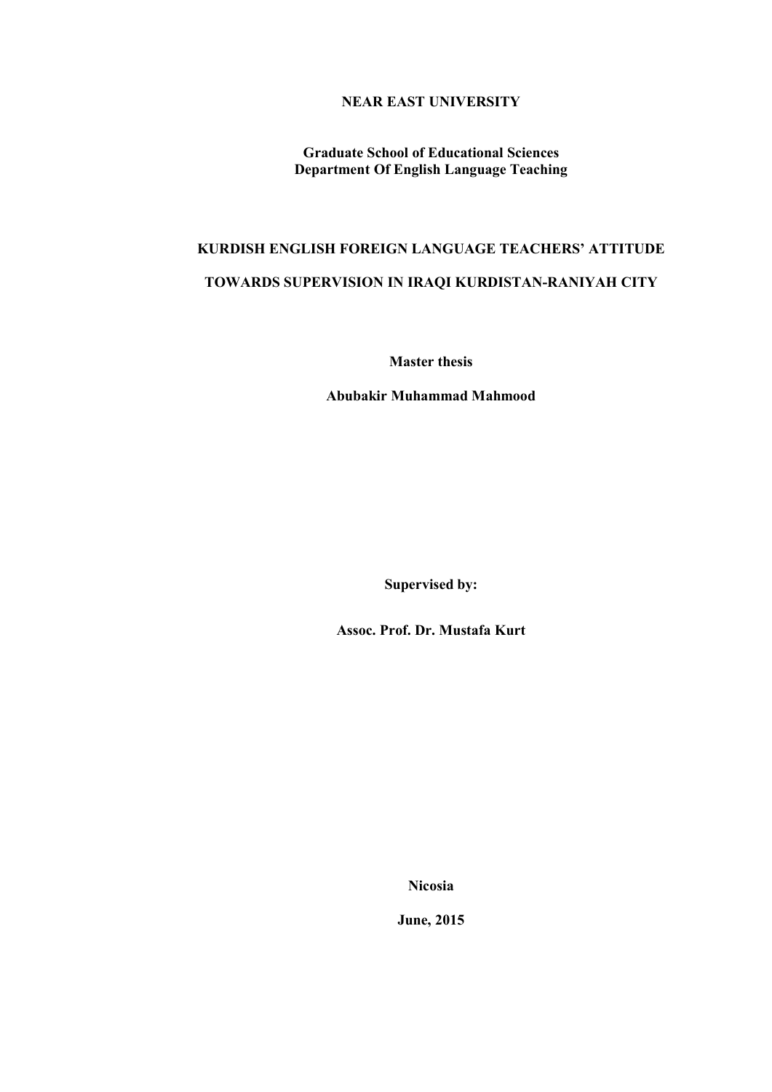# **NEAR EAST UNIVERSITY**

**Graduate School of Educational Sciences Department Of English Language Teaching**

# **KURDISH ENGLISH FOREIGN LANGUAGE TEACHERS' ATTITUDE TOWARDS SUPERVISION IN IRAQI KURDISTAN-RANIYAH CITY**

**Master thesis**

**Abubakir Muhammad Mahmood**

**Supervised by:**

**Assoc. Prof. Dr. Mustafa Kurt**

**Nicosia**

**June, 2015**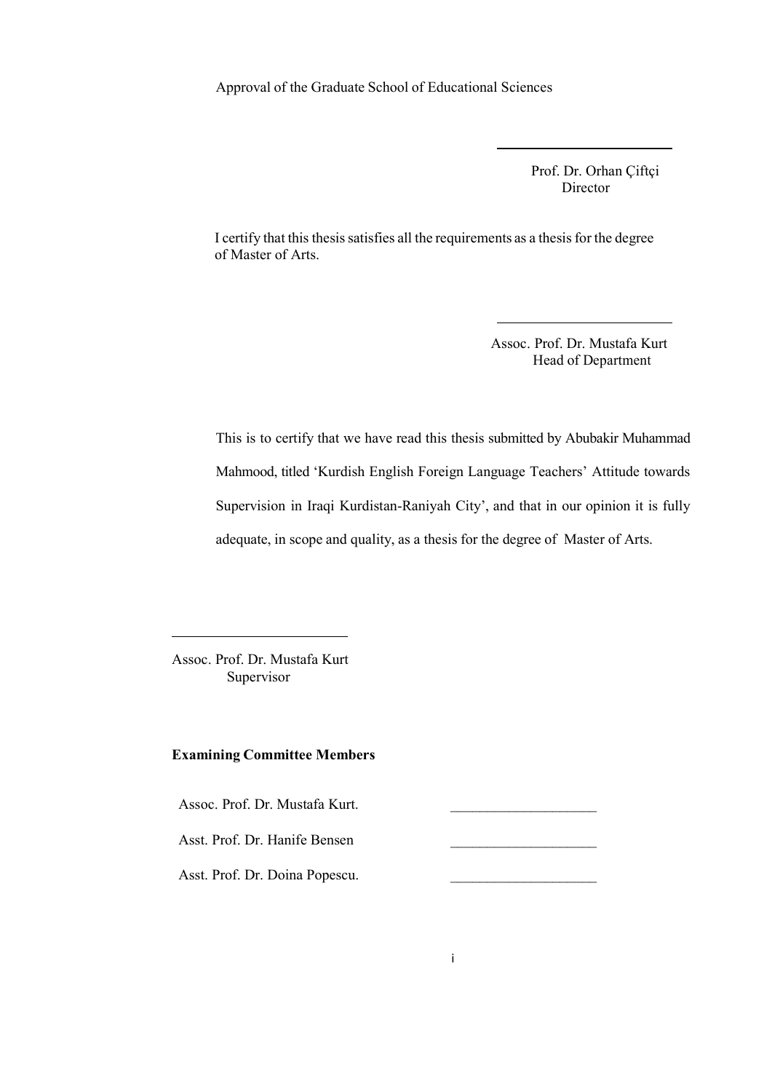Approval of the Graduate School of Educational Sciences

 Prof. Dr. Orhan Çiftçi Director

I certify that this thesis satisfies all the requirements as a thesis for the degree of Master of Arts.

> Assoc. Prof. Dr. Mustafa Kurt Head of Department

This is to certify that we have read this thesis submitted by Abubakir Muhammad Mahmood, titled 'Kurdish English Foreign Language Teachers' Attitude towards Supervision in Iraqi Kurdistan-Raniyah City', and that in our opinion it is fully adequate, in scope and quality, as a thesis for the degree of Master of Arts.

Assoc. Prof. Dr. Mustafa Kurt Supervisor

# **Examining Committee Members**

Assoc. Prof. Dr. Mustafa Kurt.

Asst. Prof. Dr. Hanife Bensen \_\_\_\_\_\_\_\_\_\_\_\_\_\_\_\_\_\_\_\_

Asst. Prof. Dr. Doina Popescu.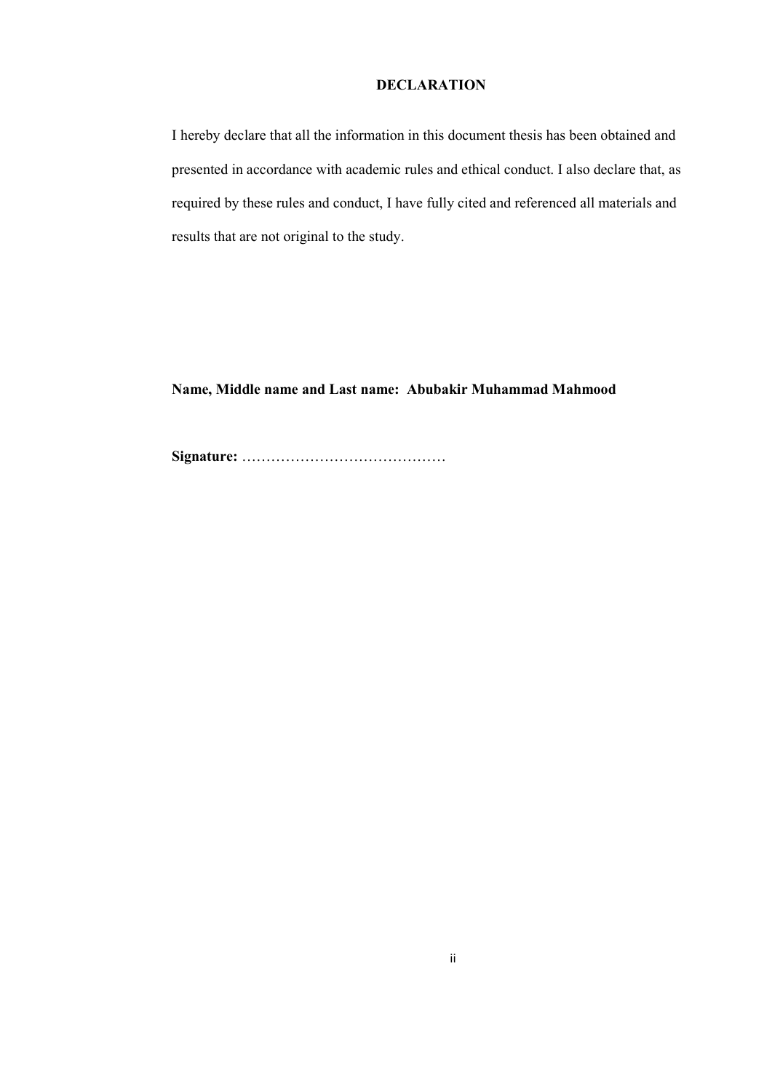# **DECLARATION**

I hereby declare that all the information in this document thesis has been obtained and presented in accordance with academic rules and ethical conduct. I also declare that, as required by these rules and conduct, I have fully cited and referenced all materials and results that are not original to the study.

**Name, Middle name and Last name: Abubakir Muhammad Mahmood**

**Signature:** ……………………………………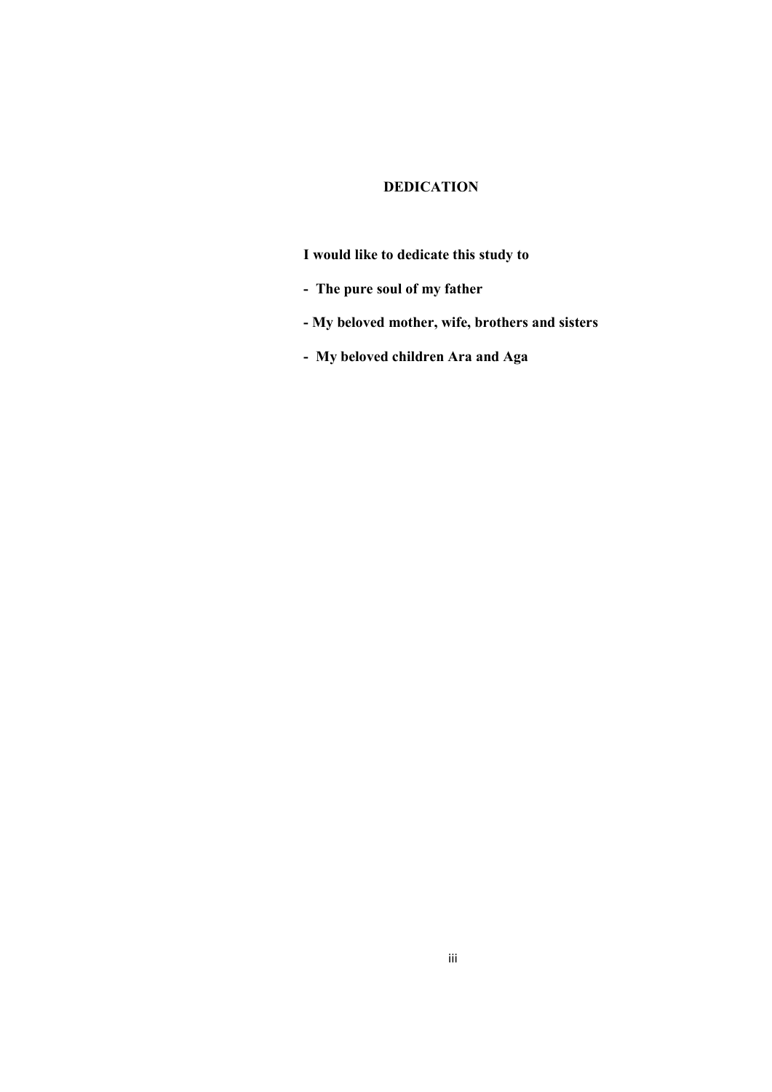# **DEDICATION**

**I would like to dedicate this study to**

- **The pure soul of my father**
- **- My beloved mother, wife, brothers and sisters**
- **My beloved children Ara and Aga**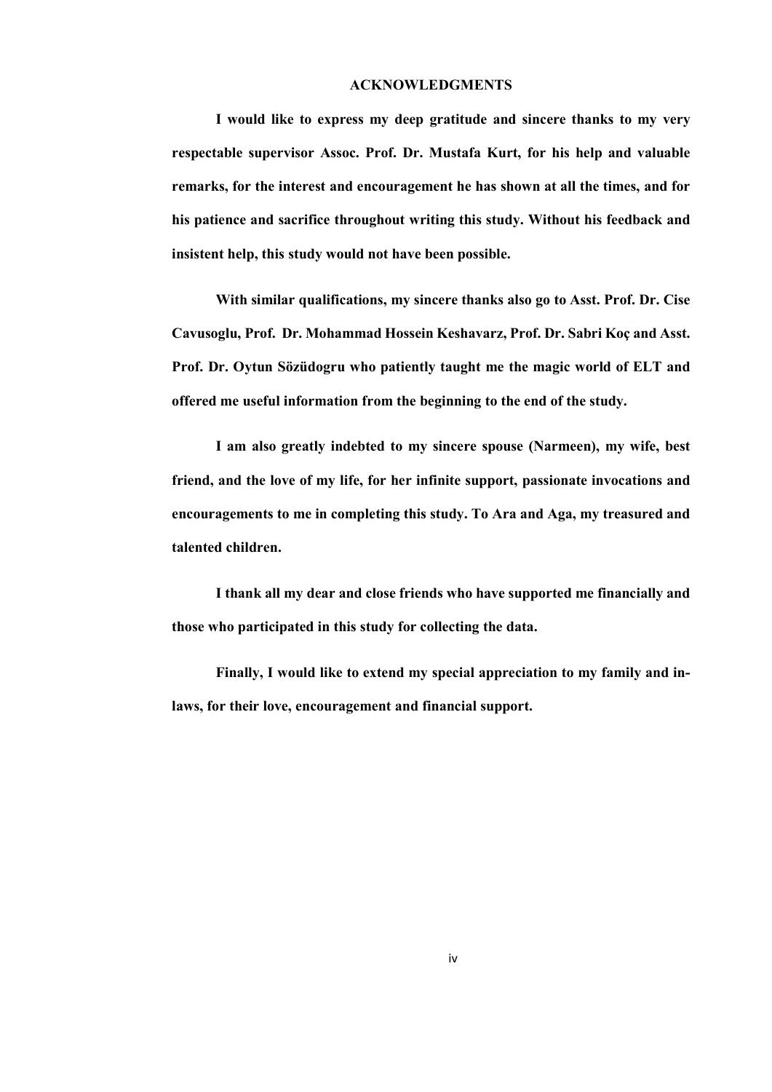## **ACKNOWLEDGMENTS**

**I would like to express my deep gratitude and sincere thanks to my very respectable supervisor Assoc. Prof. Dr. Mustafa Kurt, for his help and valuable remarks, for the interest and encouragement he has shown at all the times, and for his patience and sacrifice throughout writing this study. Without his feedback and insistent help, this study would not have been possible.** 

**With similar qualifications, my sincere thanks also go to Asst. Prof. Dr. Cise Cavusoglu, Prof. Dr. Mohammad Hossein Keshavarz, Prof. Dr. Sabri Koç and Asst. Prof. Dr. Oytun Sӧzüdogru who patiently taught me the magic world of ELT and offered me useful information from the beginning to the end of the study.** 

**I am also greatly indebted to my sincere spouse (Narmeen), my wife, best friend, and the love of my life, for her infinite support, passionate invocations and encouragements to me in completing this study. To Ara and Aga, my treasured and talented children.**

**I thank all my dear and close friends who have supported me financially and those who participated in this study for collecting the data.**

**Finally, I would like to extend my special appreciation to my family and inlaws, for their love, encouragement and financial support.**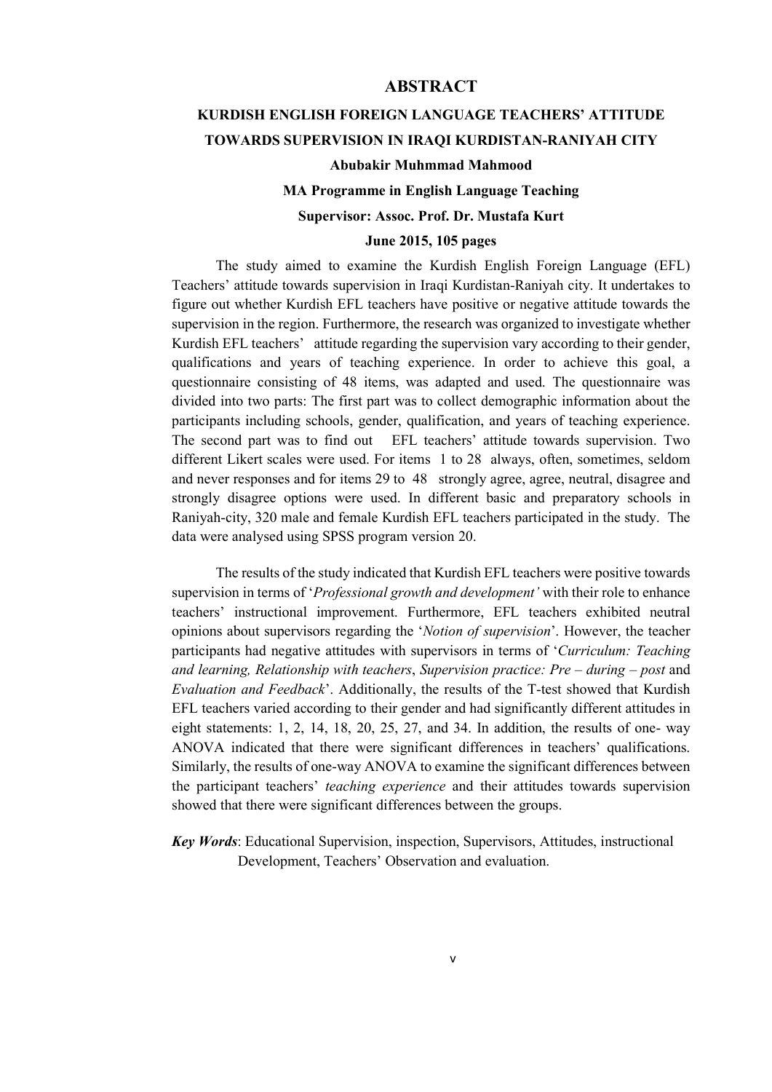# **ABSTRACT**

# **KURDISH ENGLISH FOREIGN LANGUAGE TEACHERS' ATTITUDE TOWARDS SUPERVISION IN IRAQI KURDISTAN-RANIYAH CITY**

# **Abubakir Muhmmad Mahmood**

# **MA Programme in English Language Teaching**

# **Supervisor: Assoc. Prof. Dr. Mustafa Kurt**

# **June 2015, 105 pages**

The study aimed to examine the Kurdish English Foreign Language (EFL) Teachers' attitude towards supervision in Iraqi Kurdistan-Raniyah city. It undertakes to figure out whether Kurdish EFL teachers have positive or negative attitude towards the supervision in the region. Furthermore, the research was organized to investigate whether Kurdish EFL teachers' attitude regarding the supervision vary according to their gender, qualifications and years of teaching experience. In order to achieve this goal, a questionnaire consisting of 48 items, was adapted and used. The questionnaire was divided into two parts: The first part was to collect demographic information about the participants including schools, gender, qualification, and years of teaching experience. The second part was to find out EFL teachers' attitude towards supervision. Two different Likert scales were used. For items 1 to 28 always, often, sometimes, seldom and never responses and for items 29 to 48 strongly agree, agree, neutral, disagree and strongly disagree options were used. In different basic and preparatory schools in Raniyah-city, 320 male and female Kurdish EFL teachers participated in the study. The data were analysed using SPSS program version 20.

The results of the study indicated that Kurdish EFL teachers were positive towards supervision in terms of '*Professional growth and development'* with their role to enhance teachers' instructional improvement. Furthermore, EFL teachers exhibited neutral opinions about supervisors regarding the '*Notion of supervision*'. However, the teacher participants had negative attitudes with supervisors in terms of '*Curriculum: Teaching and learning, Relationship with teachers*, *Supervision practice: Pre – during – post* and *Evaluation and Feedback*'. Additionally, the results of the T-test showed that Kurdish EFL teachers varied according to their gender and had significantly different attitudes in eight statements: 1, 2, 14, 18, 20, 25, 27, and 34. In addition, the results of one- way ANOVA indicated that there were significant differences in teachers' qualifications. Similarly, the results of one-way ANOVA to examine the significant differences between the participant teachers' *teaching experience* and their attitudes towards supervision showed that there were significant differences between the groups.

*Key Words*: Educational Supervision, inspection, Supervisors, Attitudes, instructional Development, Teachers' Observation and evaluation.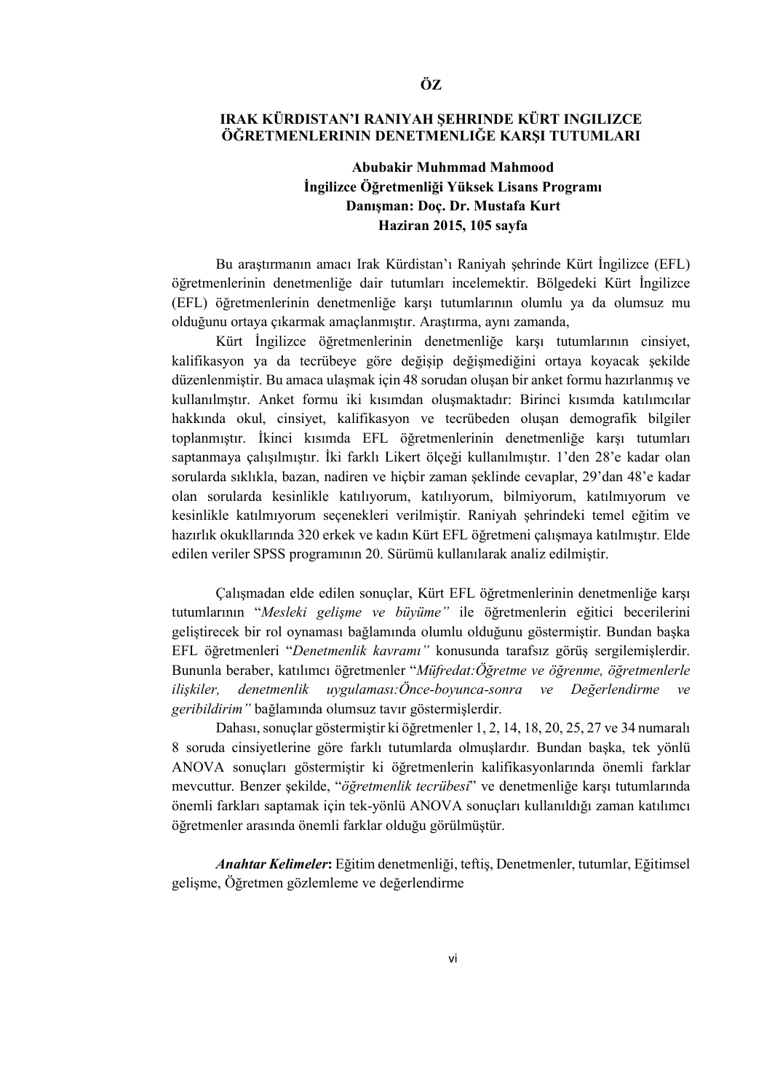# **IRAK KÜRDISTAN'I RANIYAH ŞEHRINDE KÜRT INGILIZCE ÖĞRETMENLERININ DENETMENLIĞE KARŞI TUTUMLARI**

# **Abubakir Muhmmad Mahmood İngilizce Öğretmenliği Yüksek Lisans Programı Danışman: Doç. Dr. Mustafa Kurt Haziran 2015, 105 sayfa**

Bu araştırmanın amacı Irak Kürdistan'ı Raniyah şehrinde Kürt İngilizce (EFL) öğretmenlerinin denetmenliğe dair tutumları incelemektir. Bölgedeki Kürt İngilizce (EFL) öğretmenlerinin denetmenliğe karşı tutumlarının olumlu ya da olumsuz mu olduğunu ortaya çıkarmak amaçlanmıştır. Araştırma, aynı zamanda,

Kürt İngilizce öğretmenlerinin denetmenliğe karşı tutumlarının cinsiyet, kalifikasyon ya da tecrübeye göre değişip değişmediğini ortaya koyacak şekilde düzenlenmiştir. Bu amaca ulaşmak için 48 sorudan oluşan bir anket formu hazırlanmış ve kullanılmştır. Anket formu iki kısımdan oluşmaktadır: Birinci kısımda katılımcılar hakkında okul, cinsiyet, kalifikasyon ve tecrübeden oluşan demografik bilgiler toplanmıştır. İkinci kısımda EFL öğretmenlerinin denetmenliğe karşı tutumları saptanmaya çalışılmıştır. İki farklı Likert ölçeği kullanılmıştır. 1'den 28'e kadar olan sorularda sıklıkla, bazan, nadiren ve hiçbir zaman şeklinde cevaplar, 29'dan 48'e kadar olan sorularda kesinlikle katılıyorum, katılıyorum, bilmiyorum, katılmıyorum ve kesinlikle katılmıyorum seçenekleri verilmiştir. Raniyah şehrindeki temel eğitim ve hazırlık okukllarında 320 erkek ve kadın Kürt EFL öğretmeni çalışmaya katılmıştır. Elde edilen veriler SPSS programının 20. Sürümü kullanılarak analiz edilmiştir.

Çalışmadan elde edilen sonuçlar, Kürt EFL öğretmenlerinin denetmenliğe karşı tutumlarının "*Mesleki gelişme ve büyüme"* ile öğretmenlerin eğitici becerilerini geliştirecek bir rol oynaması bağlamında olumlu olduğunu göstermiştir. Bundan başka EFL öğretmenleri "*Denetmenlik kavramı"* konusunda tarafsız görüş sergilemişlerdir. Bununla beraber, katılımcı öğretmenler "*Müfredat:Öğretme ve öğrenme, öğretmenlerle ilişkiler, denetmenlik uygulaması:Önce-boyunca-sonra ve Değerlendirme ve geribildirim"* bağlamında olumsuz tavır göstermişlerdir.

Dahası, sonuçlar göstermiştir ki öğretmenler 1, 2, 14, 18, 20, 25, 27 ve 34 numaralı 8 soruda cinsiyetlerine göre farklı tutumlarda olmuşlardır. Bundan başka, tek yönlü ANOVA sonuçları göstermiştir ki öğretmenlerin kalifikasyonlarında önemli farklar mevcuttur. Benzer şekilde, "*öğretmenlik tecrübesi*" ve denetmenliğe karşı tutumlarında önemli farkları saptamak için tek-yönlü ANOVA sonuçları kullanıldığı zaman katılımcı öğretmenler arasında önemli farklar olduğu görülmüştür.

*Anahtar Kelimeler***:** Eğitim denetmenliği, teftiş, Denetmenler, tutumlar, Eğitimsel gelişme, Öğretmen gözlemleme ve değerlendirme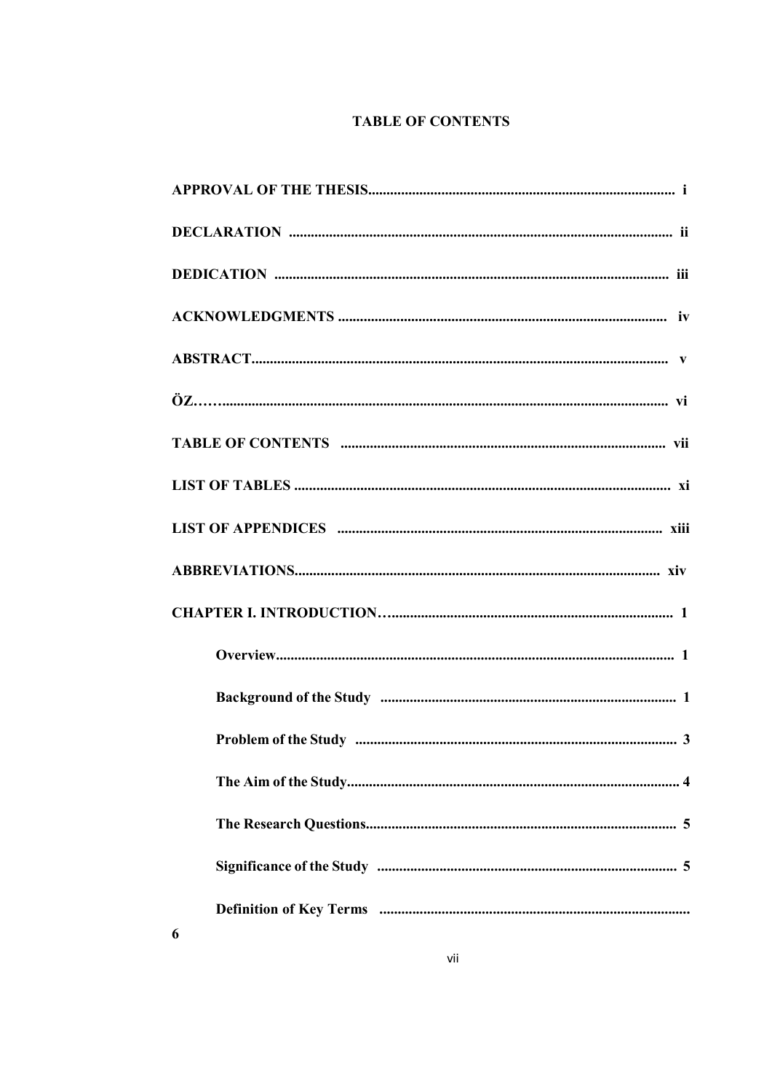# **TABLE OF CONTENTS**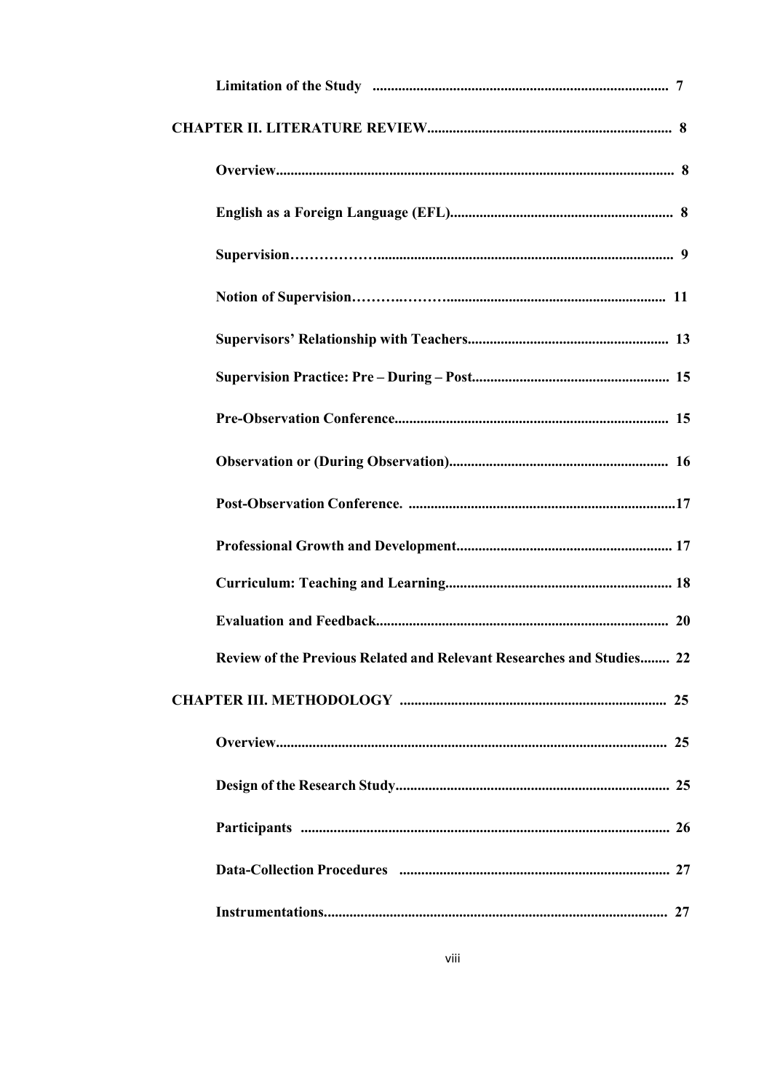| Review of the Previous Related and Relevant Researches and Studies 22 |  |
|-----------------------------------------------------------------------|--|
|                                                                       |  |
|                                                                       |  |
|                                                                       |  |
|                                                                       |  |
|                                                                       |  |
|                                                                       |  |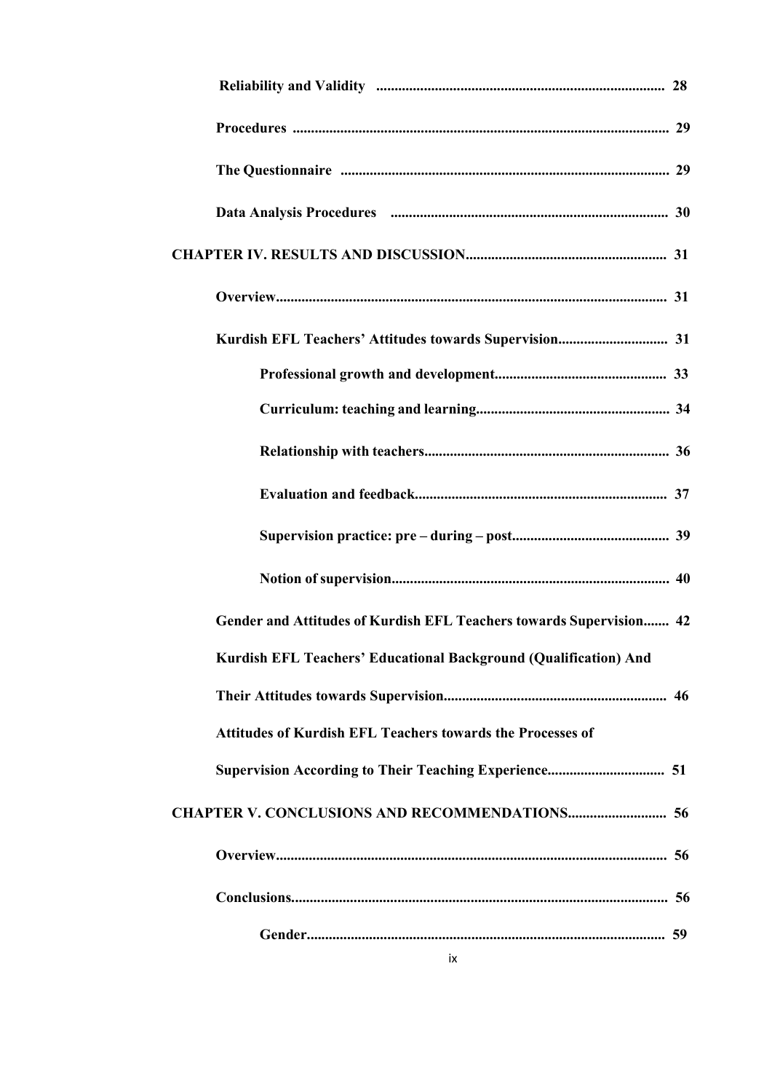| Gender and Attitudes of Kurdish EFL Teachers towards Supervision 42 |  |
|---------------------------------------------------------------------|--|
| Kurdish EFL Teachers' Educational Background (Qualification) And    |  |
|                                                                     |  |
| <b>Attitudes of Kurdish EFL Teachers towards the Processes of</b>   |  |
|                                                                     |  |
| <b>CHAPTER V. CONCLUSIONS AND RECOMMENDATIONS 56</b>                |  |
|                                                                     |  |
|                                                                     |  |
|                                                                     |  |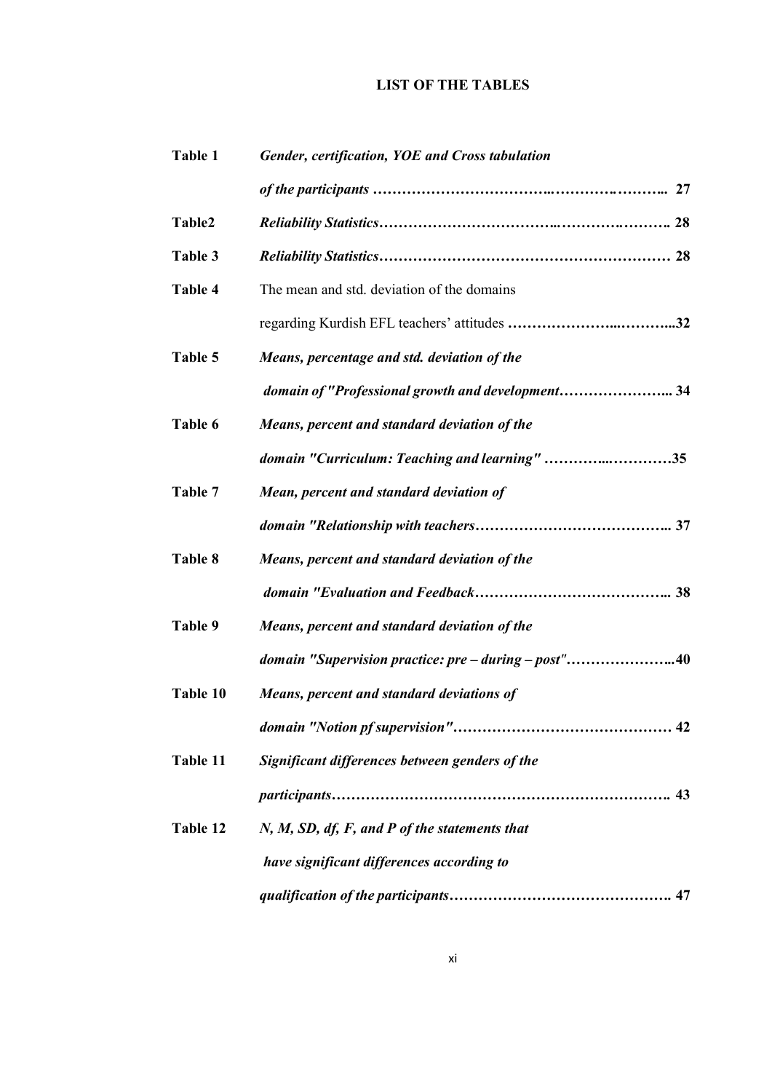# **LIST OF THE TABLES**

| Table 1  | <b>Gender, certification, YOE and Cross tabulation</b> |  |  |
|----------|--------------------------------------------------------|--|--|
|          |                                                        |  |  |
| Table2   |                                                        |  |  |
| Table 3  |                                                        |  |  |
| Table 4  | The mean and std. deviation of the domains             |  |  |
|          |                                                        |  |  |
| Table 5  | Means, percentage and std. deviation of the            |  |  |
|          | domain of "Professional growth and development 34      |  |  |
| Table 6  | Means, percent and standard deviation of the           |  |  |
|          | domain "Curriculum: Teaching and learning" 35          |  |  |
| Table 7  | Mean, percent and standard deviation of                |  |  |
|          |                                                        |  |  |
| Table 8  | Means, percent and standard deviation of the           |  |  |
|          |                                                        |  |  |
| Table 9  | Means, percent and standard deviation of the           |  |  |
|          | domain "Supervision practice: pre - during - post"40   |  |  |
| Table 10 | Means, percent and standard deviations of              |  |  |
|          |                                                        |  |  |
| Table 11 | Significant differences between genders of the         |  |  |
|          |                                                        |  |  |
| Table 12 | $N, M, SD, df, F, and P of the statements that$        |  |  |
|          | have significant differences according to              |  |  |
|          |                                                        |  |  |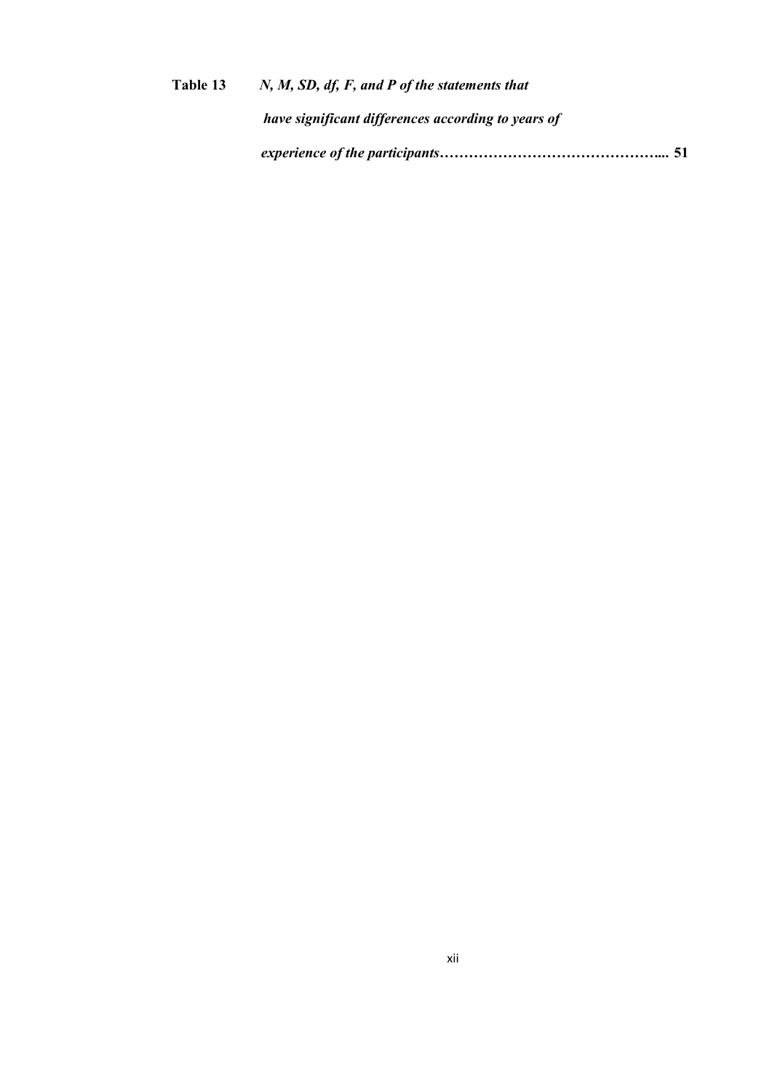| Table 13 | $N, M, SD, df, F, and P of the statements that$    |
|----------|----------------------------------------------------|
|          | have significant differences according to years of |
|          |                                                    |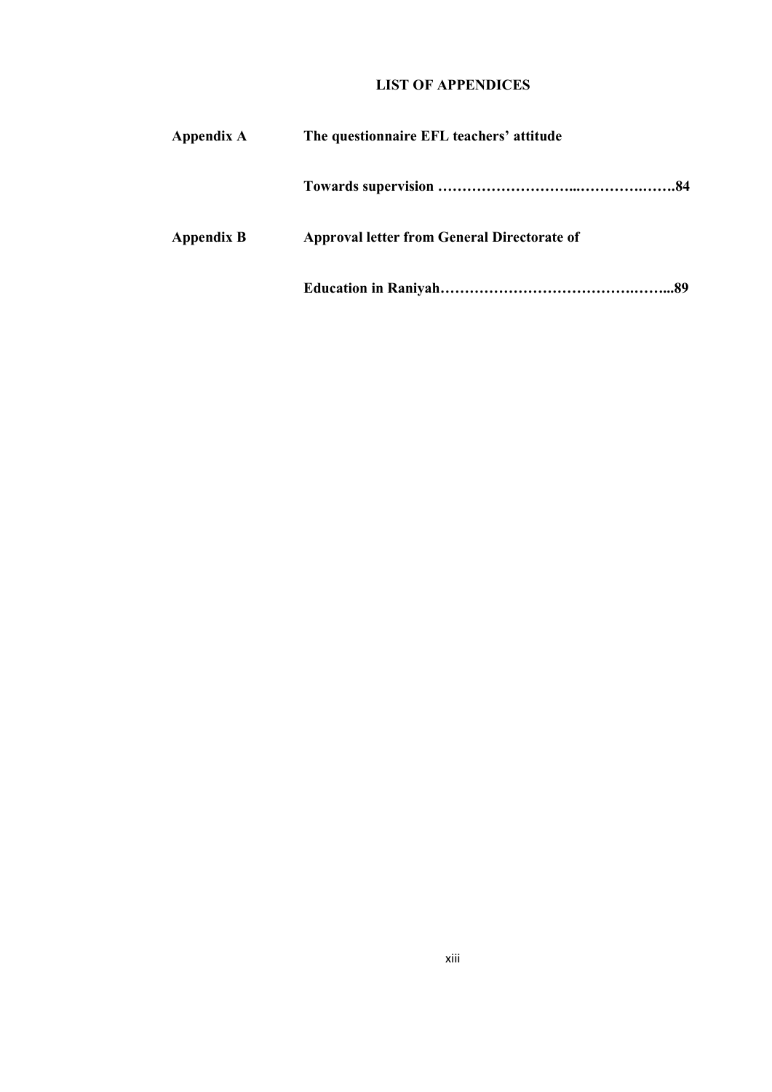# **LIST OF APPENDICES**

| Appendix A        | The questionnaire EFL teachers' attitude           |
|-------------------|----------------------------------------------------|
|                   |                                                    |
| <b>Appendix B</b> | <b>Approval letter from General Directorate of</b> |
|                   |                                                    |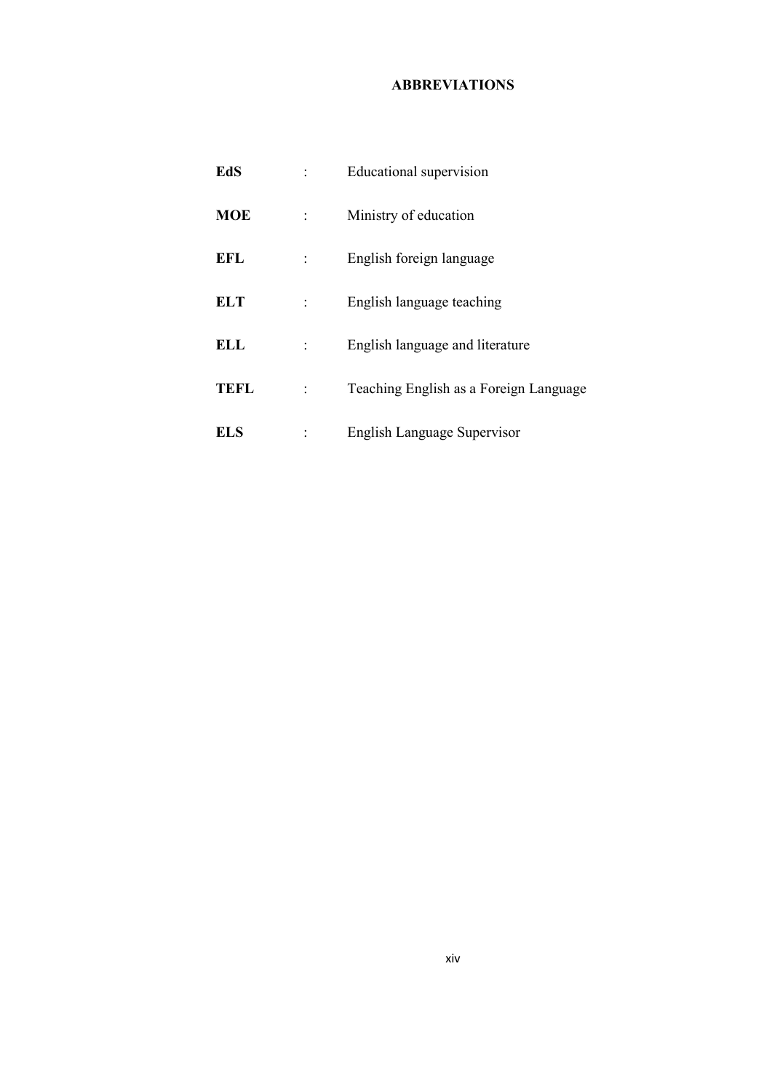# **ABBREVIATIONS**

| EdS         | Educational supervision                |
|-------------|----------------------------------------|
| <b>MOE</b>  | Ministry of education                  |
| <b>EFL</b>  | English foreign language               |
| <b>ELT</b>  | English language teaching              |
| <b>ELL</b>  | English language and literature        |
| <b>TEFL</b> | Teaching English as a Foreign Language |
| ELS         | English Language Supervisor            |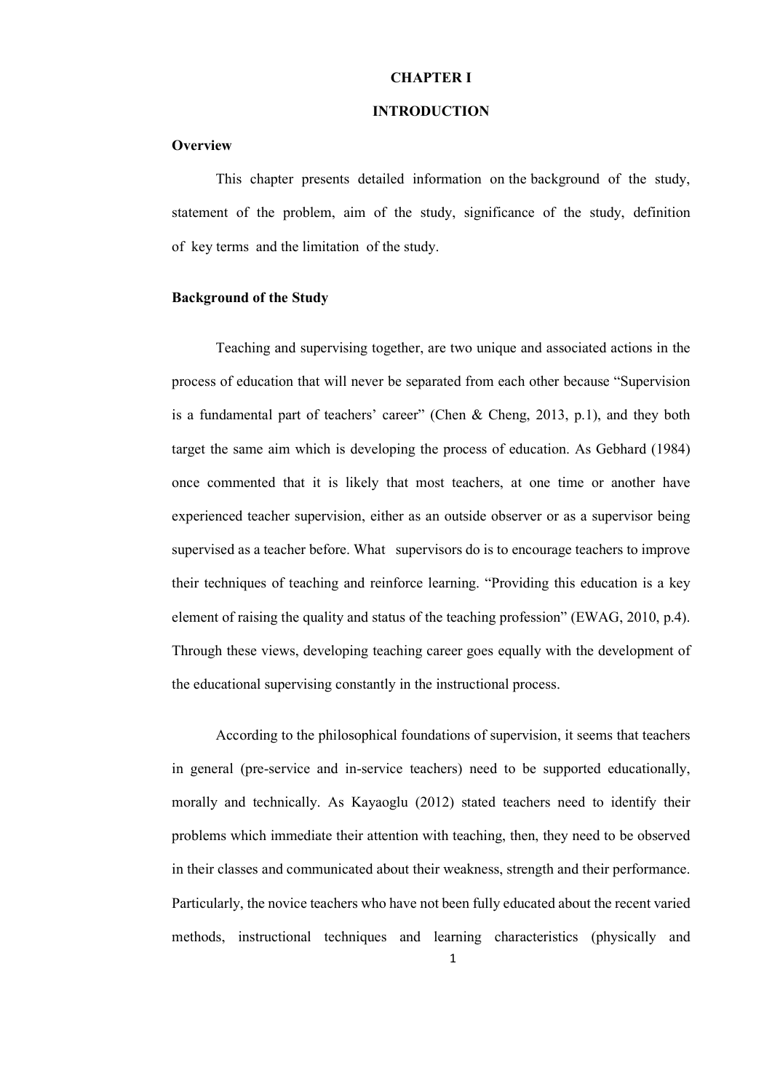## **CHAPTER I**

#### **INTRODUCTION**

#### **Overview**

This chapter presents detailed information on the background of the study, statement of the problem, aim of the study, significance of the study, definition of key terms and the limitation of the study.

## **Background of the Study**

Teaching and supervising together, are two unique and associated actions in the process of education that will never be separated from each other because "Supervision is a fundamental part of teachers' career" (Chen & Cheng, 2013, p.1), and they both target the same aim which is developing the process of education. As Gebhard (1984) once commented that it is likely that most teachers, at one time or another have experienced teacher supervision, either as an outside observer or as a supervisor being supervised as a teacher before. What supervisors do is to encourage teachers to improve their techniques of teaching and reinforce learning. "Providing this education is a key element of raising the quality and status of the teaching profession" (EWAG, 2010, p.4). Through these views, developing teaching career goes equally with the development of the educational supervising constantly in the instructional process.

According to the philosophical foundations of supervision, it seems that teachers in general (pre-service and in-service teachers) need to be supported educationally, morally and technically. As Kayaoglu (2012) stated teachers need to identify their problems which immediate their attention with teaching, then, they need to be observed in their classes and communicated about their weakness, strength and their performance. Particularly, the novice teachers who have not been fully educated about the recent varied methods, instructional techniques and learning characteristics (physically and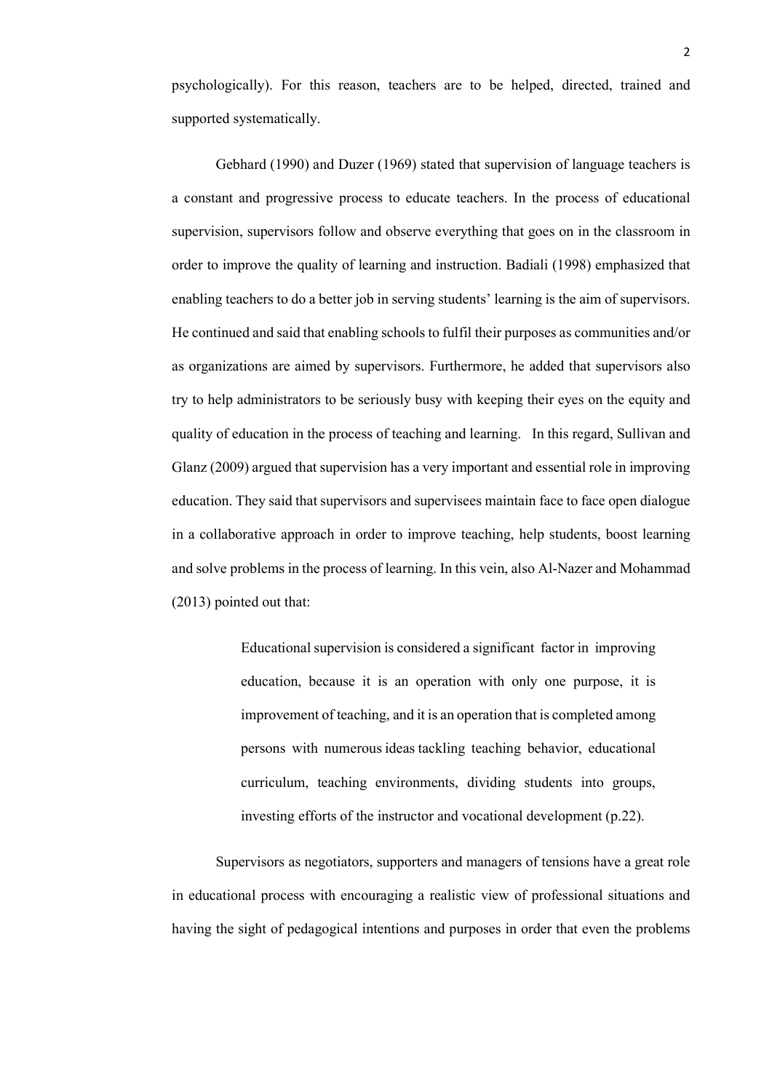psychologically). For this reason, teachers are to be helped, directed, trained and supported systematically.

Gebhard (1990) and Duzer (1969) stated that supervision of language teachers is a constant and progressive process to educate teachers. In the process of educational supervision, supervisors follow and observe everything that goes on in the classroom in order to improve the quality of learning and instruction. Badiali (1998) emphasized that enabling teachers to do a better job in serving students' learning is the aim of supervisors. He continued and said that enabling schools to fulfil their purposes as communities and/or as organizations are aimed by supervisors. Furthermore, he added that supervisors also try to help administrators to be seriously busy with keeping their eyes on the equity and quality of education in the process of teaching and learning. In this regard, Sullivan and Glanz (2009) argued that supervision has a very important and essential role in improving education. They said that supervisors and supervisees maintain face to face open dialogue in a collaborative approach in order to improve teaching, help students, boost learning and solve problems in the process of learning. In this vein, also Al-Nazer and Mohammad (2013) pointed out that:

> Educational supervision is considered a significant factor in improving education, because it is an operation with only one purpose, it is improvement of teaching, and it is an operation that is completed among persons with numerous ideas tackling teaching behavior, educational curriculum, teaching environments, dividing students into groups, investing efforts of the instructor and vocational development (p.22).

Supervisors as negotiators, supporters and managers of tensions have a great role in educational process with encouraging a realistic view of professional situations and having the sight of pedagogical intentions and purposes in order that even the problems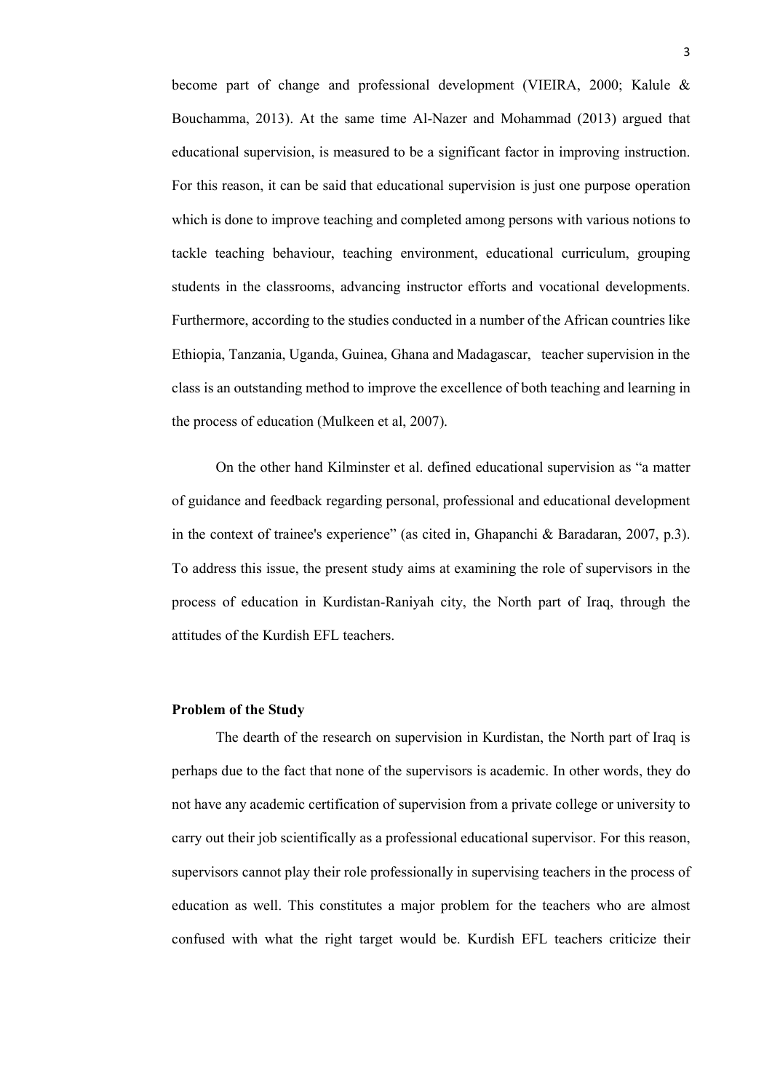become part of change and professional development (VIEIRA, 2000; Kalule & Bouchamma, 2013). At the same time Al-Nazer and Mohammad (2013) argued that educational supervision, is measured to be a significant factor in improving instruction. For this reason, it can be said that educational supervision is just one purpose operation which is done to improve teaching and completed among persons with various notions to tackle teaching behaviour, teaching environment, educational curriculum, grouping students in the classrooms, advancing instructor efforts and vocational developments. Furthermore, according to the studies conducted in a number of the African countries like Ethiopia, Tanzania, Uganda, Guinea, Ghana and Madagascar, teacher supervision in the class is an outstanding method to improve the excellence of both teaching and learning in the process of education (Mulkeen et al, 2007).

On the other hand Kilminster et al. defined educational supervision as "a matter of guidance and feedback regarding personal, professional and educational development in the context of trainee's experience" (as cited in, Ghapanchi & Baradaran, 2007, p.3). To address this issue, the present study aims at examining the role of supervisors in the process of education in Kurdistan-Raniyah city, the North part of Iraq, through the attitudes of the Kurdish EFL teachers.

#### **Problem of the Study**

The dearth of the research on supervision in Kurdistan, the North part of Iraq is perhaps due to the fact that none of the supervisors is academic. In other words, they do not have any academic certification of supervision from a private college or university to carry out their job scientifically as a professional educational supervisor. For this reason, supervisors cannot play their role professionally in supervising teachers in the process of education as well. This constitutes a major problem for the teachers who are almost confused with what the right target would be. Kurdish EFL teachers criticize their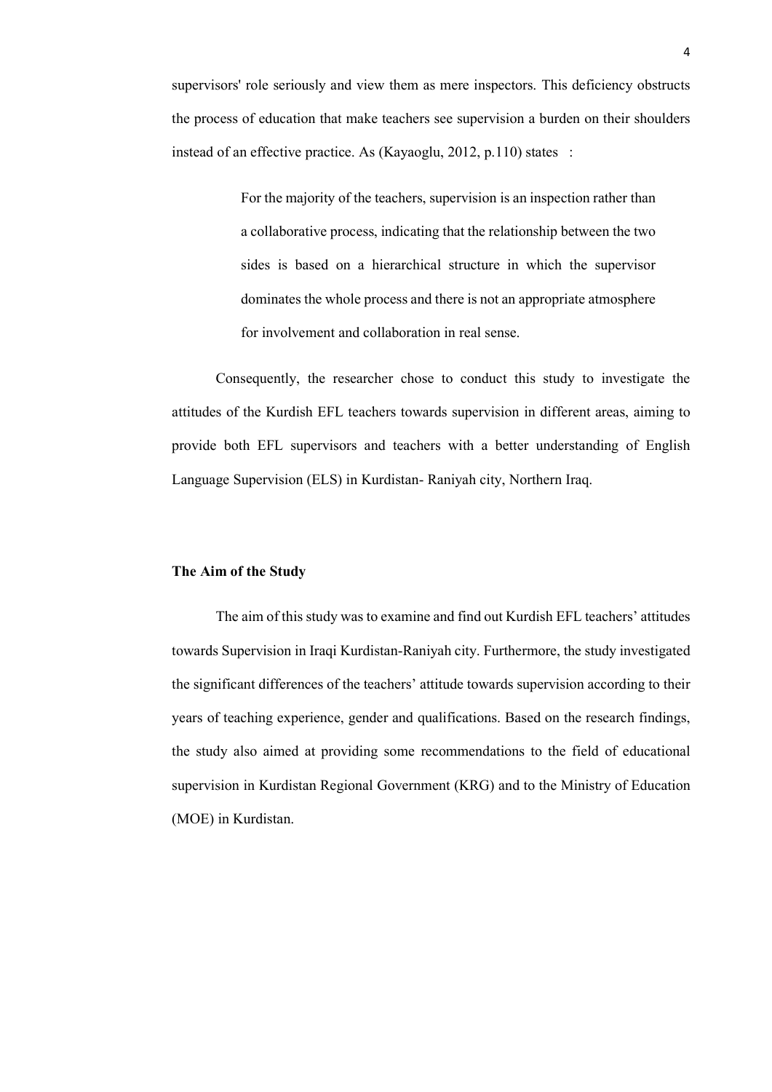supervisors' role seriously and view them as mere inspectors. This deficiency obstructs the process of education that make teachers see supervision a burden on their shoulders instead of an effective practice. As (Kayaoglu, 2012, p.110) states :

> For the majority of the teachers, supervision is an inspection rather than a collaborative process, indicating that the relationship between the two sides is based on a hierarchical structure in which the supervisor dominates the whole process and there is not an appropriate atmosphere for involvement and collaboration in real sense.

Consequently, the researcher chose to conduct this study to investigate the attitudes of the Kurdish EFL teachers towards supervision in different areas, aiming to provide both EFL supervisors and teachers with a better understanding of English Language Supervision (ELS) in Kurdistan- Raniyah city, Northern Iraq.

## **The Aim of the Study**

The aim of this study was to examine and find out Kurdish EFL teachers' attitudes towards Supervision in Iraqi Kurdistan-Raniyah city. Furthermore, the study investigated the significant differences of the teachers' attitude towards supervision according to their years of teaching experience, gender and qualifications. Based on the research findings, the study also aimed at providing some recommendations to the field of educational supervision in Kurdistan Regional Government (KRG) and to the Ministry of Education (MOE) in Kurdistan.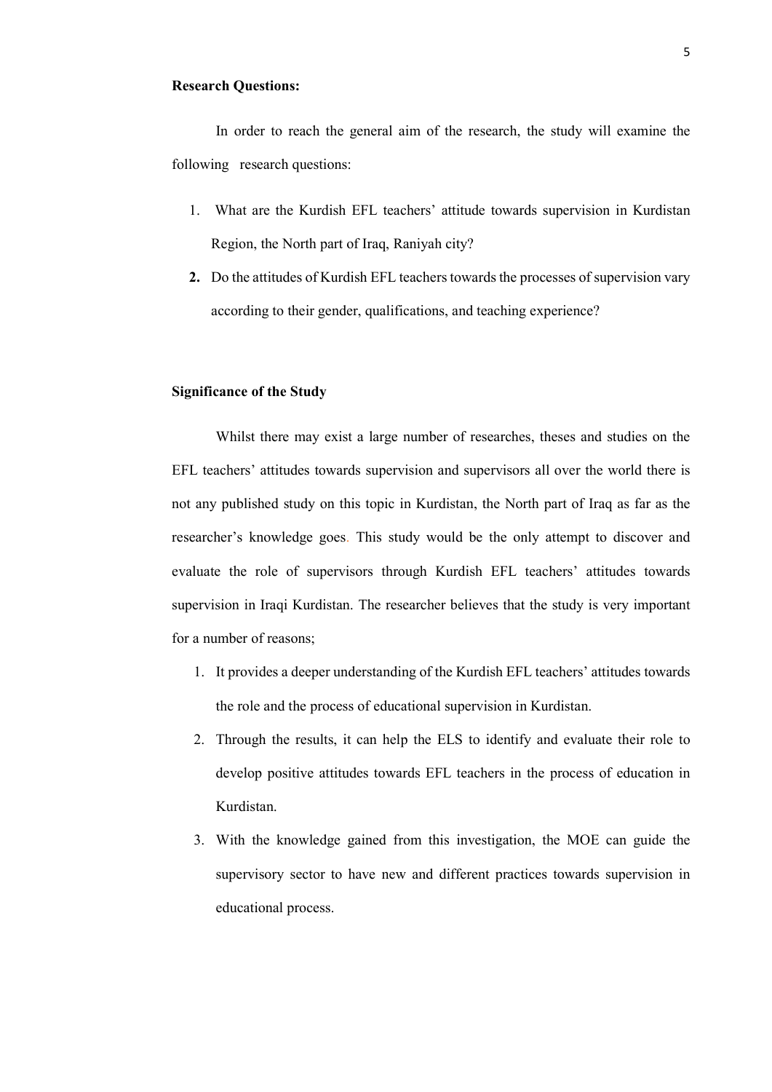## **Research Questions:**

In order to reach the general aim of the research, the study will examine the following research questions:

- 1. What are the Kurdish EFL teachers' attitude towards supervision in Kurdistan Region, the North part of Iraq, Raniyah city?
- **2.** Do the attitudes of Kurdish EFL teachers towards the processes of supervision vary according to their gender, qualifications, and teaching experience?

# **Significance of the Study**

Whilst there may exist a large number of researches, theses and studies on the EFL teachers' attitudes towards supervision and supervisors all over the world there is not any published study on this topic in Kurdistan, the North part of Iraq as far as the researcher's knowledge goes. This study would be the only attempt to discover and evaluate the role of supervisors through Kurdish EFL teachers' attitudes towards supervision in Iraqi Kurdistan. The researcher believes that the study is very important for a number of reasons;

- 1. It provides a deeper understanding of the Kurdish EFL teachers' attitudes towards the role and the process of educational supervision in Kurdistan.
- 2. Through the results, it can help the ELS to identify and evaluate their role to develop positive attitudes towards EFL teachers in the process of education in Kurdistan.
- 3. With the knowledge gained from this investigation, the MOE can guide the supervisory sector to have new and different practices towards supervision in educational process.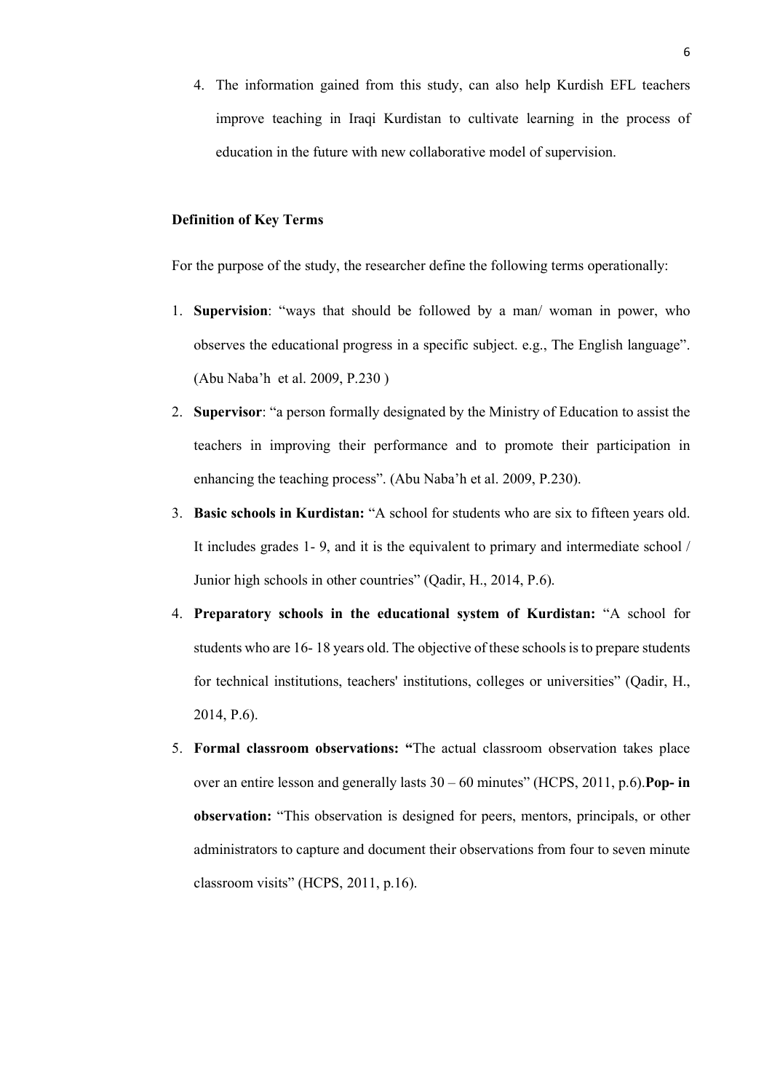4. The information gained from this study, can also help Kurdish EFL teachers improve teaching in Iraqi Kurdistan to cultivate learning in the process of education in the future with new collaborative model of supervision.

# **Definition of Key Terms**

For the purpose of the study, the researcher define the following terms operationally:

- 1. **Supervision**: "ways that should be followed by a man/ woman in power, who observes the educational progress in a specific subject. e.g., The English language". (Abu Naba'h et al. 2009, P.230 )
- 2. **Supervisor**: "a person formally designated by the Ministry of Education to assist the teachers in improving their performance and to promote their participation in enhancing the teaching process". (Abu Naba'h et al. 2009, P.230).
- 3. **Basic schools in Kurdistan:** "A school for students who are six to fifteen years old. It includes grades 1- 9, and it is the equivalent to primary and intermediate school / Junior high schools in other countries" (Qadir, H., 2014, P.6).
- 4. **Preparatory schools in the educational system of Kurdistan:** "A school for students who are 16- 18 years old. The objective of these schools is to prepare students for technical institutions, teachers' institutions, colleges or universities" (Qadir, H., 2014, P.6).
- 5. **Formal classroom observations: "**The actual classroom observation takes place over an entire lesson and generally lasts 30 – 60 minutes" (HCPS, 2011, p.6).**Pop- in observation:** "This observation is designed for peers, mentors, principals, or other administrators to capture and document their observations from four to seven minute classroom visits" (HCPS, 2011, p.16).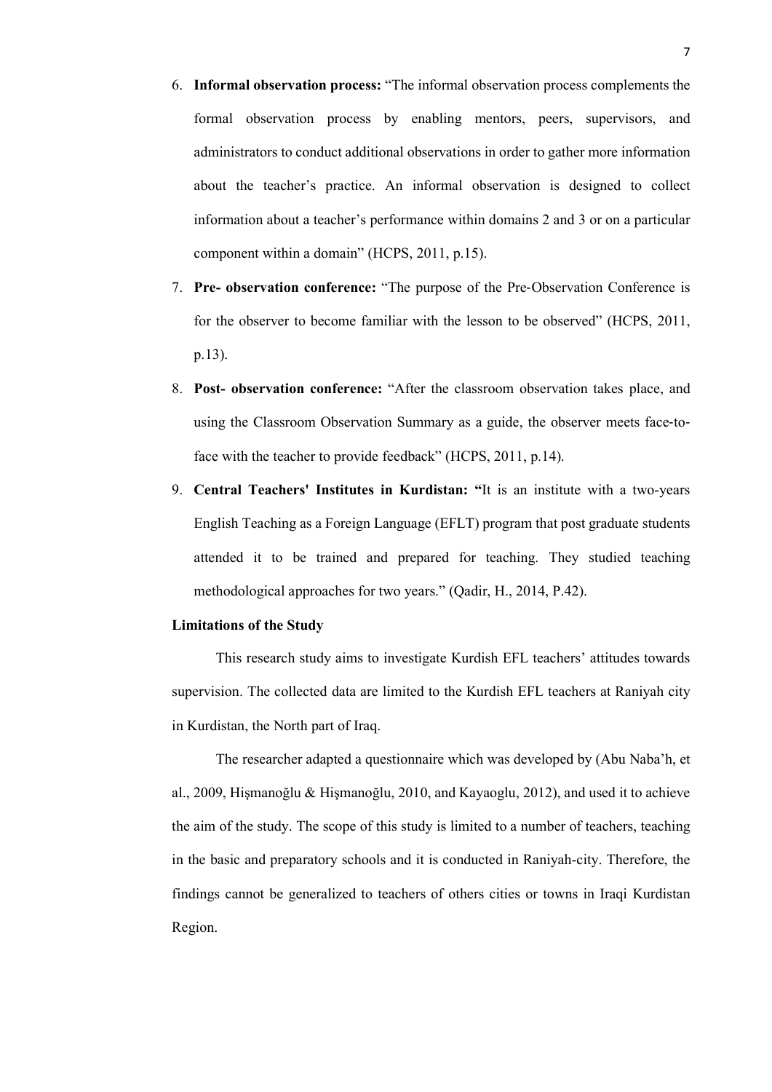- 6. **Informal observation process:** "The informal observation process complements the formal observation process by enabling mentors, peers, supervisors, and administrators to conduct additional observations in order to gather more information about the teacher's practice. An informal observation is designed to collect information about a teacher's performance within domains 2 and 3 or on a particular component within a domain" (HCPS, 2011, p.15).
- 7. **Pre- observation conference:** "The purpose of the Pre‐Observation Conference is for the observer to become familiar with the lesson to be observed" (HCPS, 2011, p.13).
- 8. **Post- observation conference:** "After the classroom observation takes place, and using the Classroom Observation Summary as a guide, the observer meets face-toface with the teacher to provide feedback" (HCPS, 2011, p.14).
- 9. **Central Teachers' Institutes in Kurdistan: "**It is an institute with a two-years English Teaching as a Foreign Language (EFLT) program that post graduate students attended it to be trained and prepared for teaching. They studied teaching methodological approaches for two years." (Qadir, H., 2014, P.42).

## **Limitations of the Study**

This research study aims to investigate Kurdish EFL teachers' attitudes towards supervision. The collected data are limited to the Kurdish EFL teachers at Raniyah city in Kurdistan, the North part of Iraq.

The researcher adapted a questionnaire which was developed by (Abu Naba'h, et al., 2009, Hişmanoğlu & Hişmanoğlu, 2010, and Kayaoglu, 2012), and used it to achieve the aim of the study. The scope of this study is limited to a number of teachers, teaching in the basic and preparatory schools and it is conducted in Raniyah-city. Therefore, the findings cannot be generalized to teachers of others cities or towns in Iraqi Kurdistan Region.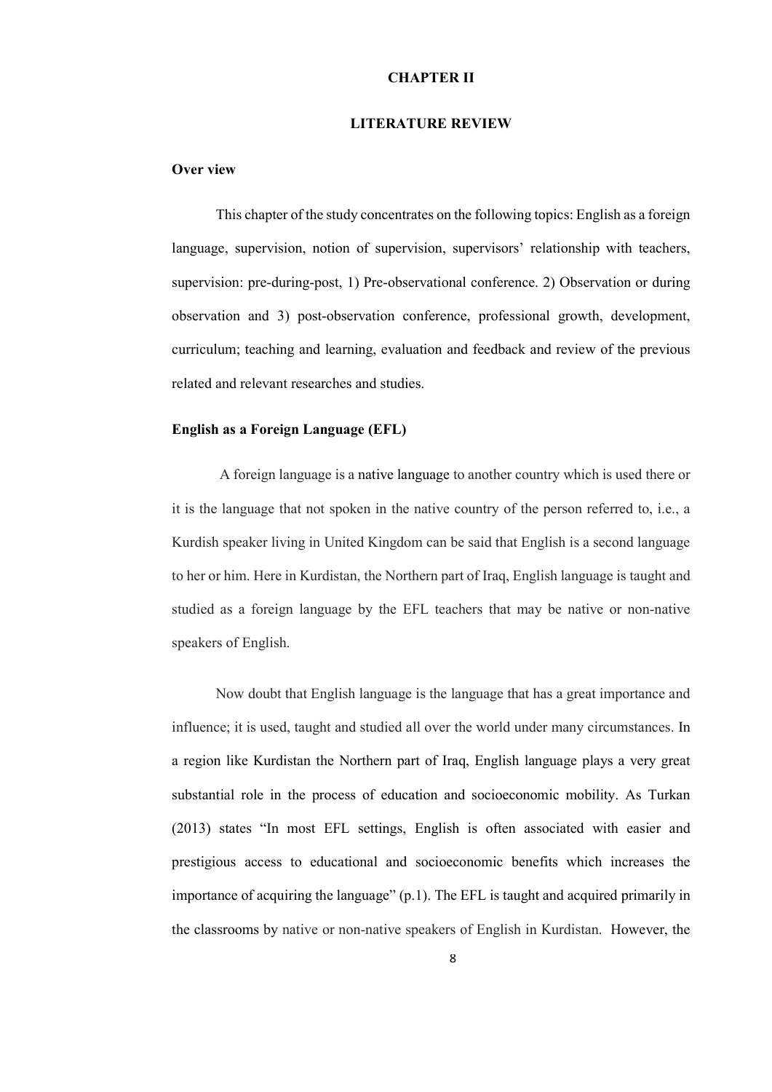# **CHAPTER II**

#### **LITERATURE REVIEW**

## **Over view**

This chapter of the study concentrates on the following topics: English as a foreign language, supervision, notion of supervision, supervisors' relationship with teachers, supervision: pre-during-post, 1) Pre-observational conference. 2) Observation or during observation and 3) post-observation conference, professional growth, development, curriculum; teaching and learning, evaluation and feedback and review of the previous related and relevant researches and studies.

## **English as a Foreign Language (EFL)**

A foreign language is a native language to another country which is used there or it is the language that not spoken in the native country of the person referred to, i.e., a Kurdish speaker living in United Kingdom can be said that English is a second language to her or him. Here in Kurdistan, the Northern part of Iraq, English language is taught and studied as a foreign language by the EFL teachers that may be native or non-native speakers of English.

Now doubt that English language is the language that has a great importance and influence; it is used, taught and studied all over the world under many circumstances. In a region like Kurdistan the Northern part of Iraq, English language plays a very great substantial role in the process of education and socioeconomic mobility. As Turkan (2013) states "In most EFL settings, English is often associated with easier and prestigious access to educational and socioeconomic benefits which increases the importance of acquiring the language" (p.1). The EFL is taught and acquired primarily in the classrooms by native or non-native speakers of English in Kurdistan. However, the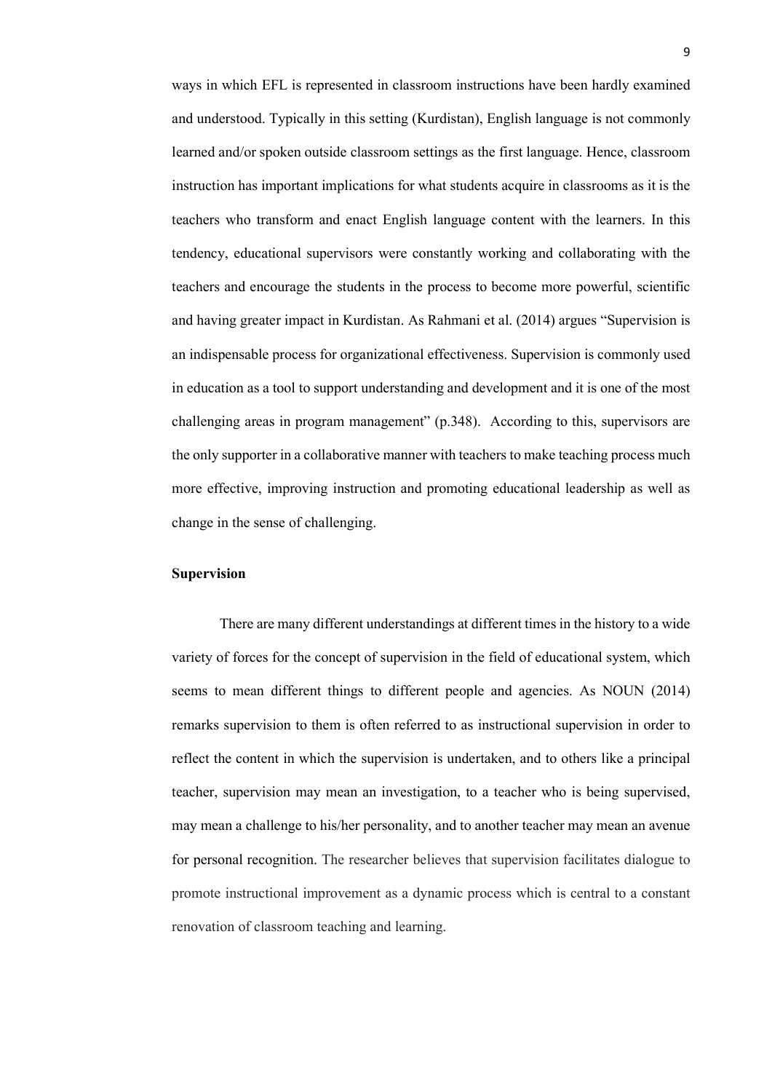ways in which EFL is represented in classroom instructions have been hardly examined and understood. Typically in this setting (Kurdistan), English language is not commonly learned and/or spoken outside classroom settings as the first language. Hence, classroom instruction has important implications for what students acquire in classrooms as it is the teachers who transform and enact English language content with the learners. In this tendency, educational supervisors were constantly working and collaborating with the teachers and encourage the students in the process to become more powerful, scientific and having greater impact in Kurdistan. As Rahmani et al. (2014) argues "Supervision is an indispensable process for organizational effectiveness. Supervision is commonly used in education as a tool to support understanding and development and it is one of the most challenging areas in program management" (p.348). According to this, supervisors are the only supporter in a collaborative manner with teachers to make teaching process much more effective, improving instruction and promoting educational leadership as well as change in the sense of challenging.

# **Supervision**

There are many different understandings at different times in the history to a wide variety of forces for the concept of supervision in the field of educational system, which seems to mean different things to different people and agencies. As NOUN (2014) remarks supervision to them is often referred to as instructional supervision in order to reflect the content in which the supervision is undertaken, and to others like a principal teacher, supervision may mean an investigation, to a teacher who is being supervised, may mean a challenge to his/her personality, and to another teacher may mean an avenue for personal recognition. The researcher believes that supervision facilitates dialogue to promote instructional improvement as a dynamic process which is central to a constant renovation of classroom teaching and learning.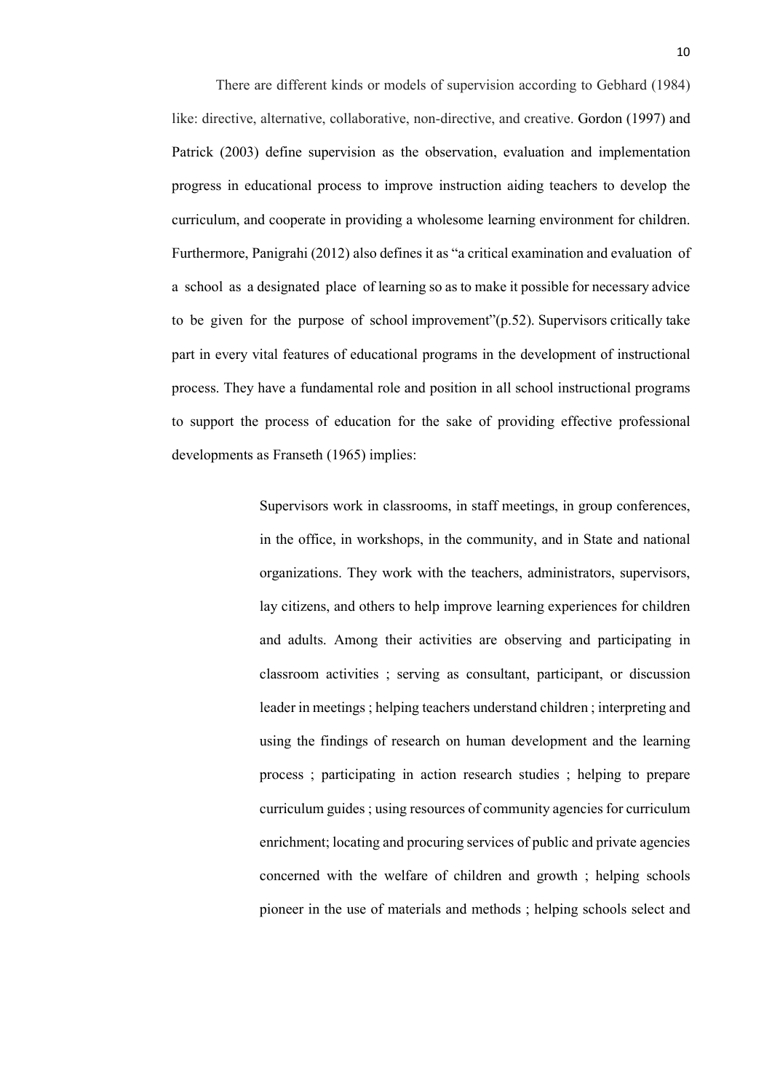There are different kinds or models of supervision according to Gebhard (1984) like: directive, alternative, collaborative, non-directive, and creative. Gordon (1997) and Patrick (2003) define supervision as the observation, evaluation and implementation progress in educational process to improve instruction aiding teachers to develop the curriculum, and cooperate in providing a wholesome learning environment for children. Furthermore, Panigrahi (2012) also defines it as "a critical examination and evaluation of a school as a designated place of learning so as to make it possible for necessary advice to be given for the purpose of school improvement"(p.52). Supervisors critically take part in every vital features of educational programs in the development of instructional process. They have a fundamental role and position in all school instructional programs to support the process of education for the sake of providing effective professional developments as Franseth (1965) implies:

> Supervisors work in classrooms, in staff meetings, in group conferences, in the office, in workshops, in the community, and in State and national organizations. They work with the teachers, administrators, supervisors, lay citizens, and others to help improve learning experiences for children and adults. Among their activities are observing and participating in classroom activities ; serving as consultant, participant, or discussion leader in meetings ; helping teachers understand children ; interpreting and using the findings of research on human development and the learning process ; participating in action research studies ; helping to prepare curriculum guides ; using resources of community agencies for curriculum enrichment; locating and procuring services of public and private agencies concerned with the welfare of children and growth ; helping schools pioneer in the use of materials and methods ; helping schools select and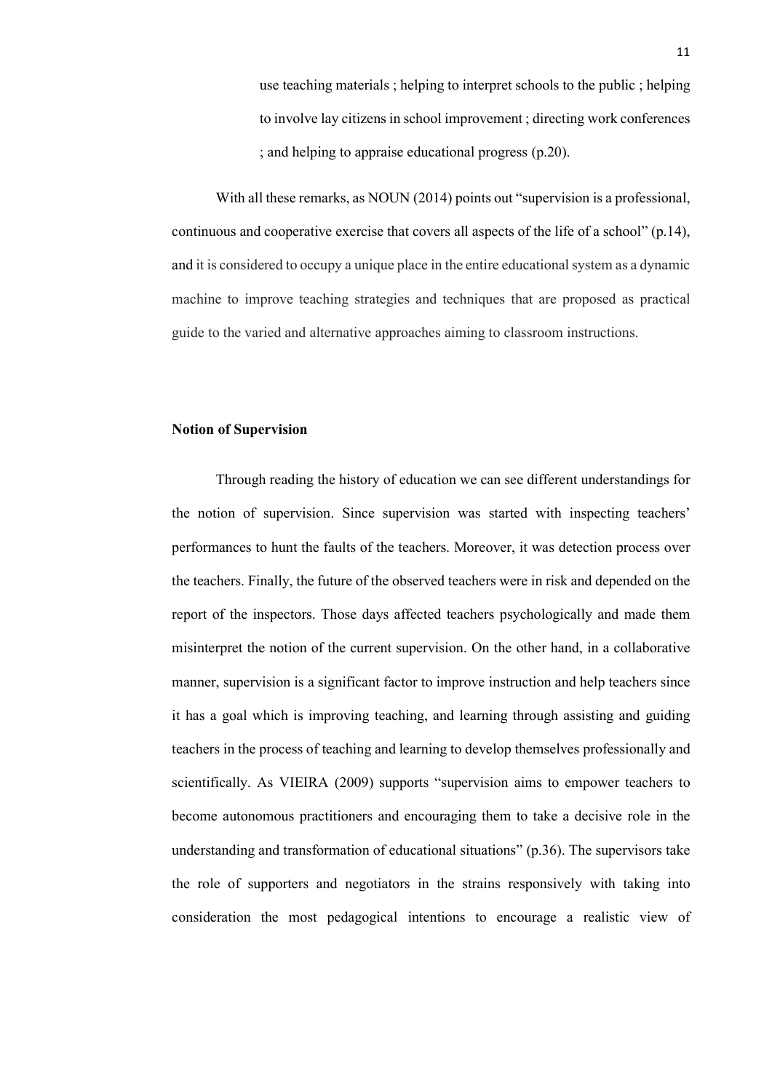use teaching materials ; helping to interpret schools to the public ; helping to involve lay citizens in school improvement ; directing work conferences ; and helping to appraise educational progress (p.20).

With all these remarks, as NOUN (2014) points out "supervision is a professional, continuous and cooperative exercise that covers all aspects of the life of a school" (p.14), and it is considered to occupy a unique place in the entire educational system as a dynamic machine to improve teaching strategies and techniques that are proposed as practical guide to the varied and alternative approaches aiming to classroom instructions.

### **Notion of Supervision**

Through reading the history of education we can see different understandings for the notion of supervision. Since supervision was started with inspecting teachers' performances to hunt the faults of the teachers. Moreover, it was detection process over the teachers. Finally, the future of the observed teachers were in risk and depended on the report of the inspectors. Those days affected teachers psychologically and made them misinterpret the notion of the current supervision. On the other hand, in a collaborative manner, supervision is a significant factor to improve instruction and help teachers since it has a goal which is improving teaching, and learning through assisting and guiding teachers in the process of teaching and learning to develop themselves professionally and scientifically. As VIEIRA (2009) supports "supervision aims to empower teachers to become autonomous practitioners and encouraging them to take a decisive role in the understanding and transformation of educational situations" (p.36). The supervisors take the role of supporters and negotiators in the strains responsively with taking into consideration the most pedagogical intentions to encourage a realistic view of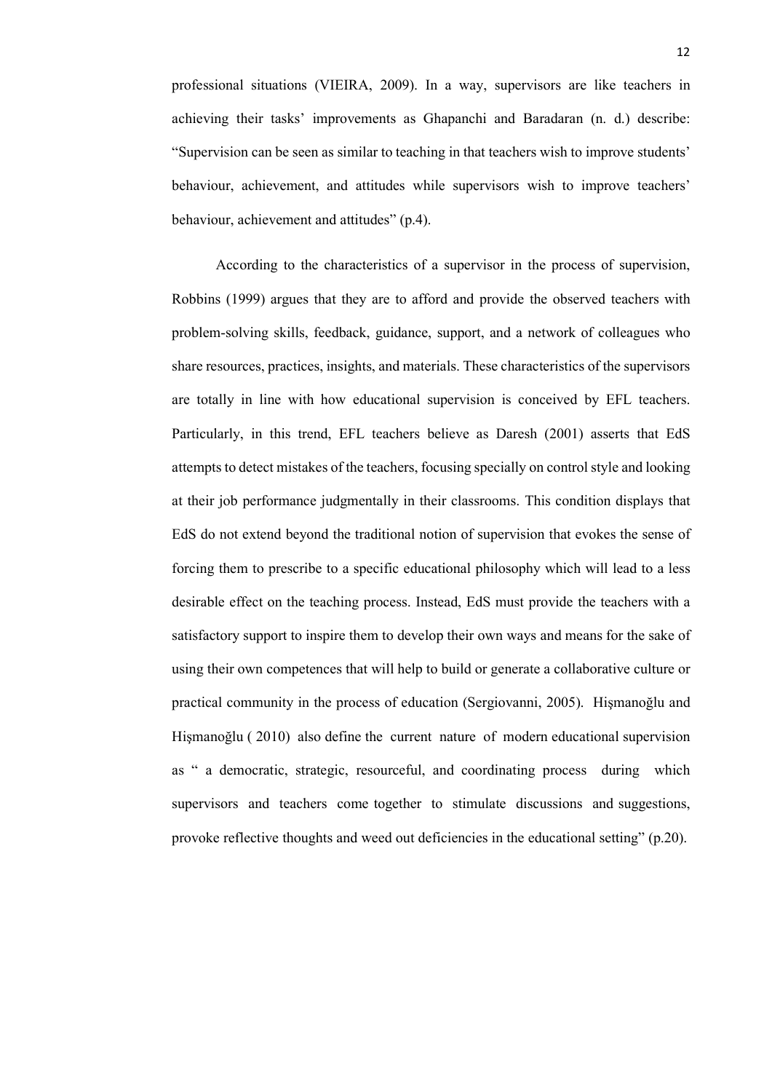professional situations (VIEIRA, 2009). In a way, supervisors are like teachers in achieving their tasks' improvements as Ghapanchi and Baradaran (n. d.) describe: "Supervision can be seen as similar to teaching in that teachers wish to improve students' behaviour, achievement, and attitudes while supervisors wish to improve teachers' behaviour, achievement and attitudes" (p.4).

According to the characteristics of a supervisor in the process of supervision, Robbins (1999) argues that they are to afford and provide the observed teachers with problem-solving skills, feedback, guidance, support, and a network of colleagues who share resources, practices, insights, and materials. These characteristics of the supervisors are totally in line with how educational supervision is conceived by EFL teachers. Particularly, in this trend, EFL teachers believe as Daresh (2001) asserts that EdS attempts to detect mistakes of the teachers, focusing specially on control style and looking at their job performance judgmentally in their classrooms. This condition displays that EdS do not extend beyond the traditional notion of supervision that evokes the sense of forcing them to prescribe to a specific educational philosophy which will lead to a less desirable effect on the teaching process. Instead, EdS must provide the teachers with a satisfactory support to inspire them to develop their own ways and means for the sake of using their own competences that will help to build or generate a collaborative culture or practical community in the process of education (Sergiovanni, 2005). Hişmanoğlu and Hişmanoğlu ( 2010) also define the current nature of modern educational supervision as " a democratic, strategic, resourceful, and coordinating process during which supervisors and teachers come together to stimulate discussions and suggestions, provoke reflective thoughts and weed out deficiencies in the educational setting" (p.20).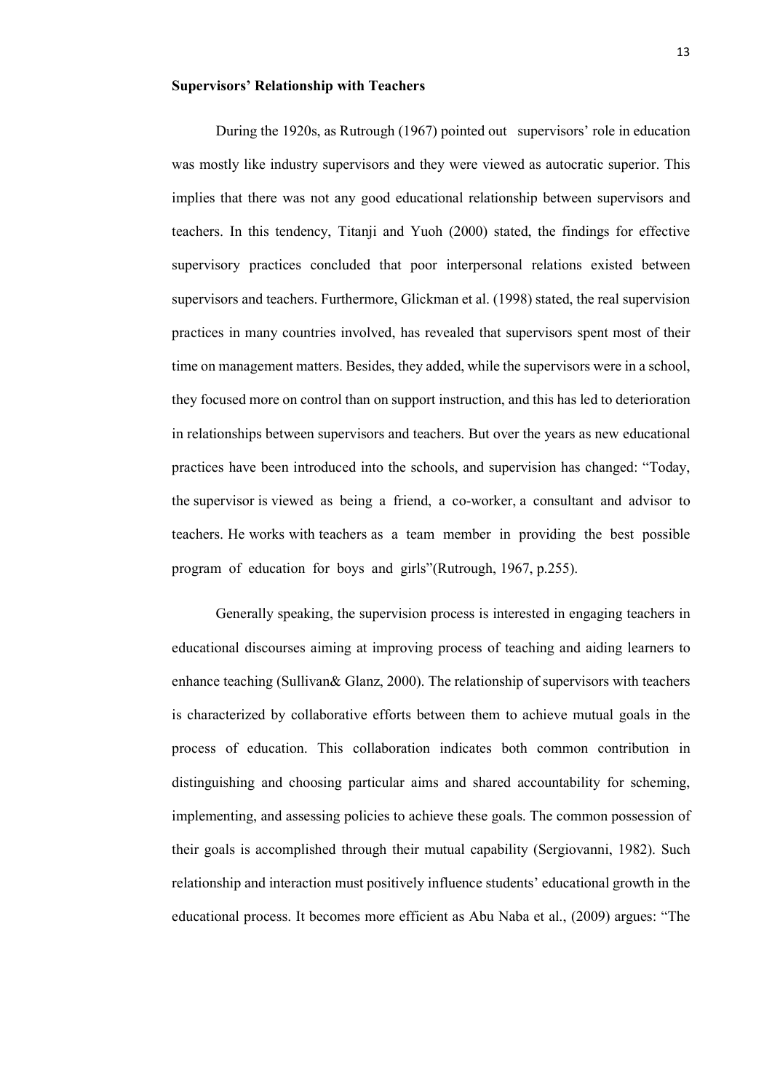#### **Supervisors' Relationship with Teachers**

During the 1920s, as Rutrough (1967) pointed out supervisors' role in education was mostly like industry supervisors and they were viewed as autocratic superior. This implies that there was not any good educational relationship between supervisors and teachers. In this tendency, Titanji and Yuoh (2000) stated, the findings for effective supervisory practices concluded that poor interpersonal relations existed between supervisors and teachers. Furthermore, Glickman et al. (1998) stated, the real supervision practices in many countries involved, has revealed that supervisors spent most of their time on management matters. Besides, they added, while the supervisors were in a school, they focused more on control than on support instruction, and this has led to deterioration in relationships between supervisors and teachers. But over the years as new educational practices have been introduced into the schools, and supervision has changed: "Today, the supervisor is viewed as being a friend, a co-worker, a consultant and advisor to teachers. He works with teachers as a team member in providing the best possible program of education for boys and girls"(Rutrough, 1967, p.255).

Generally speaking, the supervision process is interested in engaging teachers in educational discourses aiming at improving process of teaching and aiding learners to enhance teaching (Sullivan& Glanz, 2000). The relationship of supervisors with teachers is characterized by collaborative efforts between them to achieve mutual goals in the process of education. This collaboration indicates both common contribution in distinguishing and choosing particular aims and shared accountability for scheming, implementing, and assessing policies to achieve these goals. The common possession of their goals is accomplished through their mutual capability (Sergiovanni, 1982). Such relationship and interaction must positively influence students' educational growth in the educational process. It becomes more efficient as Abu Naba et al., (2009) argues: "The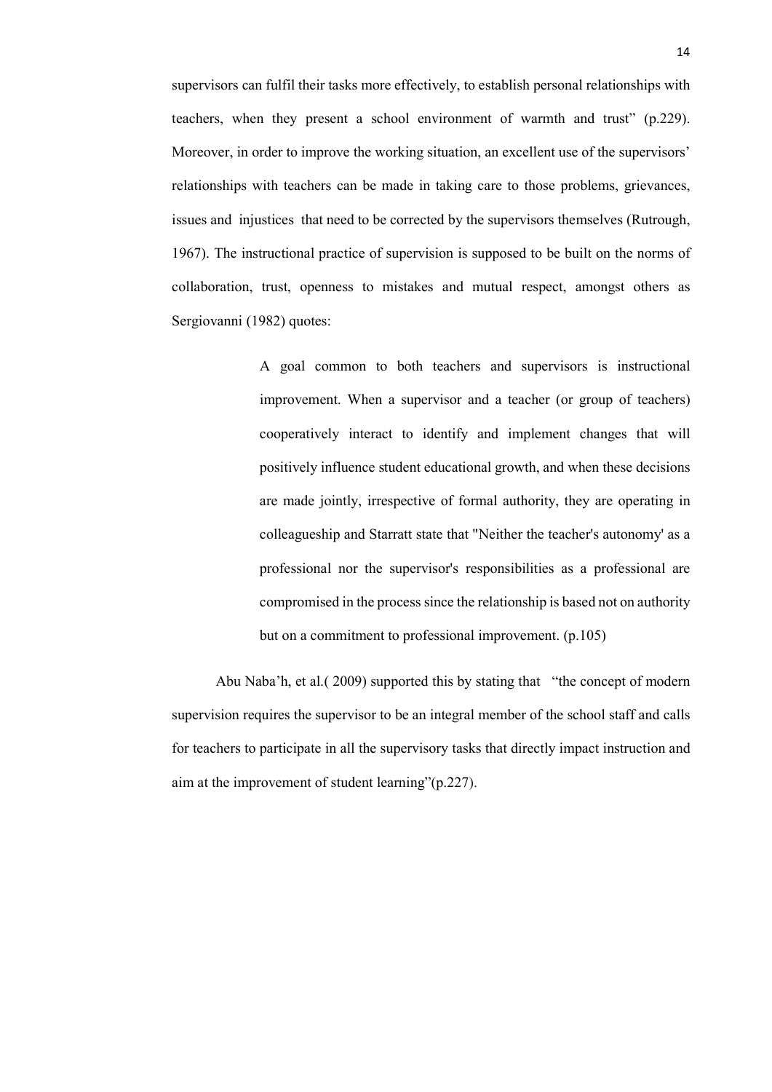supervisors can fulfil their tasks more effectively, to establish personal relationships with teachers, when they present a school environment of warmth and trust" (p.229). Moreover, in order to improve the working situation, an excellent use of the supervisors' relationships with teachers can be made in taking care to those problems, grievances, issues and injustices that need to be corrected by the supervisors themselves (Rutrough, 1967). The instructional practice of supervision is supposed to be built on the norms of collaboration, trust, openness to mistakes and mutual respect, amongst others as Sergiovanni (1982) quotes:

> A goal common to both teachers and supervisors is instructional improvement. When a supervisor and a teacher (or group of teachers) cooperatively interact to identify and implement changes that will positively influence student educational growth, and when these decisions are made jointly, irrespective of formal authority, they are operating in colleagueship and Starratt state that "Neither the teacher's autonomy' as a professional nor the supervisor's responsibilities as a professional are compromised in the process since the relationship is based not on authority but on a commitment to professional improvement. (p.105)

Abu Naba'h, et al.( 2009) supported this by stating that "the concept of modern supervision requires the supervisor to be an integral member of the school staff and calls for teachers to participate in all the supervisory tasks that directly impact instruction and aim at the improvement of student learning"(p.227).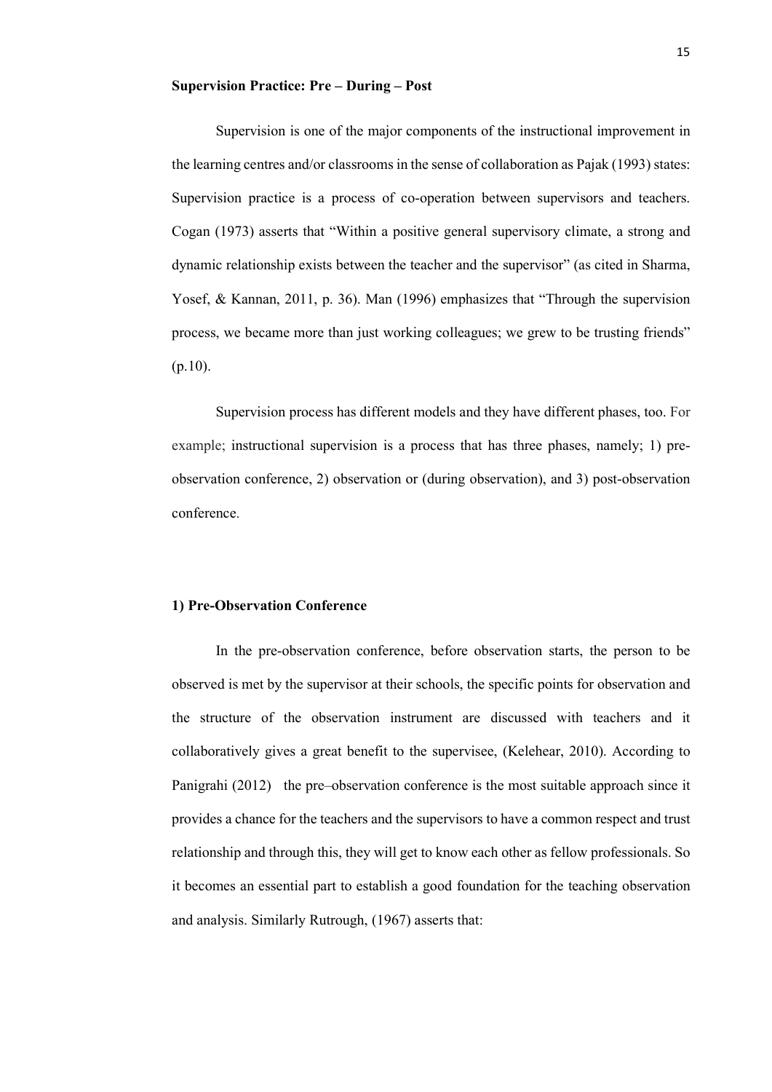#### **Supervision Practice: Pre – During – Post**

Supervision is one of the major components of the instructional improvement in the learning centres and/or classrooms in the sense of collaboration as Pajak (1993) states: Supervision practice is a process of co-operation between supervisors and teachers. Cogan (1973) asserts that "Within a positive general supervisory climate, a strong and dynamic relationship exists between the teacher and the supervisor" (as cited in Sharma, Yosef, & Kannan, 2011, p. 36). Man (1996) emphasizes that "Through the supervision process, we became more than just working colleagues; we grew to be trusting friends" (p.10).

Supervision process has different models and they have different phases, too. For example; instructional supervision is a process that has three phases, namely; 1) preobservation conference, 2) observation or (during observation), and 3) post-observation conference.

### **1) Pre-Observation Conference**

In the pre-observation conference, before observation starts, the person to be observed is met by the supervisor at their schools, the specific points for observation and the structure of the observation instrument are discussed with teachers and it collaboratively gives a great benefit to the supervisee, (Kelehear, 2010). According to Panigrahi (2012) the pre–observation conference is the most suitable approach since it provides a chance for the teachers and the supervisors to have a common respect and trust relationship and through this, they will get to know each other as fellow professionals. So it becomes an essential part to establish a good foundation for the teaching observation and analysis. Similarly Rutrough, (1967) asserts that: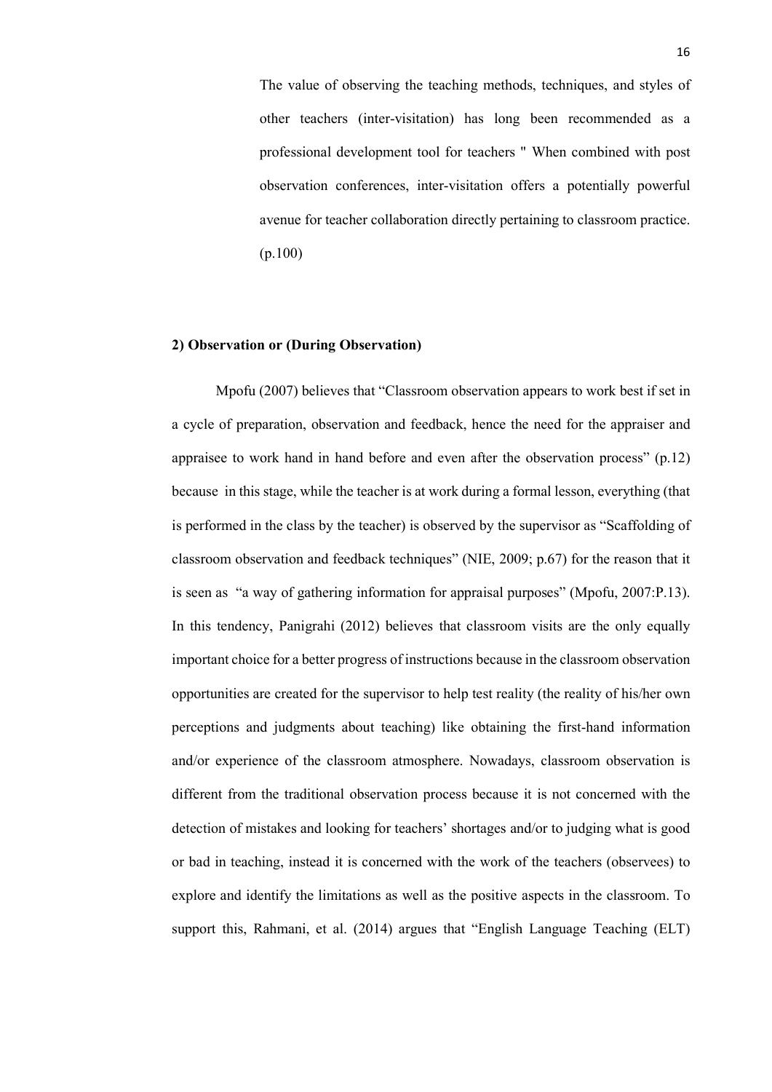The value of observing the teaching methods, techniques, and styles of other teachers (inter-visitation) has long been recommended as a professional development tool for teachers " When combined with post observation conferences, inter-visitation offers a potentially powerful avenue for teacher collaboration directly pertaining to classroom practice. (p.100)

#### **2) Observation or (During Observation)**

Mpofu (2007) believes that "Classroom observation appears to work best if set in a cycle of preparation, observation and feedback, hence the need for the appraiser and appraisee to work hand in hand before and even after the observation process" (p.12) because in this stage, while the teacher is at work during a formal lesson, everything (that is performed in the class by the teacher) is observed by the supervisor as "Scaffolding of classroom observation and feedback techniques" (NIE, 2009; p.67) for the reason that it is seen as "a way of gathering information for appraisal purposes" (Mpofu, 2007:P.13). In this tendency, Panigrahi (2012) believes that classroom visits are the only equally important choice for a better progress of instructions because in the classroom observation opportunities are created for the supervisor to help test reality (the reality of his/her own perceptions and judgments about teaching) like obtaining the first-hand information and/or experience of the classroom atmosphere. Nowadays, classroom observation is different from the traditional observation process because it is not concerned with the detection of mistakes and looking for teachers' shortages and/or to judging what is good or bad in teaching, instead it is concerned with the work of the teachers (observees) to explore and identify the limitations as well as the positive aspects in the classroom. To support this, Rahmani, et al. (2014) argues that "English Language Teaching (ELT)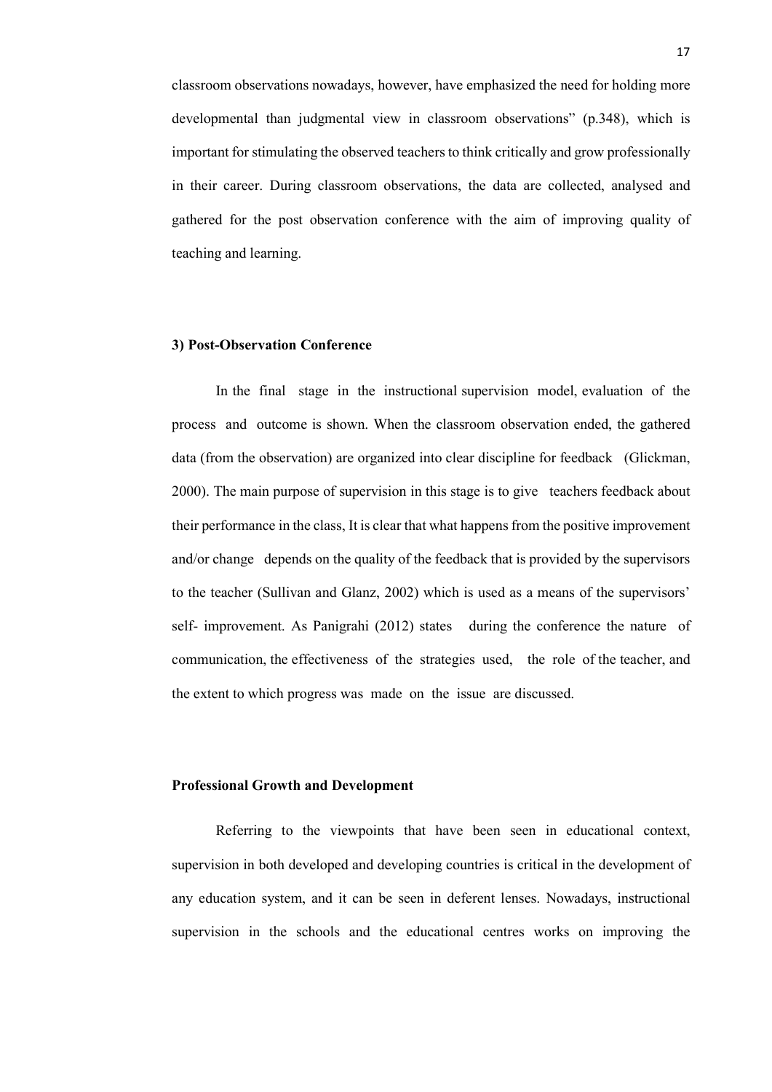classroom observations nowadays, however, have emphasized the need for holding more developmental than judgmental view in classroom observations" (p.348), which is important for stimulating the observed teachers to think critically and grow professionally in their career. During classroom observations, the data are collected, analysed and gathered for the post observation conference with the aim of improving quality of teaching and learning.

#### **3) Post-Observation Conference**

In the final stage in the instructional supervision model, evaluation of the process and outcome is shown. When the classroom observation ended, the gathered data (from the observation) are organized into clear discipline for feedback (Glickman, 2000). The main purpose of supervision in this stage is to give teachers feedback about their performance in the class, It is clear that what happens from the positive improvement and/or change depends on the quality of the feedback that is provided by the supervisors to the teacher (Sullivan and Glanz, 2002) which is used as a means of the supervisors' self- improvement. As Panigrahi (2012) states during the conference the nature of communication, the effectiveness of the strategies used, the role of the teacher, and the extent to which progress was made on the issue are discussed.

#### **Professional Growth and Development**

Referring to the viewpoints that have been seen in educational context, supervision in both developed and developing countries is critical in the development of any education system, and it can be seen in deferent lenses. Nowadays, instructional supervision in the schools and the educational centres works on improving the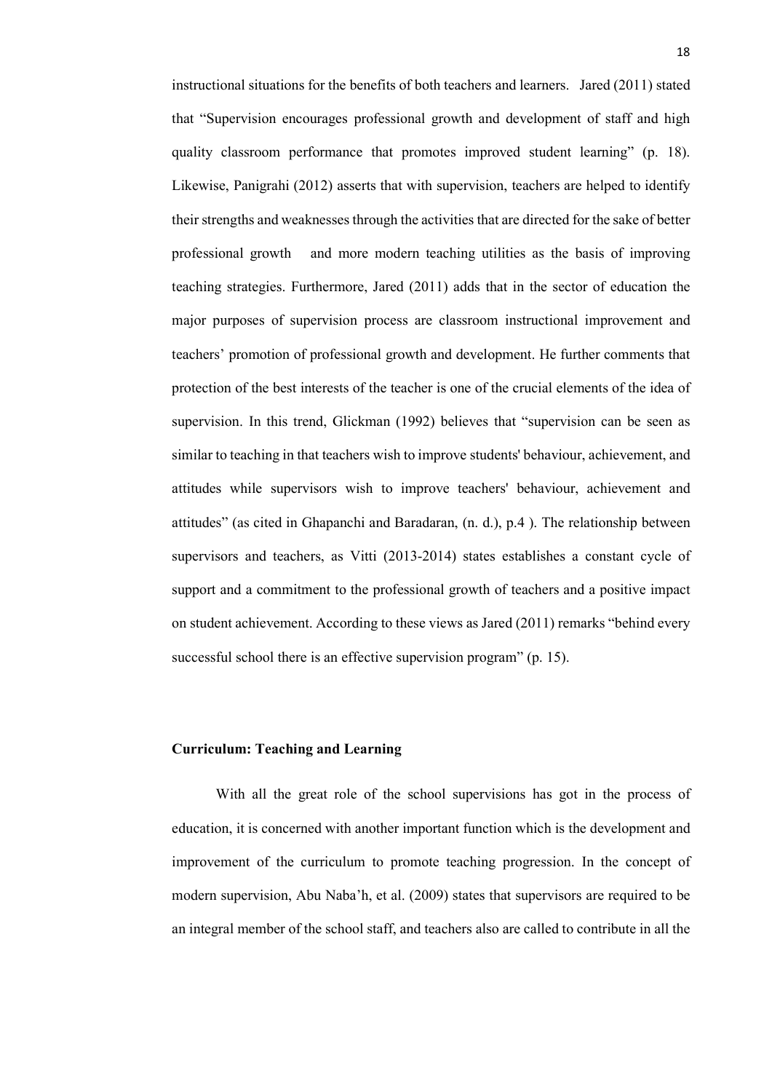instructional situations for the benefits of both teachers and learners. Jared (2011) stated that "Supervision encourages professional growth and development of staff and high quality classroom performance that promotes improved student learning" (p. 18). Likewise, Panigrahi (2012) asserts that with supervision, teachers are helped to identify their strengths and weaknesses through the activities that are directed for the sake of better professional growth and more modern teaching utilities as the basis of improving teaching strategies. Furthermore, Jared (2011) adds that in the sector of education the major purposes of supervision process are classroom instructional improvement and teachers' promotion of professional growth and development. He further comments that protection of the best interests of the teacher is one of the crucial elements of the idea of supervision. In this trend, Glickman (1992) believes that "supervision can be seen as similar to teaching in that teachers wish to improve students' behaviour, achievement, and attitudes while supervisors wish to improve teachers' behaviour, achievement and attitudes" (as cited in Ghapanchi and Baradaran, (n. d.), p.4 ). The relationship between supervisors and teachers, as Vitti (2013-2014) states establishes a constant cycle of support and a commitment to the professional growth of teachers and a positive impact on student achievement. According to these views as Jared (2011) remarks "behind every successful school there is an effective supervision program" (p. 15).

# **Curriculum: Teaching and Learning**

With all the great role of the school supervisions has got in the process of education, it is concerned with another important function which is the development and improvement of the curriculum to promote teaching progression. In the concept of modern supervision, Abu Naba'h, et al. (2009) states that supervisors are required to be an integral member of the school staff, and teachers also are called to contribute in all the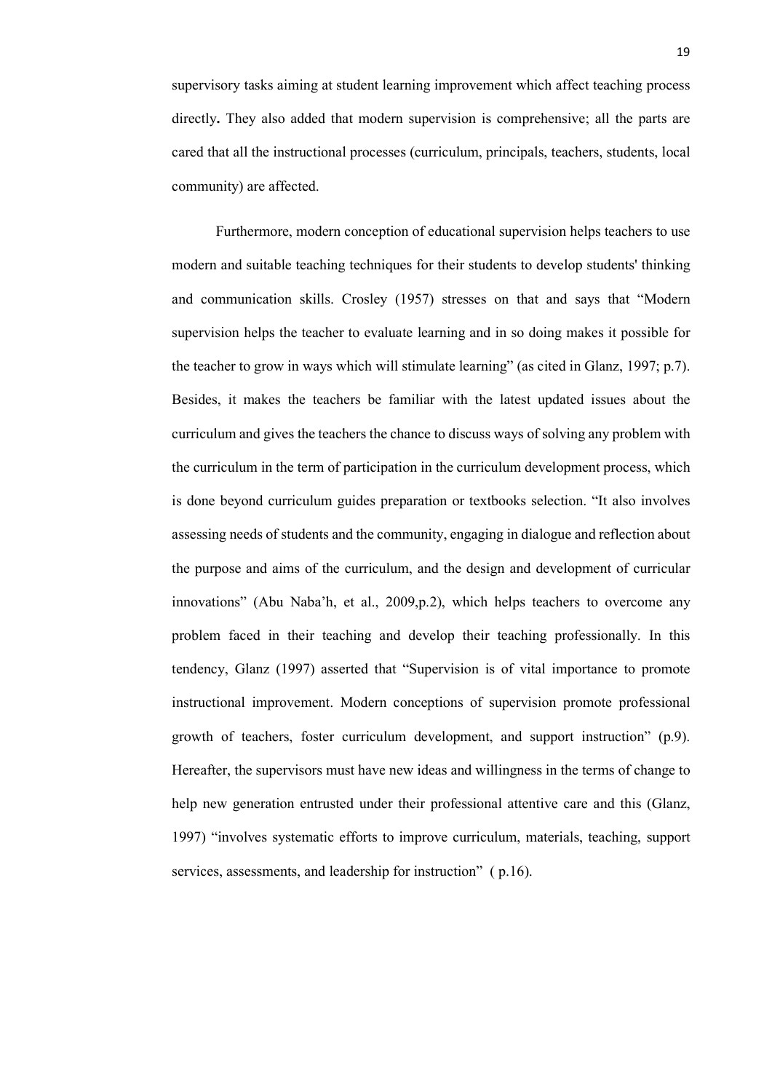supervisory tasks aiming at student learning improvement which affect teaching process directly**.** They also added that modern supervision is comprehensive; all the parts are cared that all the instructional processes (curriculum, principals, teachers, students, local community) are affected.

Furthermore, modern conception of educational supervision helps teachers to use modern and suitable teaching techniques for their students to develop students' thinking and communication skills. Crosley (1957) stresses on that and says that "Modern supervision helps the teacher to evaluate learning and in so doing makes it possible for the teacher to grow in ways which will stimulate learning" (as cited in Glanz, 1997; p.7). Besides, it makes the teachers be familiar with the latest updated issues about the curriculum and gives the teachers the chance to discuss ways of solving any problem with the curriculum in the term of participation in the curriculum development process, which is done beyond curriculum guides preparation or textbooks selection. "It also involves assessing needs of students and the community, engaging in dialogue and reflection about the purpose and aims of the curriculum, and the design and development of curricular innovations" (Abu Naba'h, et al., 2009,p.2), which helps teachers to overcome any problem faced in their teaching and develop their teaching professionally. In this tendency, Glanz (1997) asserted that "Supervision is of vital importance to promote instructional improvement. Modern conceptions of supervision promote professional growth of teachers, foster curriculum development, and support instruction" (p.9). Hereafter, the supervisors must have new ideas and willingness in the terms of change to help new generation entrusted under their professional attentive care and this (Glanz, 1997) "involves systematic efforts to improve curriculum, materials, teaching, support services, assessments, and leadership for instruction" (p.16).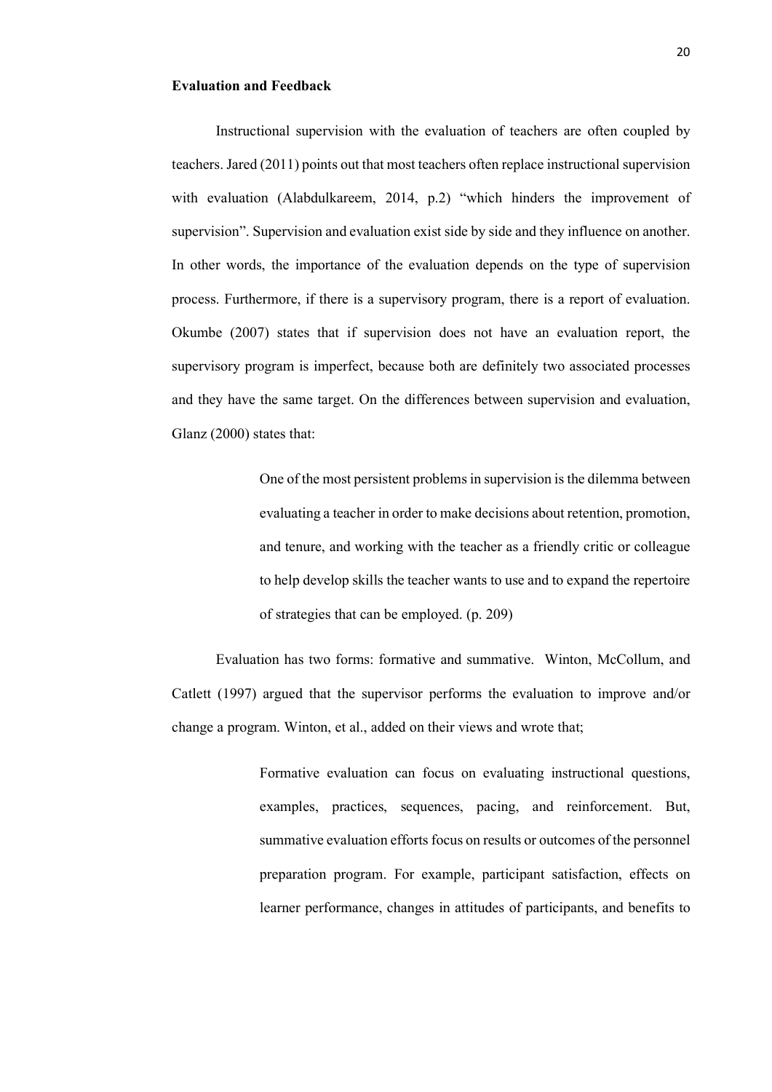# **Evaluation and Feedback**

Instructional supervision with the evaluation of teachers are often coupled by teachers. Jared (2011) points out that most teachers often replace instructional supervision with evaluation (Alabdulkareem, 2014, p.2) "which hinders the improvement of supervision". Supervision and evaluation exist side by side and they influence on another. In other words, the importance of the evaluation depends on the type of supervision process. Furthermore, if there is a supervisory program, there is a report of evaluation. Okumbe (2007) states that if supervision does not have an evaluation report, the supervisory program is imperfect, because both are definitely two associated processes and they have the same target. On the differences between supervision and evaluation, Glanz (2000) states that:

> One of the most persistent problems in supervision is the dilemma between evaluating a teacher in order to make decisions about retention, promotion, and tenure, and working with the teacher as a friendly critic or colleague to help develop skills the teacher wants to use and to expand the repertoire of strategies that can be employed. (p. 209)

Evaluation has two forms: formative and summative. Winton, McCollum, and Catlett (1997) argued that the supervisor performs the evaluation to improve and/or change a program. Winton, et al., added on their views and wrote that;

> Formative evaluation can focus on evaluating instructional questions, examples, practices, sequences, pacing, and reinforcement. But, summative evaluation efforts focus on results or outcomes of the personnel preparation program. For example, participant satisfaction, effects on learner performance, changes in attitudes of participants, and benefits to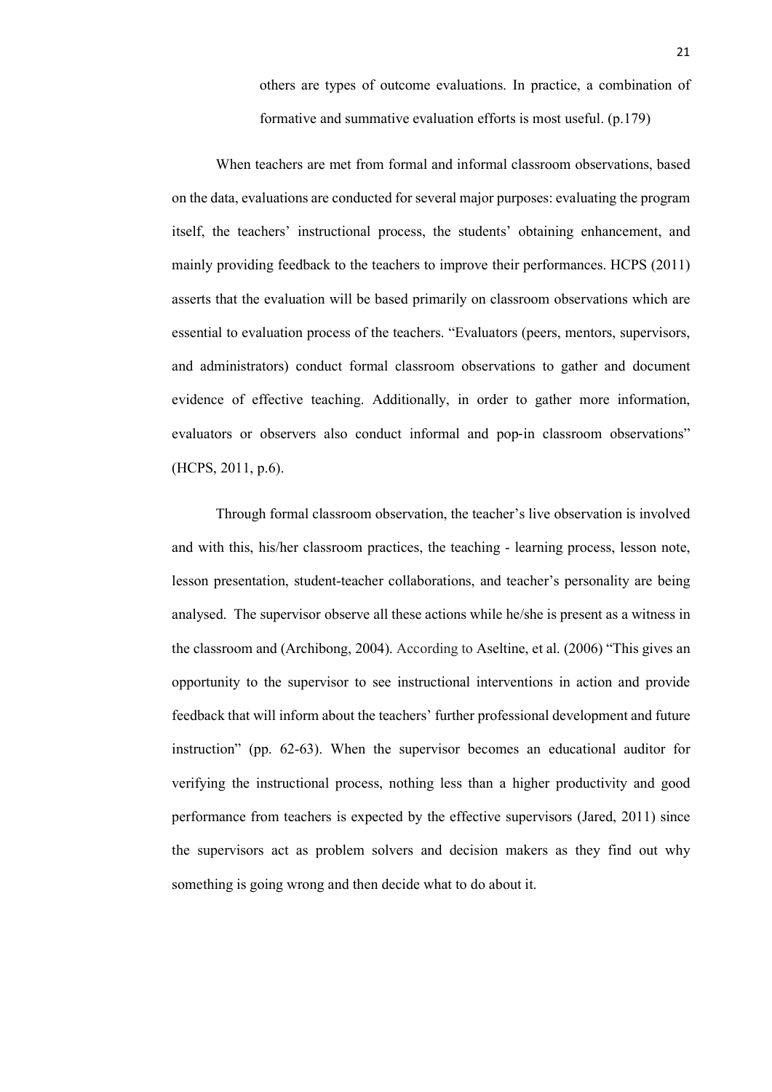others are types of outcome evaluations. In practice, a combination of formative and summative evaluation efforts is most useful. (p.179)

When teachers are met from formal and informal classroom observations, based on the data, evaluations are conducted for several major purposes: evaluating the program itself, the teachers' instructional process, the students' obtaining enhancement, and mainly providing feedback to the teachers to improve their performances. HCPS (2011) asserts that the evaluation will be based primarily on classroom observations which are essential to evaluation process of the teachers. "Evaluators (peers, mentors, supervisors, and administrators) conduct formal classroom observations to gather and document evidence of effective teaching. Additionally, in order to gather more information, evaluators or observers also conduct informal and pop-in classroom observations" (HCPS, 2011, p.6).

Through formal classroom observation, the teacher's live observation is involved and with this, his/her classroom practices, the teaching - learning process, lesson note, lesson presentation, student-teacher collaborations, and teacher's personality are being analysed. The supervisor observe all these actions while he/she is present as a witness in the classroom and (Archibong, 2004). According to Aseltine, et al. (2006) "This gives an opportunity to the supervisor to see instructional interventions in action and provide feedback that will inform about the teachers' further professional development and future instruction" (pp. 62-63). When the supervisor becomes an educational auditor for verifying the instructional process, nothing less than a higher productivity and good performance from teachers is expected by the effective supervisors (Jared, 2011) since the supervisors act as problem solvers and decision makers as they find out why something is going wrong and then decide what to do about it.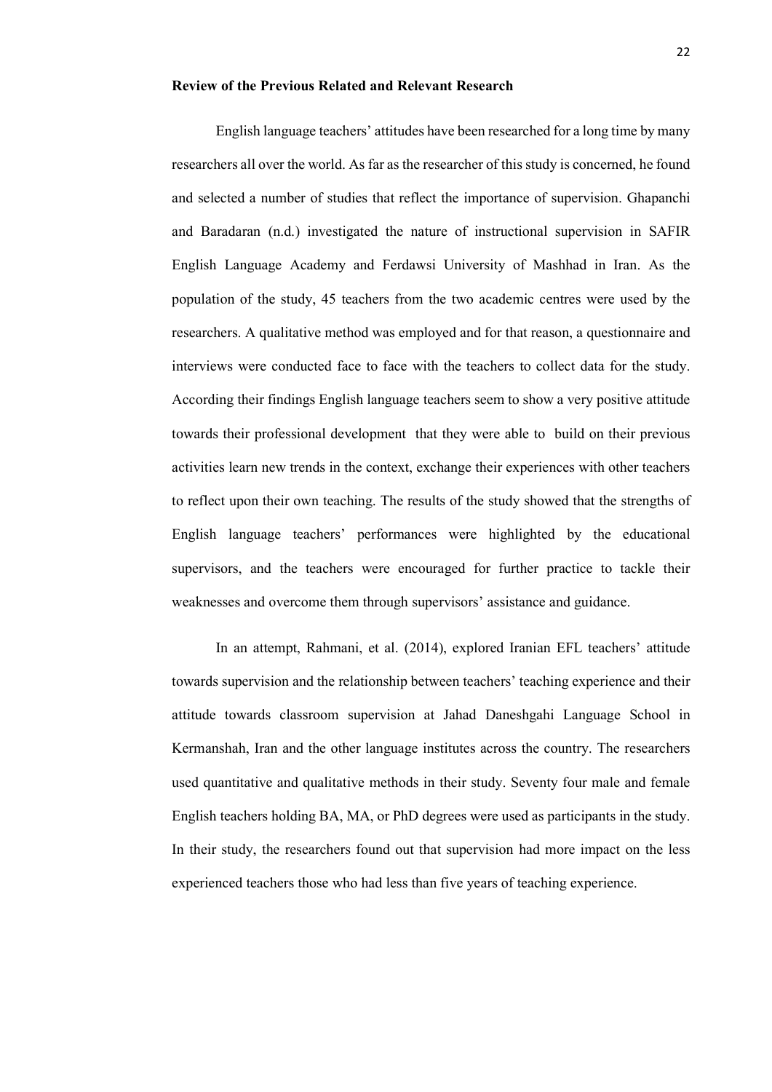#### **Review of the Previous Related and Relevant Research**

English language teachers' attitudes have been researched for a long time by many researchers all over the world. As far as the researcher of this study is concerned, he found and selected a number of studies that reflect the importance of supervision. Ghapanchi and Baradaran (n.d.) investigated the nature of instructional supervision in SAFIR English Language Academy and Ferdawsi University of Mashhad in Iran. As the population of the study, 45 teachers from the two academic centres were used by the researchers. A qualitative method was employed and for that reason, a questionnaire and interviews were conducted face to face with the teachers to collect data for the study. According their findings English language teachers seem to show a very positive attitude towards their professional development that they were able to build on their previous activities learn new trends in the context, exchange their experiences with other teachers to reflect upon their own teaching. The results of the study showed that the strengths of English language teachers' performances were highlighted by the educational supervisors, and the teachers were encouraged for further practice to tackle their weaknesses and overcome them through supervisors' assistance and guidance.

In an attempt, Rahmani, et al. (2014), explored Iranian EFL teachers' attitude towards supervision and the relationship between teachers' teaching experience and their attitude towards classroom supervision at Jahad Daneshgahi Language School in Kermanshah, Iran and the other language institutes across the country. The researchers used quantitative and qualitative methods in their study. Seventy four male and female English teachers holding BA, MA, or PhD degrees were used as participants in the study. In their study, the researchers found out that supervision had more impact on the less experienced teachers those who had less than five years of teaching experience.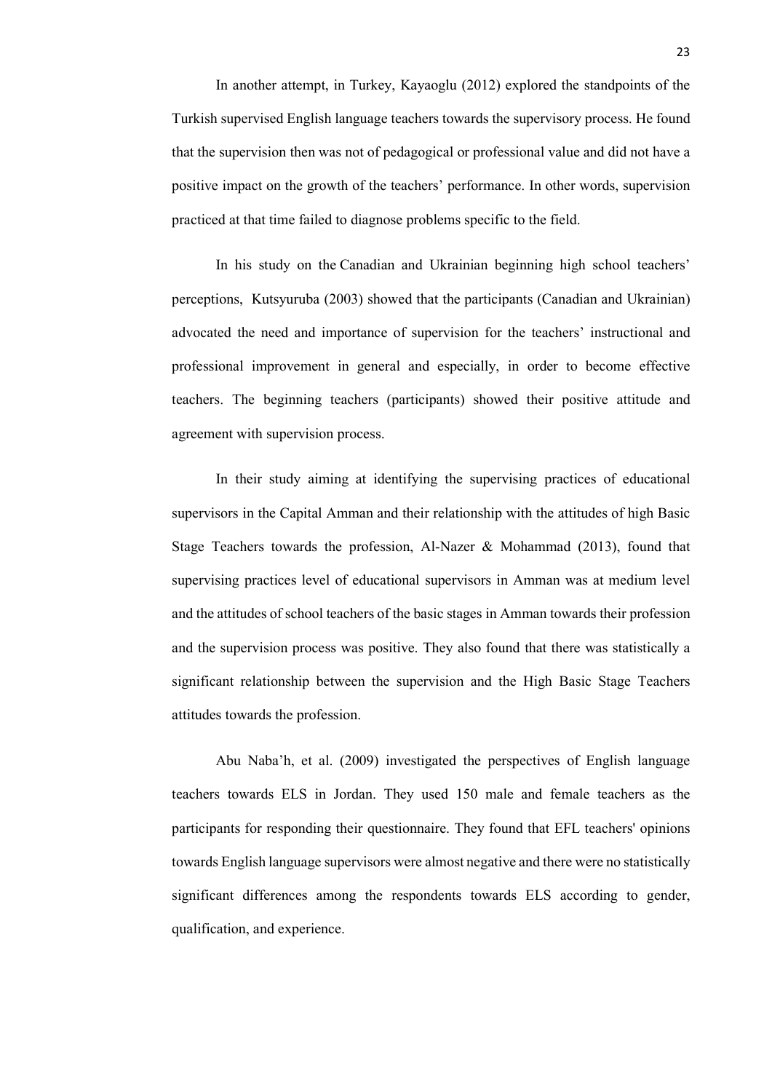In another attempt, in Turkey, Kayaoglu (2012) explored the standpoints of the Turkish supervised English language teachers towards the supervisory process. He found that the supervision then was not of pedagogical or professional value and did not have a positive impact on the growth of the teachers' performance. In other words, supervision practiced at that time failed to diagnose problems specific to the field.

In his study on the Canadian and Ukrainian beginning high school teachers' perceptions, Kutsyuruba (2003) showed that the participants (Canadian and Ukrainian) advocated the need and importance of supervision for the teachers' instructional and professional improvement in general and especially, in order to become effective teachers. The beginning teachers (participants) showed their positive attitude and agreement with supervision process.

In their study aiming at identifying the supervising practices of educational supervisors in the Capital Amman and their relationship with the attitudes of high Basic Stage Teachers towards the profession, Al-Nazer & Mohammad (2013), found that supervising practices level of educational supervisors in Amman was at medium level and the attitudes of school teachers of the basic stages in Amman towards their profession and the supervision process was positive. They also found that there was statistically a significant relationship between the supervision and the High Basic Stage Teachers attitudes towards the profession.

Abu Naba'h, et al. (2009) investigated the perspectives of English language teachers towards ELS in Jordan. They used 150 male and female teachers as the participants for responding their questionnaire. They found that EFL teachers' opinions towards English language supervisors were almost negative and there were no statistically significant differences among the respondents towards ELS according to gender, qualification, and experience.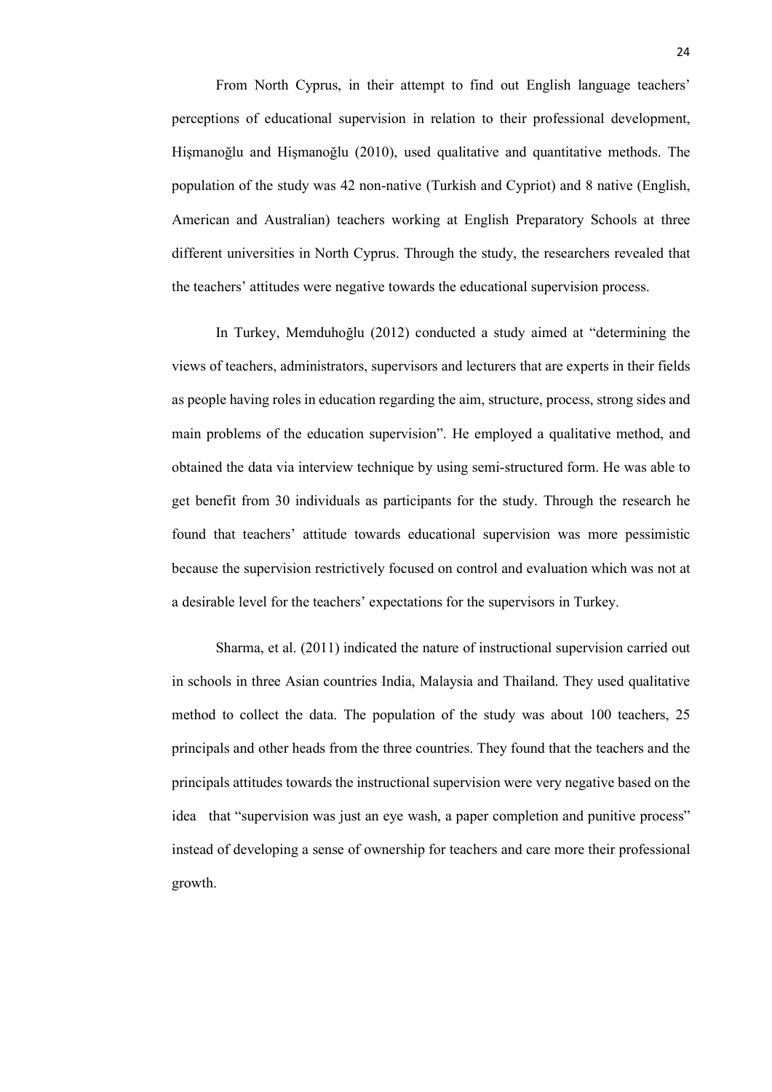From North Cyprus, in their attempt to find out English language teachers' perceptions of educational supervision in relation to their professional development, Hişmanoğlu and Hişmanoğlu (2010), used qualitative and quantitative methods. The population of the study was 42 non-native (Turkish and Cypriot) and 8 native (English, American and Australian) teachers working at English Preparatory Schools at three different universities in North Cyprus. Through the study, the researchers revealed that the teachers' attitudes were negative towards the educational supervision process.

In Turkey, Memduhoğlu (2012) conducted a study aimed at "determining the views of teachers, administrators, supervisors and lecturers that are experts in their fields as people having roles in education regarding the aim, structure, process, strong sides and main problems of the education supervision". He employed a qualitative method, and obtained the data via interview technique by using semi-structured form. He was able to get benefit from 30 individuals as participants for the study. Through the research he found that teachers' attitude towards educational supervision was more pessimistic because the supervision restrictively focused on control and evaluation which was not at a desirable level for the teachers' expectations for the supervisors in Turkey.

Sharma, et al. (2011) indicated the nature of instructional supervision carried out in schools in three Asian countries India, Malaysia and Thailand. They used qualitative method to collect the data. The population of the study was about 100 teachers, 25 principals and other heads from the three countries. They found that the teachers and the principals attitudes towards the instructional supervision were very negative based on the idea that "supervision was just an eye wash, a paper completion and punitive process" instead of developing a sense of ownership for teachers and care more their professional growth.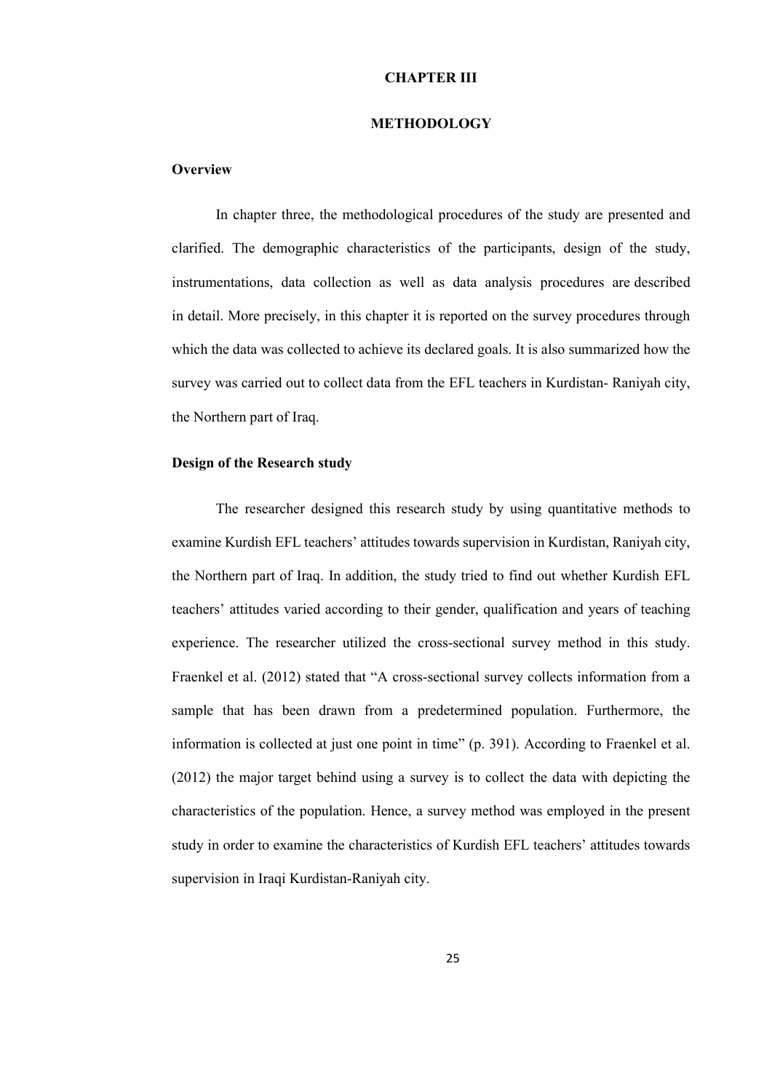#### **CHAPTER III**

#### **METHODOLOGY**

#### **Overview**

In chapter three, the methodological procedures of the study are presented and clarified. The demographic characteristics of the participants, design of the study, instrumentations, data collection as well as data analysis procedures are described in detail. More precisely, in this chapter it is reported on the survey procedures through which the data was collected to achieve its declared goals. It is also summarized how the survey was carried out to collect data from the EFL teachers in Kurdistan- Raniyah city, the Northern part of Iraq.

#### **Design of the Research study**

The researcher designed this research study by using quantitative methods to examine Kurdish EFL teachers' attitudes towards supervision in Kurdistan, Raniyah city, the Northern part of Iraq. In addition, the study tried to find out whether Kurdish EFL teachers' attitudes varied according to their gender, qualification and years of teaching experience. The researcher utilized the cross-sectional survey method in this study. Fraenkel et al. (2012) stated that "A cross-sectional survey collects information from a sample that has been drawn from a predetermined population. Furthermore, the information is collected at just one point in time" (p. 391). According to Fraenkel et al. (2012) the major target behind using a survey is to collect the data with depicting the characteristics of the population. Hence, a survey method was employed in the present study in order to examine the characteristics of Kurdish EFL teachers' attitudes towards supervision in Iraqi Kurdistan-Raniyah city.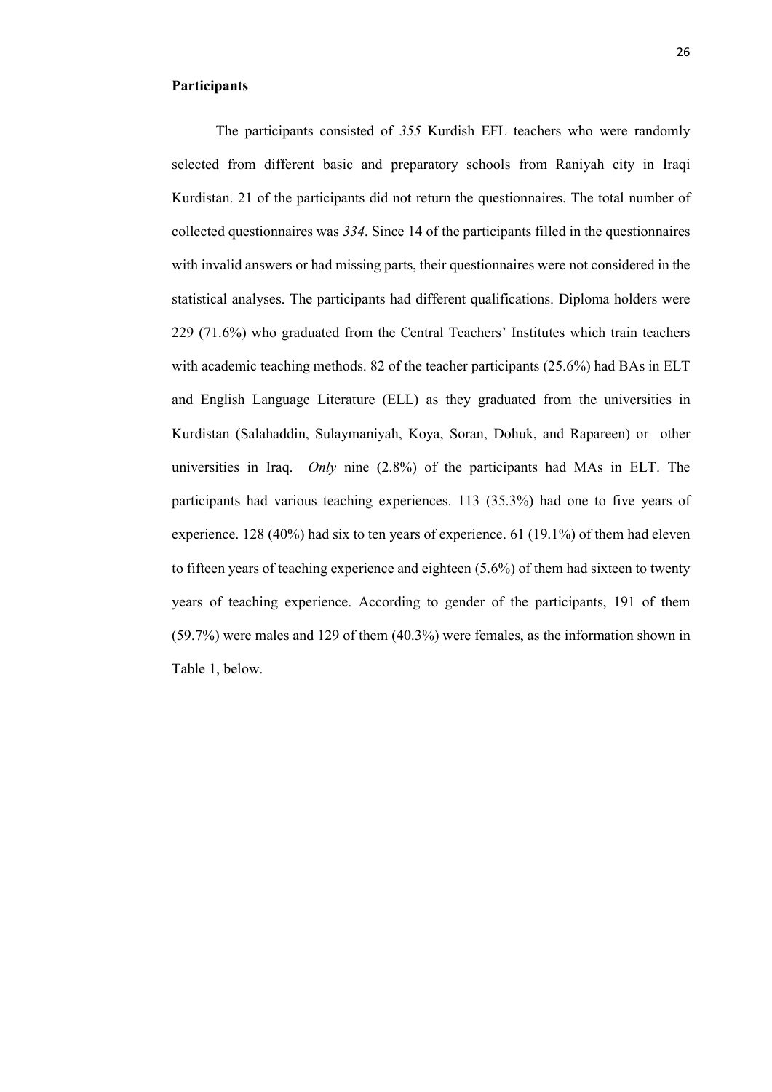#### **Participants**

The participants consisted of *355* Kurdish EFL teachers who were randomly selected from different basic and preparatory schools from Raniyah city in Iraqi Kurdistan. 21 of the participants did not return the questionnaires. The total number of collected questionnaires was *334*. Since 14 of the participants filled in the questionnaires with invalid answers or had missing parts, their questionnaires were not considered in the statistical analyses. The participants had different qualifications. Diploma holders were 229 (71.6%) who graduated from the Central Teachers' Institutes which train teachers with academic teaching methods. 82 of the teacher participants (25.6%) had BAs in ELT and English Language Literature (ELL) as they graduated from the universities in Kurdistan (Salahaddin, Sulaymaniyah, Koya, Soran, Dohuk, and Rapareen) or other universities in Iraq. *Only* nine (2.8%) of the participants had MAs in ELT. The participants had various teaching experiences. 113 (35.3%) had one to five years of experience. 128 (40%) had six to ten years of experience. 61 (19.1%) of them had eleven to fifteen years of teaching experience and eighteen (5.6%) of them had sixteen to twenty years of teaching experience. According to gender of the participants, 191 of them (59.7%) were males and 129 of them (40.3%) were females, as the information shown in Table 1, below.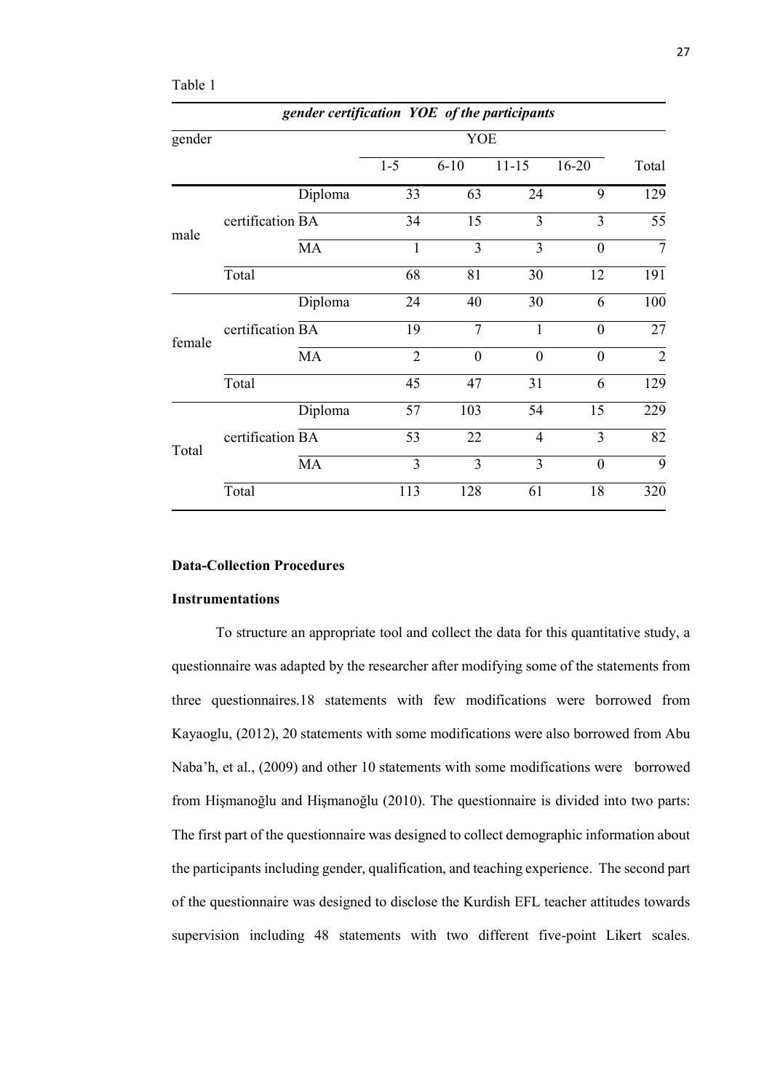| aп<br>ı |  |
|---------|--|
|         |  |
|         |  |

| gender certification YOE of the participants |                  |         |                |                |                |                |                |  |  |
|----------------------------------------------|------------------|---------|----------------|----------------|----------------|----------------|----------------|--|--|
| gender                                       |                  |         | YOE            |                |                |                |                |  |  |
|                                              |                  |         | $1 - 5$        | $6 - 10$       | $11 - 15$      | $16 - 20$      | Total          |  |  |
|                                              |                  | Diploma | 33             | 63             | 24             | 9              | 129            |  |  |
|                                              | certification BA |         | 34             | 15             | $\overline{3}$ | 3              | 55             |  |  |
| male                                         |                  | MA      | $\mathbf{1}$   | 3              | $\overline{3}$ | $\theta$       | $\overline{7}$ |  |  |
|                                              | Total            |         | 68             | 81             | 30             | 12             | 191            |  |  |
|                                              |                  | Diploma | 24             | 40             | 30             | 6              | 100            |  |  |
| female                                       | certification BA |         | 19             | $\overline{7}$ | $\mathbf{1}$   | $\overline{0}$ | 27             |  |  |
|                                              |                  | MA      | $\overline{2}$ | $\theta$       | $\theta$       | $\theta$       | $\overline{2}$ |  |  |
|                                              | Total            |         | 45             | 47             | 31             | 6              | 129            |  |  |
|                                              |                  | Diploma | 57             | 103            | 54             | 15             | 229            |  |  |
| Total                                        | certification BA |         | 53             | 22             | $\overline{4}$ | 3              | 82             |  |  |
|                                              |                  | MA      | 3              | 3              | 3              | $\overline{0}$ | 9              |  |  |
|                                              | Total            |         | 113            | 128            | 61             | 18             | 320            |  |  |

# **Data-Collection Procedures**

#### **Instrumentations**

To structure an appropriate tool and collect the data for this quantitative study, a questionnaire was adapted by the researcher after modifying some of the statements from three questionnaires.18 statements with few modifications were borrowed from Kayaoglu, (2012), 20 statements with some modifications were also borrowed from Abu Naba'h, et al., (2009) and other 10 statements with some modifications were borrowed from Hişmanoğlu and Hişmanoğlu (2010). The questionnaire is divided into two parts: The first part of the questionnaire was designed to collect demographic information about the participants including gender, qualification, and teaching experience. The second part of the questionnaire was designed to disclose the Kurdish EFL teacher attitudes towards supervision including 48 statements with two different five-point Likert scales.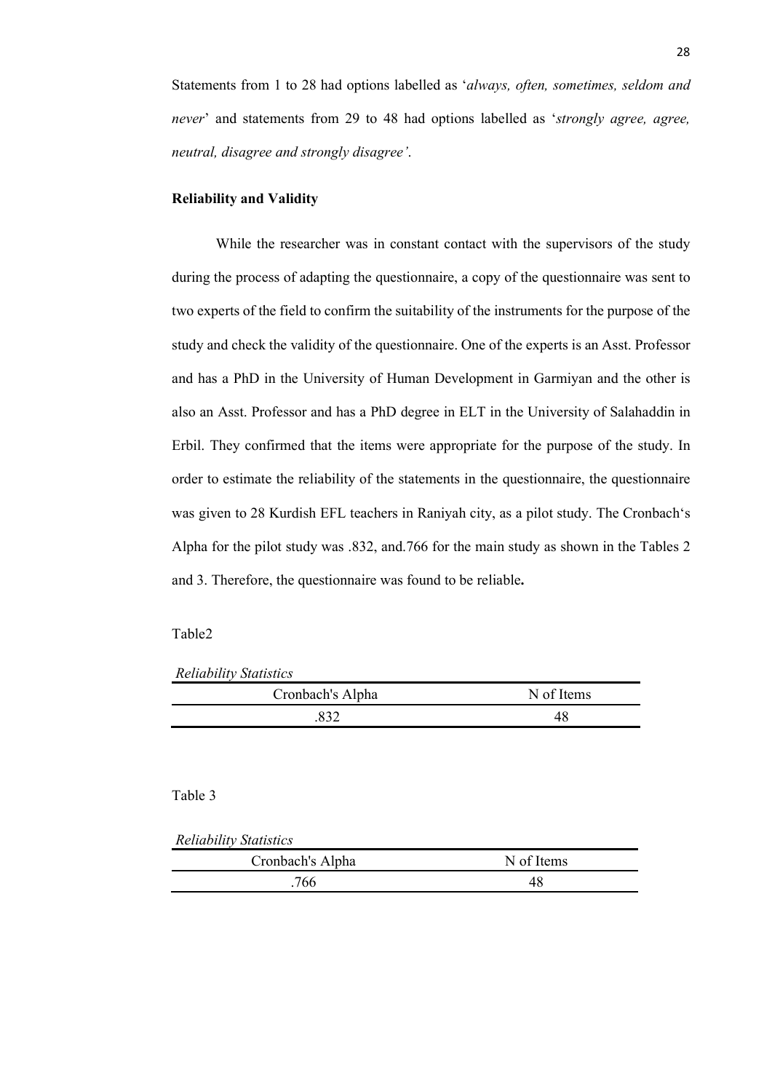Statements from 1 to 28 had options labelled as '*always, often, sometimes, seldom and never*' and statements from 29 to 48 had options labelled as '*strongly agree, agree, neutral, disagree and strongly disagree'*.

#### **Reliability and Validity**

While the researcher was in constant contact with the supervisors of the study during the process of adapting the questionnaire, a copy of the questionnaire was sent to two experts of the field to confirm the suitability of the instruments for the purpose of the study and check the validity of the questionnaire. One of the experts is an Asst. Professor and has a PhD in the University of Human Development in Garmiyan and the other is also an Asst. Professor and has a PhD degree in ELT in the University of Salahaddin in Erbil. They confirmed that the items were appropriate for the purpose of the study. In order to estimate the reliability of the statements in the questionnaire, the questionnaire was given to 28 Kurdish EFL teachers in Raniyah city, as a pilot study. The Cronbach's Alpha for the pilot study was .832, and.766 for the main study as shown in the Tables 2 and 3. Therefore, the questionnaire was found to be reliable**.** 

#### Table2

*Reliability Statistics*

| Cronbach's Alpha | N of Items |
|------------------|------------|
| 832              |            |

### Table 3

*Reliability Statistics*

| Cronbach's Alpha | N of Items |
|------------------|------------|
| 766              |            |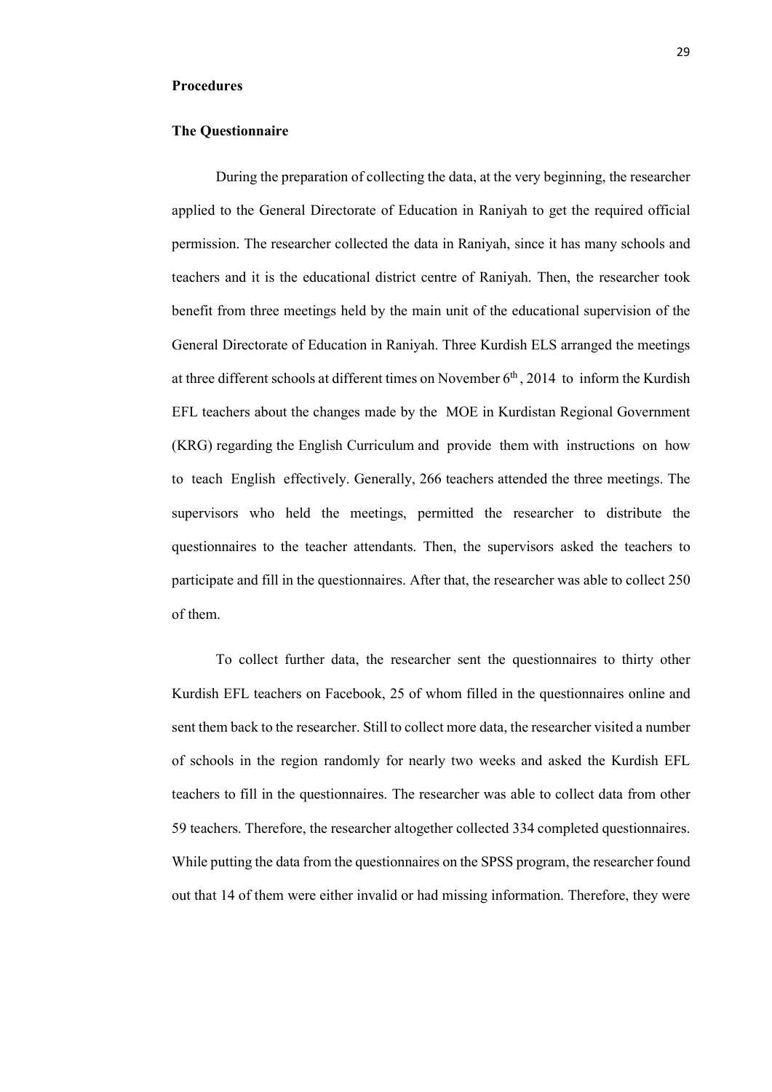#### **Procedures**

#### **The Questionnaire**

During the preparation of collecting the data, at the very beginning, the researcher applied to the General Directorate of Education in Raniyah to get the required official permission. The researcher collected the data in Raniyah, since it has many schools and teachers and it is the educational district centre of Raniyah. Then, the researcher took benefit from three meetings held by the main unit of the educational supervision of the General Directorate of Education in Raniyah. Three Kurdish ELS arranged the meetings at three different schools at different times on November  $6<sup>th</sup>$ , 2014 to inform the Kurdish EFL teachers about the changes made by the MOE in Kurdistan Regional Government (KRG) regarding the English Curriculum and provide them with instructions on how to teach English effectively. Generally, 266 teachers attended the three meetings. The supervisors who held the meetings, permitted the researcher to distribute the questionnaires to the teacher attendants. Then, the supervisors asked the teachers to participate and fill in the questionnaires. After that, the researcher was able to collect 250 of them.

To collect further data, the researcher sent the questionnaires to thirty other Kurdish EFL teachers on Facebook, 25 of whom filled in the questionnaires online and sent them back to the researcher. Still to collect more data, the researcher visited a number of schools in the region randomly for nearly two weeks and asked the Kurdish EFL teachers to fill in the questionnaires. The researcher was able to collect data from other 59 teachers. Therefore, the researcher altogether collected 334 completed questionnaires. While putting the data from the questionnaires on the SPSS program, the researcher found out that 14 of them were either invalid or had missing information. Therefore, they were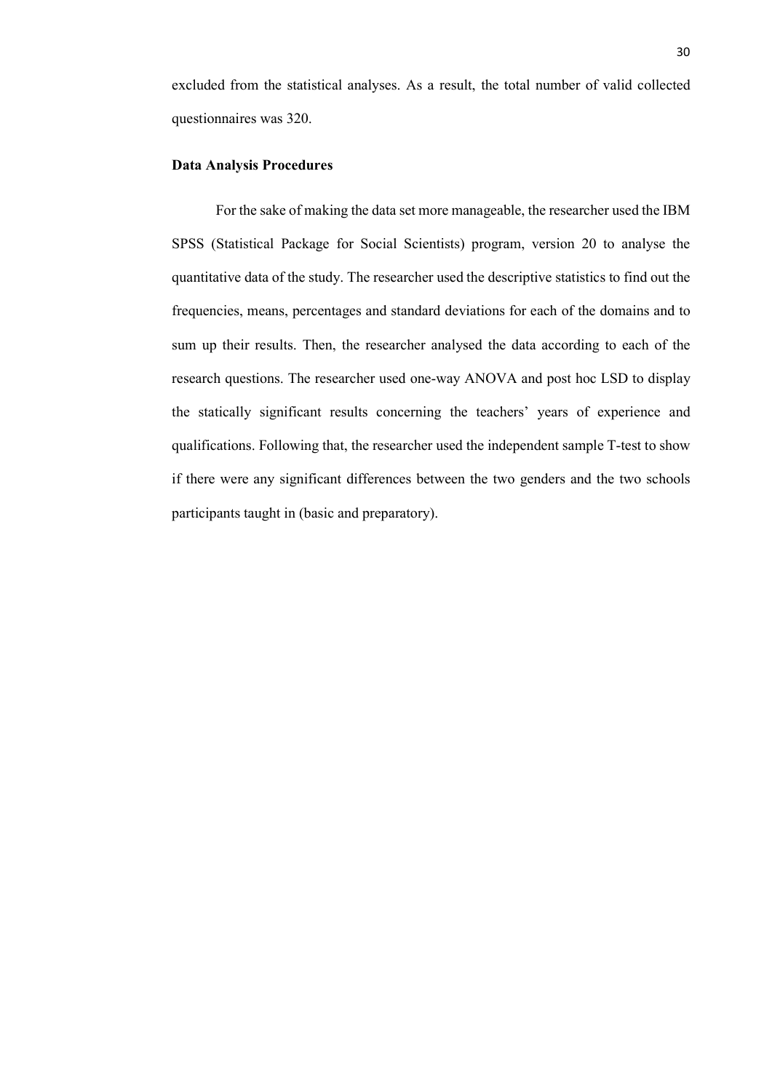excluded from the statistical analyses. As a result, the total number of valid collected questionnaires was 320.

#### **Data Analysis Procedures**

For the sake of making the data set more manageable, the researcher used the IBM SPSS (Statistical Package for Social Scientists) program, version 20 to analyse the quantitative data of the study. The researcher used the descriptive statistics to find out the frequencies, means, percentages and standard deviations for each of the domains and to sum up their results. Then, the researcher analysed the data according to each of the research questions. The researcher used one-way ANOVA and post hoc LSD to display the statically significant results concerning the teachers' years of experience and qualifications. Following that, the researcher used the independent sample T-test to show if there were any significant differences between the two genders and the two schools participants taught in (basic and preparatory).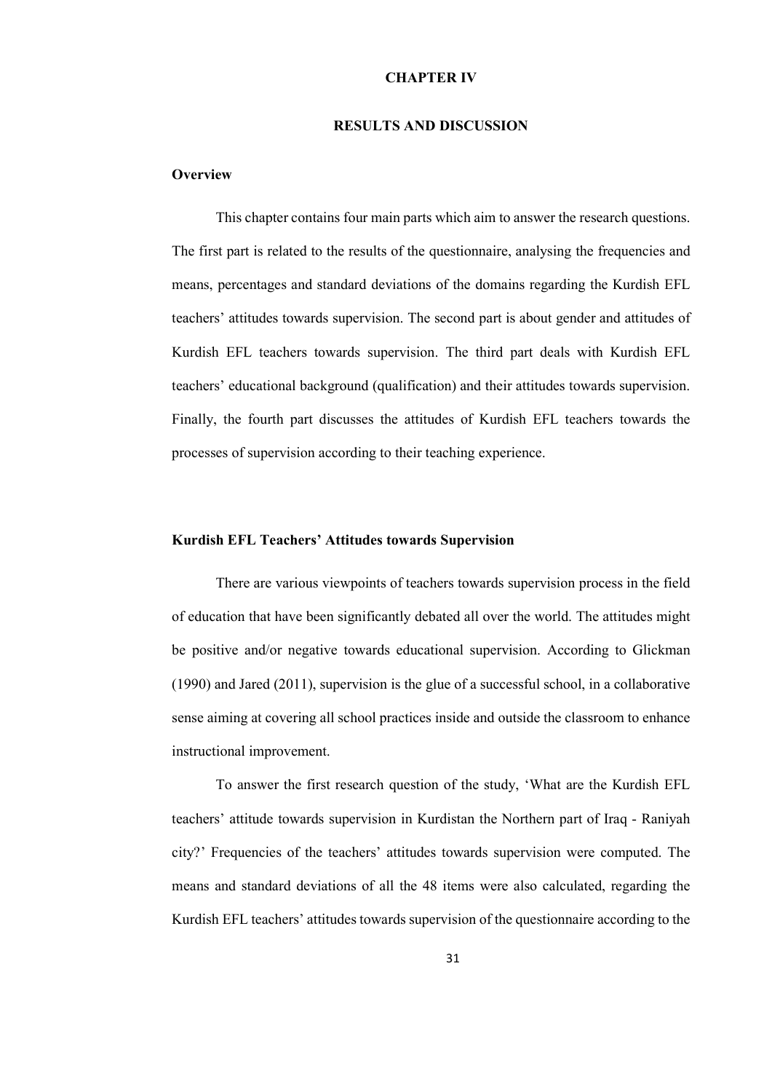#### **CHAPTER IV**

#### **RESULTS AND DISCUSSION**

#### **Overview**

This chapter contains four main parts which aim to answer the research questions. The first part is related to the results of the questionnaire, analysing the frequencies and means, percentages and standard deviations of the domains regarding the Kurdish EFL teachers' attitudes towards supervision. The second part is about gender and attitudes of Kurdish EFL teachers towards supervision. The third part deals with Kurdish EFL teachers' educational background (qualification) and their attitudes towards supervision. Finally, the fourth part discusses the attitudes of Kurdish EFL teachers towards the processes of supervision according to their teaching experience.

#### **Kurdish EFL Teachers' Attitudes towards Supervision**

There are various viewpoints of teachers towards supervision process in the field of education that have been significantly debated all over the world. The attitudes might be positive and/or negative towards educational supervision. According to Glickman (1990) and Jared (2011), supervision is the glue of a successful school, in a collaborative sense aiming at covering all school practices inside and outside the classroom to enhance instructional improvement.

To answer the first research question of the study, 'What are the Kurdish EFL teachers' attitude towards supervision in Kurdistan the Northern part of Iraq - Raniyah city?' Frequencies of the teachers' attitudes towards supervision were computed. The means and standard deviations of all the 48 items were also calculated, regarding the Kurdish EFL teachers' attitudes towards supervision of the questionnaire according to the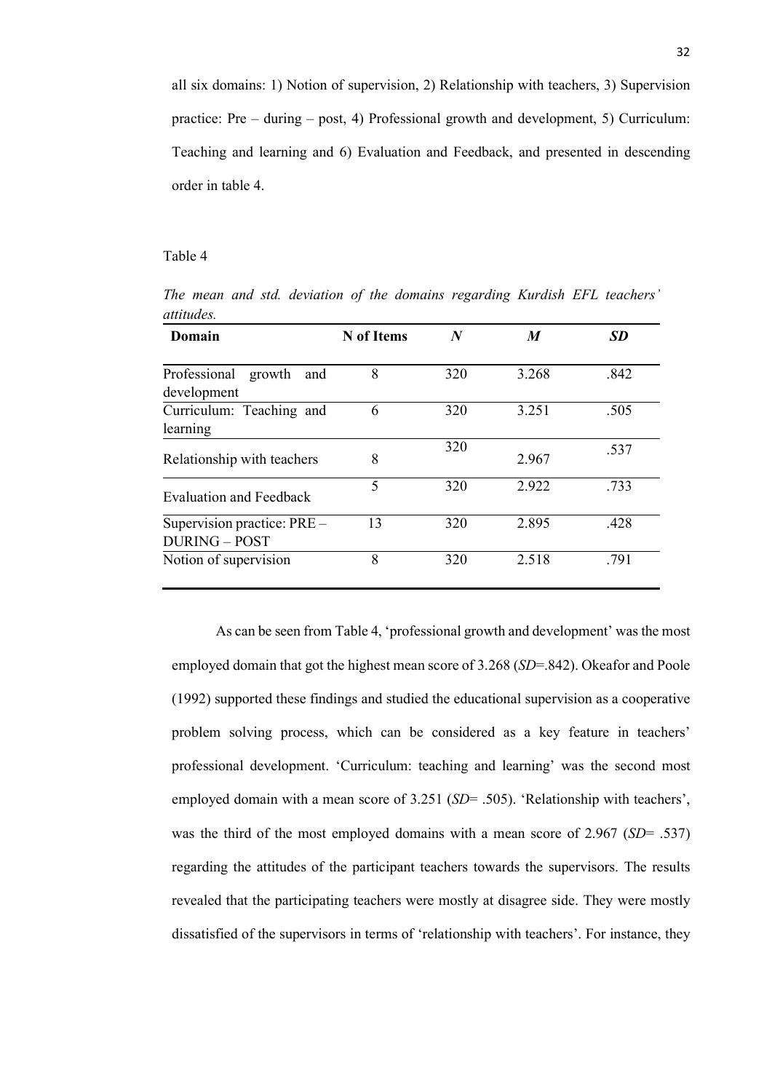all six domains: 1) Notion of supervision, 2) Relationship with teachers, 3) Supervision practice: Pre – during – post, 4) Professional growth and development, 5) Curriculum: Teaching and learning and 6) Evaluation and Feedback, and presented in descending order in table 4.

#### Table 4

| uuuuus.                                                                  |            |     |                  |           |
|--------------------------------------------------------------------------|------------|-----|------------------|-----------|
| Domain                                                                   | N of Items | N   | $\boldsymbol{M}$ | <b>SD</b> |
| Professional growth<br>and<br>development                                | 8          | 320 | 3.268            | .842      |
| Curriculum: Teaching and<br>learning                                     | 6          | 320 | 3.251            | .505      |
| Relationship with teachers                                               | 8          | 320 | 2.967            | .537      |
| <b>Evaluation and Feedback</b>                                           | 5          | 320 | 2.922            | .733      |
| $\overline{\text{Supervision practice}}$ : PRE –<br><b>DURING - POST</b> | 13         | 320 | 2.895            | .428      |
| Notion of supervision                                                    | 8          | 320 | 2.518            | .791      |

*The mean and std. deviation of the domains regarding Kurdish EFL teachers' attitudes.*

As can be seen from Table 4, 'professional growth and development' was the most employed domain that got the highest mean score of 3.268 (*SD*=.842). Okeafor and Poole (1992) supported these findings and studied the educational supervision as a cooperative problem solving process, which can be considered as a key feature in teachers' professional development. 'Curriculum: teaching and learning' was the second most employed domain with a mean score of 3.251 (*SD*= .505). 'Relationship with teachers', was the third of the most employed domains with a mean score of 2.967 (*SD*= .537) regarding the attitudes of the participant teachers towards the supervisors. The results revealed that the participating teachers were mostly at disagree side. They were mostly dissatisfied of the supervisors in terms of 'relationship with teachers'. For instance, they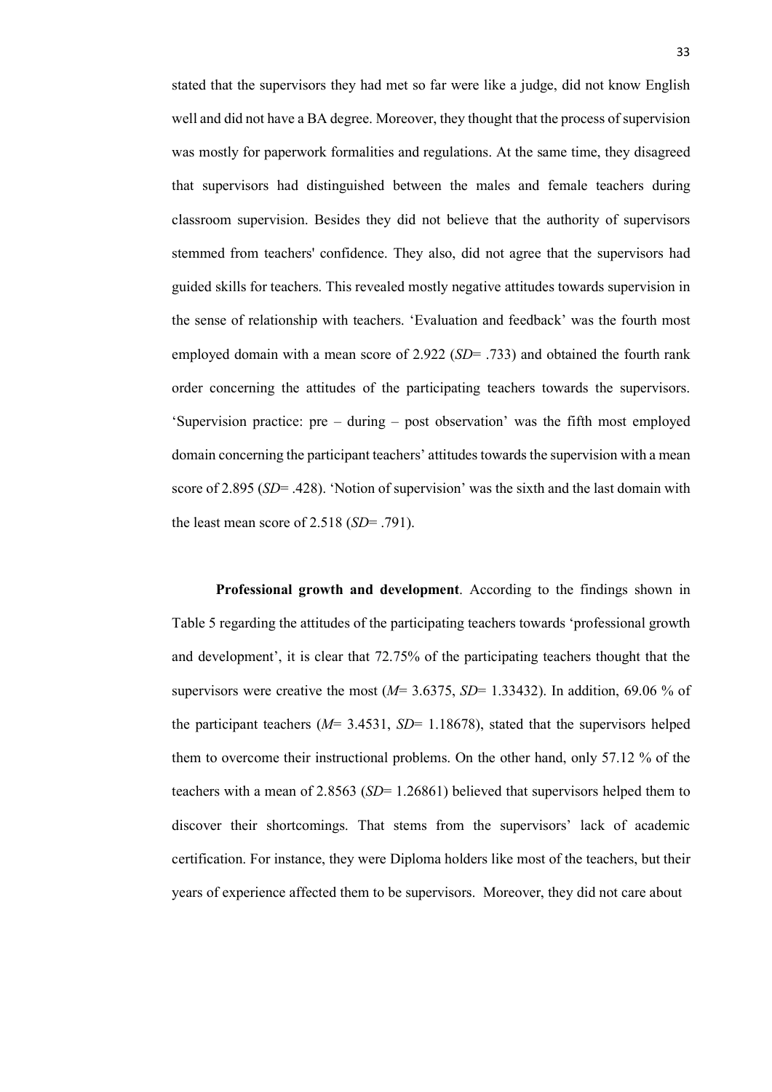stated that the supervisors they had met so far were like a judge, did not know English well and did not have a BA degree. Moreover, they thought that the process of supervision was mostly for paperwork formalities and regulations. At the same time, they disagreed that supervisors had distinguished between the males and female teachers during classroom supervision. Besides they did not believe that the authority of supervisors stemmed from teachers' confidence. They also, did not agree that the supervisors had guided skills for teachers. This revealed mostly negative attitudes towards supervision in the sense of relationship with teachers. 'Evaluation and feedback' was the fourth most employed domain with a mean score of 2.922 (*SD*= .733) and obtained the fourth rank order concerning the attitudes of the participating teachers towards the supervisors. 'Supervision practice: pre – during – post observation' was the fifth most employed domain concerning the participant teachers' attitudes towards the supervision with a mean score of 2.895 (*SD*= .428). 'Notion of supervision' was the sixth and the last domain with the least mean score of 2.518 (*SD*= .791).

**Professional growth and development**. According to the findings shown in Table 5 regarding the attitudes of the participating teachers towards 'professional growth and development', it is clear that 72.75% of the participating teachers thought that the supervisors were creative the most  $(M=3.6375, SD=1.33432)$ . In addition, 69.06 % of the participant teachers  $(M= 3.4531, SD= 1.18678)$ , stated that the supervisors helped them to overcome their instructional problems. On the other hand, only 57.12 % of the teachers with a mean of 2.8563 (*SD*= 1.26861) believed that supervisors helped them to discover their shortcomings. That stems from the supervisors' lack of academic certification. For instance, they were Diploma holders like most of the teachers, but their years of experience affected them to be supervisors. Moreover, they did not care about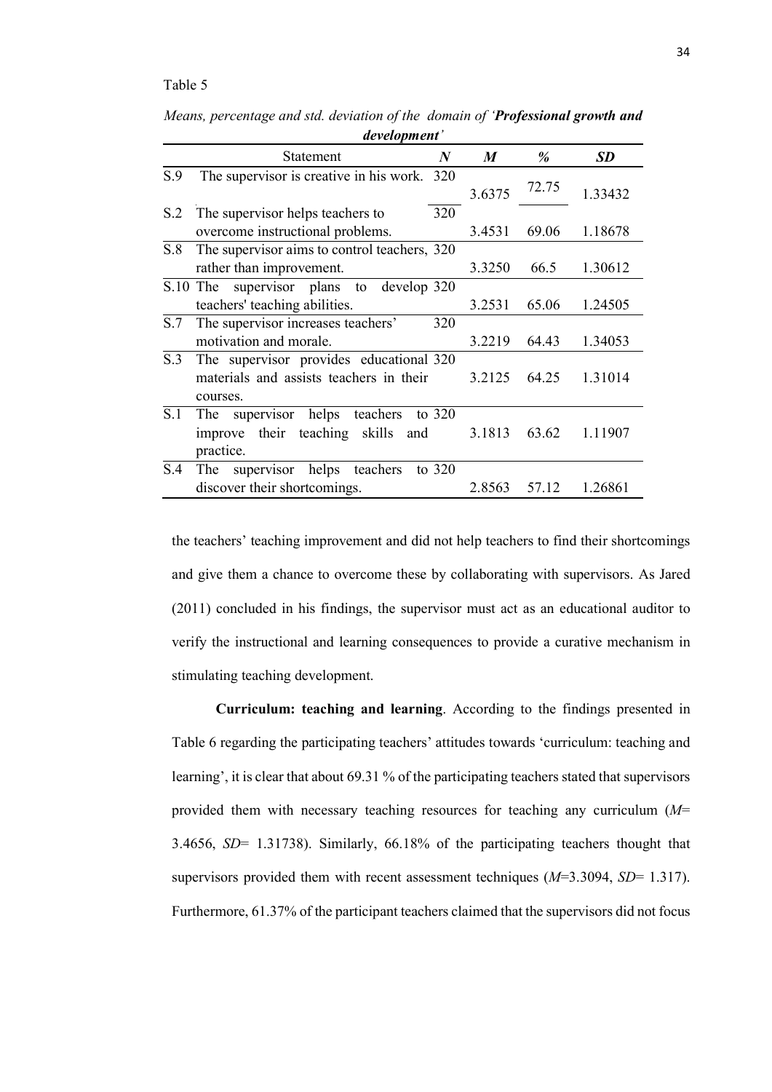#### Table 5

|          | development                                               |        |       |           |  |  |  |
|----------|-----------------------------------------------------------|--------|-------|-----------|--|--|--|
|          | $\boldsymbol{N}$<br>Statement                             | M      | %     | <b>SD</b> |  |  |  |
| S.9      | The supervisor is creative in his work. 320               | 3.6375 | 72.75 | 1.33432   |  |  |  |
| S.2      | The supervisor helps teachers to<br>320                   |        |       |           |  |  |  |
|          | overcome instructional problems.                          | 3.4531 | 69.06 | 1.18678   |  |  |  |
| S.8      | The supervisor aims to control teachers, 320              |        |       |           |  |  |  |
|          | rather than improvement.                                  | 3.3250 | 66.5  | 1.30612   |  |  |  |
| S.10 The | supervisor plans to<br>develop 320                        |        |       |           |  |  |  |
|          | teachers' teaching abilities.                             | 3.2531 | 65.06 | 1.24505   |  |  |  |
| S.7      | The supervisor increases teachers'<br>320                 |        |       |           |  |  |  |
|          | motivation and morale.                                    | 3.2219 | 64.43 | 1.34053   |  |  |  |
| S.3      | The supervisor provides educational 320                   |        |       |           |  |  |  |
|          | materials and assists teachers in their<br>courses.       | 3.2125 | 64.25 | 1.31014   |  |  |  |
| S.1      | helps<br>teachers<br>supervisor<br>to $320$<br><b>The</b> |        |       |           |  |  |  |
|          | their teaching<br>skills<br>improve<br>and                | 3.1813 | 63.62 | 1.11907   |  |  |  |
|          | practice.                                                 |        |       |           |  |  |  |
| S.4      | supervisor<br>helps<br>teachers<br>to $320$<br><b>The</b> |        |       |           |  |  |  |
|          | discover their shortcomings.                              | 2.8563 | 57.12 | 1.26861   |  |  |  |

*Means, percentage and std. deviation of the domain of 'Professional growth and development'*

the teachers' teaching improvement and did not help teachers to find their shortcomings and give them a chance to overcome these by collaborating with supervisors. As Jared (2011) concluded in his findings, the supervisor must act as an educational auditor to verify the instructional and learning consequences to provide a curative mechanism in stimulating teaching development.

**Curriculum: teaching and learning**. According to the findings presented in Table 6 regarding the participating teachers' attitudes towards 'curriculum: teaching and learning', it is clear that about 69.31 % of the participating teachers stated that supervisors provided them with necessary teaching resources for teaching any curriculum (*M*= 3.4656, *SD*= 1.31738). Similarly, 66.18% of the participating teachers thought that supervisors provided them with recent assessment techniques (*M*=3.3094, *SD*= 1.317). Furthermore, 61.37% of the participant teachers claimed that the supervisors did not focus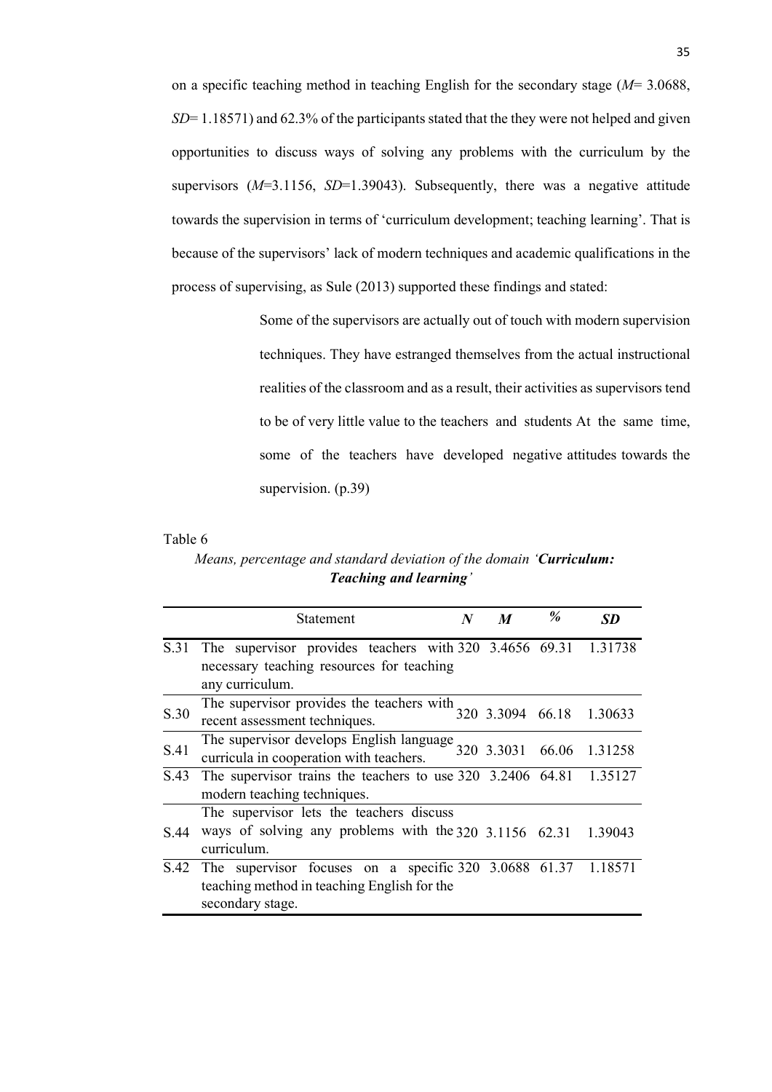on a specific teaching method in teaching English for the secondary stage (*M*= 3.0688, *SD*= 1.18571) and 62.3% of the participants stated that the they were not helped and given opportunities to discuss ways of solving any problems with the curriculum by the supervisors  $(M=3.1156, SD=1.39043)$ . Subsequently, there was a negative attitude towards the supervision in terms of 'curriculum development; teaching learning'. That is because of the supervisors' lack of modern techniques and academic qualifications in the process of supervising, as Sule (2013) supported these findings and stated:

> Some of the supervisors are actually out of touch with modern supervision techniques. They have estranged themselves from the actual instructional realities of the classroom and as a result, their activities as supervisors tend to be of very little value to the teachers and students At the same time, some of the teachers have developed negative attitudes towards the supervision. (p.39)

Table 6

 *Means, percentage and standard deviation of the domain 'Curriculum: Teaching and learning'*

|      | Statement                                                                                                                              | $\boldsymbol{N}$ | $\boldsymbol{M}$ | % | SD            |
|------|----------------------------------------------------------------------------------------------------------------------------------------|------------------|------------------|---|---------------|
| S.31 | The supervisor provides teachers with $320$ $3.4656$ $69.31$ $1.31738$<br>necessary teaching resources for teaching<br>any curriculum. |                  |                  |   |               |
| S.30 | The supervisor provides the teachers with<br>recent assessment techniques.                                                             |                  | 320 3.3094 66.18 |   | 1.30633       |
| S.41 | The supervisor develops English language 320 3.3031<br>curricula in cooperation with teachers.                                         |                  |                  |   | 66.06 1.31258 |
| S.43 | The supervisor trains the teachers to use $320$ $3.2406$ $64.81$ $1.35127$<br>modern teaching techniques.                              |                  |                  |   |               |
|      | The supervisor lets the teachers discuss                                                                                               |                  |                  |   |               |
| S 44 | ways of solving any problems with the 320 3.1156 62.31<br>curriculum.                                                                  |                  |                  |   | 1.39043       |
| S.42 | The supervisor focuses on a specific 320 3.0688 61.37<br>teaching method in teaching English for the<br>secondary stage.               |                  |                  |   | 1.18571       |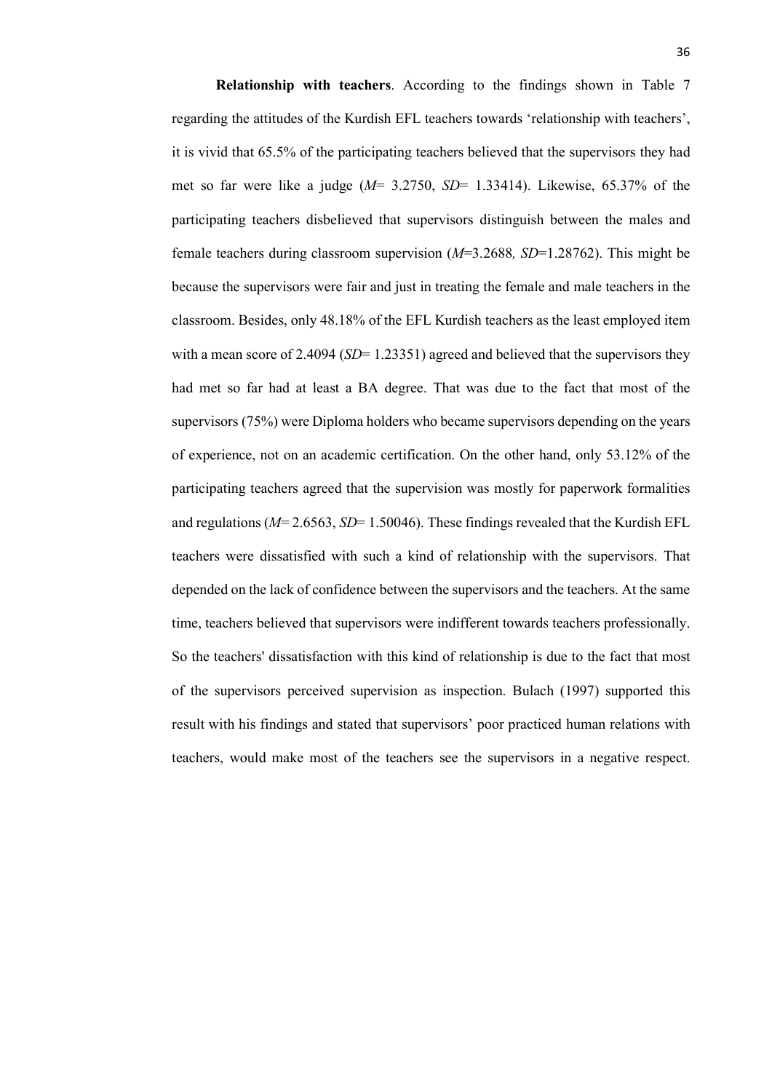**Relationship with teachers**. According to the findings shown in Table 7 regarding the attitudes of the Kurdish EFL teachers towards 'relationship with teachers', it is vivid that 65.5% of the participating teachers believed that the supervisors they had met so far were like a judge (*M*= 3.2750, *SD*= 1.33414). Likewise, 65.37% of the participating teachers disbelieved that supervisors distinguish between the males and female teachers during classroom supervision (*M*=3.2688*, SD*=1.28762). This might be because the supervisors were fair and just in treating the female and male teachers in the classroom. Besides, only 48.18% of the EFL Kurdish teachers as the least employed item with a mean score of 2.4094 (*SD*= 1.23351) agreed and believed that the supervisors they had met so far had at least a BA degree. That was due to the fact that most of the supervisors (75%) were Diploma holders who became supervisors depending on the years of experience, not on an academic certification. On the other hand, only 53.12% of the participating teachers agreed that the supervision was mostly for paperwork formalities and regulations (*M*= 2.6563, *SD*= 1.50046). These findings revealed that the Kurdish EFL teachers were dissatisfied with such a kind of relationship with the supervisors. That depended on the lack of confidence between the supervisors and the teachers. At the same time, teachers believed that supervisors were indifferent towards teachers professionally. So the teachers' dissatisfaction with this kind of relationship is due to the fact that most of the supervisors perceived supervision as inspection. Bulach (1997) supported this result with his findings and stated that supervisors' poor practiced human relations with teachers, would make most of the teachers see the supervisors in a negative respect.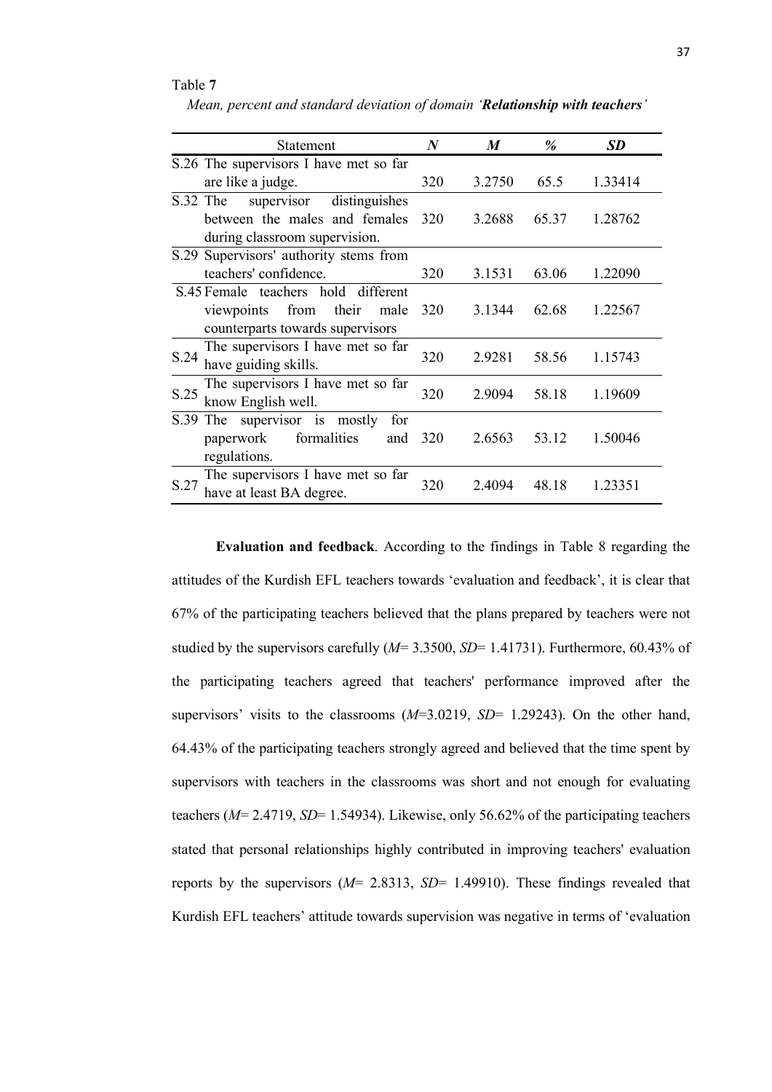#### Table **7**

|          | <b>Statement</b>                       | $\bm{N}$ | $\boldsymbol{M}$ | %     | <b>SD</b> |
|----------|----------------------------------------|----------|------------------|-------|-----------|
|          | S.26 The supervisors I have met so far |          |                  |       |           |
|          | are like a judge.                      | 320      | 3.2750           | 65.5  | 1.33414   |
| S.32 The | supervisor distinguishes               |          |                  |       |           |
|          | between the males and females          | 320      | 3.2688           | 65.37 | 1.28762   |
|          | during classroom supervision.          |          |                  |       |           |
|          | S.29 Supervisors' authority stems from |          |                  |       |           |
|          | teachers' confidence.                  | 320      | 3.1531           | 63.06 | 1.22090   |
|          | S.45 Female teachers hold different    |          |                  |       |           |
|          | viewpoints from<br>their<br>male       | 320      | 3.1344           | 62.68 | 1.22567   |
|          | counterparts towards supervisors       |          |                  |       |           |
| S.24     | The supervisors I have met so far      | 320      | 2.9281           | 58.56 | 1.15743   |
|          | have guiding skills.                   |          |                  |       |           |
| S.25     | The supervisors I have met so far      | 320      | 2.9094           | 58.18 | 1.19609   |
|          | know English well.                     |          |                  |       |           |
| S.39 The | supervisor is mostly<br>for            |          |                  |       |           |
|          | formalities<br>paperwork<br>and        | 320      | 2.6563           | 53.12 | 1.50046   |
|          | regulations.                           |          |                  |       |           |
|          | The supervisors I have met so far      |          |                  |       |           |
| S.27     | have at least BA degree.               | 320      | 2.4094           | 48.18 | 1.23351   |

**Evaluation and feedback**. According to the findings in Table 8 regarding the attitudes of the Kurdish EFL teachers towards 'evaluation and feedback', it is clear that 67% of the participating teachers believed that the plans prepared by teachers were not studied by the supervisors carefully (*M*= 3.3500, *SD*= 1.41731). Furthermore, 60.43% of the participating teachers agreed that teachers' performance improved after the supervisors' visits to the classrooms (*M*=3.0219, *SD*= 1.29243). On the other hand, 64.43% of the participating teachers strongly agreed and believed that the time spent by supervisors with teachers in the classrooms was short and not enough for evaluating teachers (*M*= 2.4719, *SD*= 1.54934). Likewise, only 56.62% of the participating teachers stated that personal relationships highly contributed in improving teachers' evaluation reports by the supervisors (*M*= 2.8313, *SD*= 1.49910). These findings revealed that Kurdish EFL teachers' attitude towards supervision was negative in terms of 'evaluation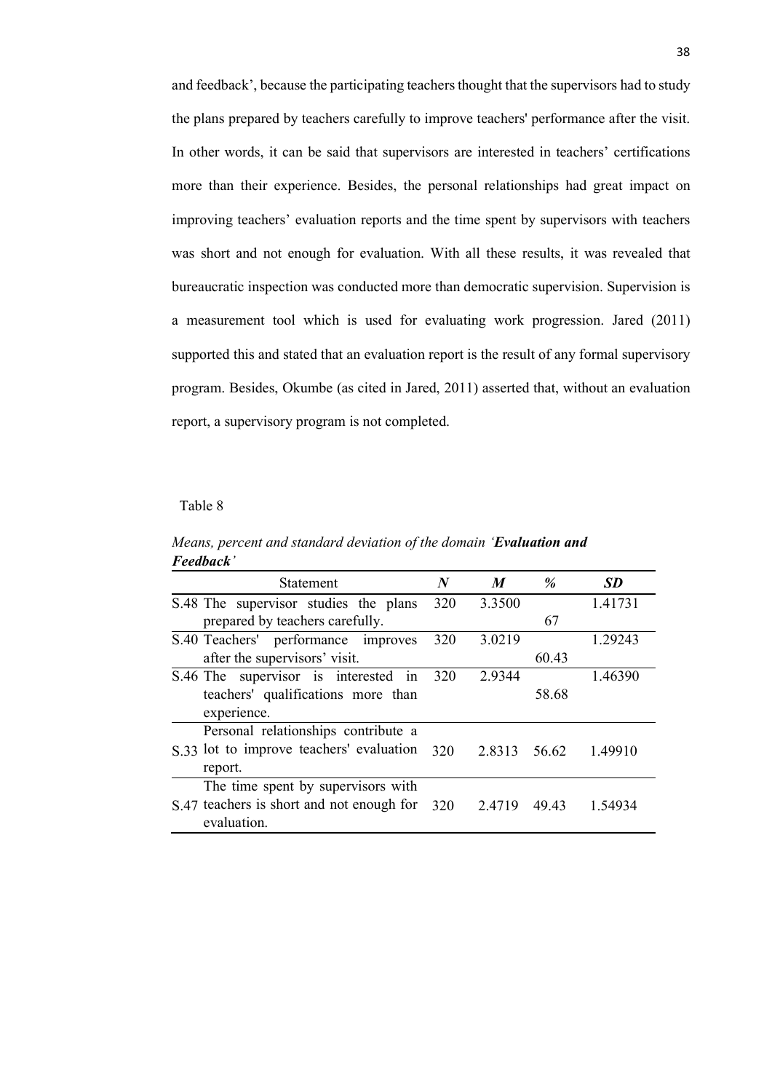and feedback', because the participating teachers thought that the supervisors had to study the plans prepared by teachers carefully to improve teachers' performance after the visit. In other words, it can be said that supervisors are interested in teachers' certifications more than their experience. Besides, the personal relationships had great impact on improving teachers' evaluation reports and the time spent by supervisors with teachers was short and not enough for evaluation. With all these results, it was revealed that bureaucratic inspection was conducted more than democratic supervision. Supervision is a measurement tool which is used for evaluating work progression. Jared (2011) supported this and stated that an evaluation report is the result of any formal supervisory program. Besides, Okumbe (as cited in Jared, 2011) asserted that, without an evaluation report, a supervisory program is not completed.

#### Table 8

| r eeuvuck                                 |     |                  |       |           |
|-------------------------------------------|-----|------------------|-------|-----------|
| <b>Statement</b>                          | N   | $\boldsymbol{M}$ | $\%$  | <b>SD</b> |
| S.48 The supervisor studies the plans     | 320 | 3.3500           |       | 1.41731   |
| prepared by teachers carefully.           |     |                  | 67    |           |
| S.40 Teachers' performance improves       | 320 | 3.0219           |       | 1.29243   |
| after the supervisors' visit.             |     |                  | 60.43 |           |
| S.46 The supervisor is interested<br>1n   | 320 | 2.9344           |       | 1.46390   |
| teachers' qualifications more than        |     |                  | 58.68 |           |
| experience.                               |     |                  |       |           |
| Personal relationships contribute a       |     |                  |       |           |
| S.33 lot to improve teachers' evaluation  | 320 | 2.8313           | 56.62 | 1.49910   |
| report.                                   |     |                  |       |           |
| The time spent by supervisors with        |     |                  |       |           |
| S.47 teachers is short and not enough for | 320 | 2.4719           | 4943  | 1.54934   |
| evaluation.                               |     |                  |       |           |

*Means, percent and standard deviation of the domain 'Evaluation and Feedback'*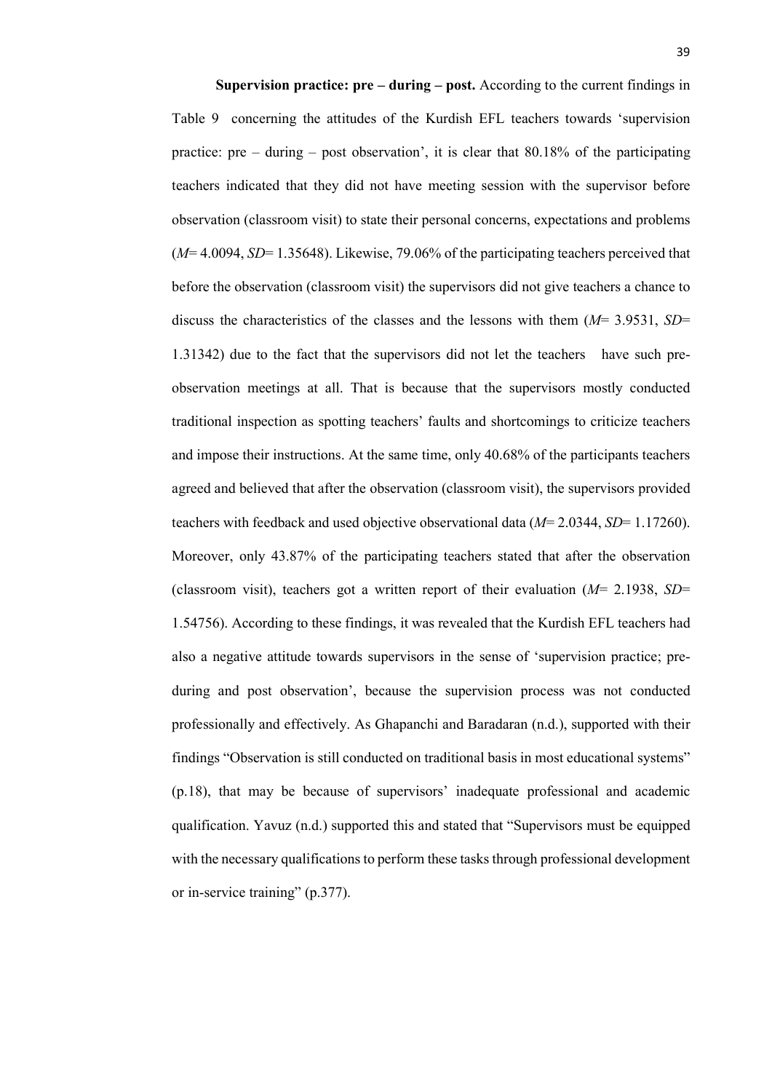**Supervision practice: pre – during – post.** According to the current findings in Table 9 concerning the attitudes of the Kurdish EFL teachers towards 'supervision practice: pre – during – post observation', it is clear that  $80.18\%$  of the participating teachers indicated that they did not have meeting session with the supervisor before observation (classroom visit) to state their personal concerns, expectations and problems (*M*= 4.0094, *SD*= 1.35648). Likewise, 79.06% of the participating teachers perceived that before the observation (classroom visit) the supervisors did not give teachers a chance to discuss the characteristics of the classes and the lessons with them (*M*= 3.9531, *SD*= 1.31342) due to the fact that the supervisors did not let the teachers have such preobservation meetings at all. That is because that the supervisors mostly conducted traditional inspection as spotting teachers' faults and shortcomings to criticize teachers and impose their instructions. At the same time, only 40.68% of the participants teachers agreed and believed that after the observation (classroom visit), the supervisors provided teachers with feedback and used objective observational data (*M*= 2.0344, *SD*= 1.17260). Moreover, only 43.87% of the participating teachers stated that after the observation (classroom visit), teachers got a written report of their evaluation (*M*= 2.1938, *SD*= 1.54756). According to these findings, it was revealed that the Kurdish EFL teachers had also a negative attitude towards supervisors in the sense of 'supervision practice; preduring and post observation', because the supervision process was not conducted professionally and effectively. As Ghapanchi and Baradaran (n.d.), supported with their findings "Observation is still conducted on traditional basis in most educational systems" (p.18), that may be because of supervisors' inadequate professional and academic qualification. Yavuz (n.d.) supported this and stated that "Supervisors must be equipped with the necessary qualifications to perform these tasks through professional development or in-service training" (p.377).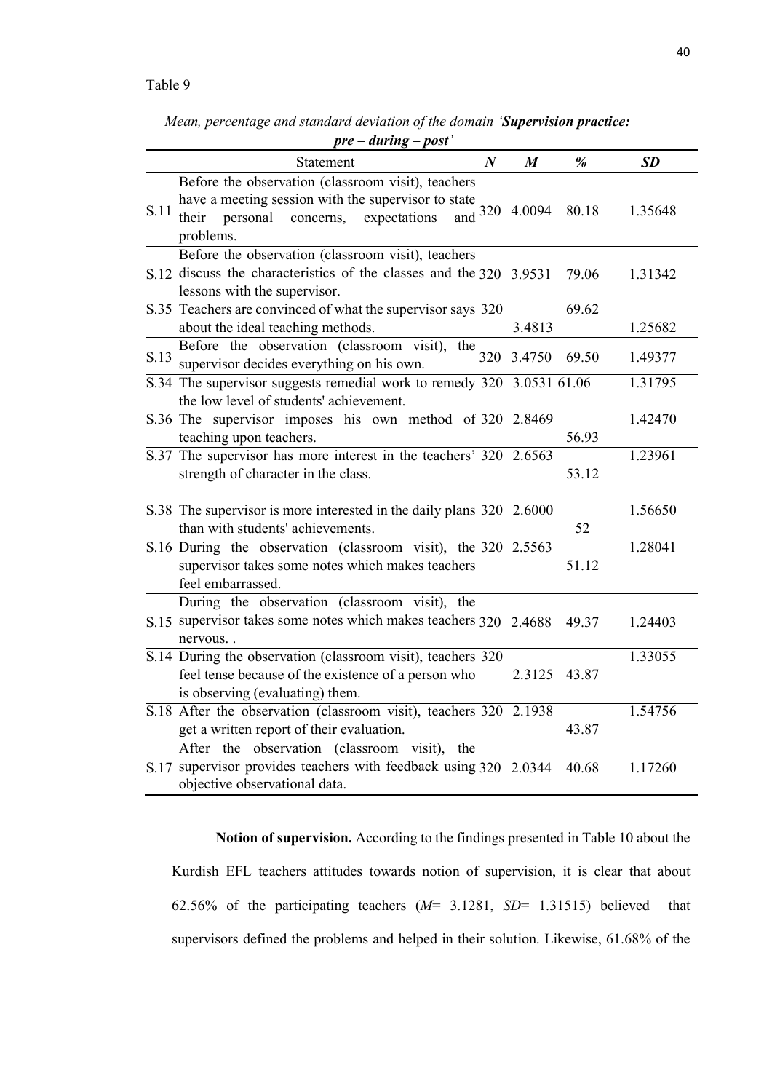*Mean, percentage and standard deviation of the domain 'Supervision practice:* 

|      | $pre-during - post'$                                                                                                                                                  |   |                  |       |                      |  |  |
|------|-----------------------------------------------------------------------------------------------------------------------------------------------------------------------|---|------------------|-------|----------------------|--|--|
|      | Statement                                                                                                                                                             | N | $\boldsymbol{M}$ | %     | <b>SD</b>            |  |  |
| S.11 | Before the observation (classroom visit), teachers<br>have a meeting session with the supervisor to state<br>personal<br>concerns, expectations<br>their<br>problems. |   | and $320$ 4.0094 | 80.18 | 1.35648              |  |  |
|      | Before the observation (classroom visit), teachers<br>S.12 discuss the characteristics of the classes and the 320 3.9531<br>lessons with the supervisor.              |   |                  | 79.06 | 1.31342              |  |  |
|      | S.35 Teachers are convinced of what the supervisor says 320<br>about the ideal teaching methods.                                                                      |   | 3.4813           | 69.62 | 1.25682              |  |  |
| S.13 | Before the observation (classroom visit),<br>$\overline{the}$ 320<br>supervisor decides everything on his own.                                                        |   | 3.4750           | 69.50 | 1.49377              |  |  |
|      | S.34 The supervisor suggests remedial work to remedy 320 3.0531 61.06<br>the low level of students' achievement.                                                      |   |                  |       | 1.31795              |  |  |
|      | S.36 The supervisor imposes his own method of 320 2.8469<br>teaching upon teachers.                                                                                   |   |                  | 56.93 | 1.42470              |  |  |
|      | S.37 The supervisor has more interest in the teachers' 320 2.6563<br>strength of character in the class.                                                              |   |                  | 53.12 | $1.23\overline{961}$ |  |  |
|      | S.38 The supervisor is more interested in the daily plans 320 2.6000<br>than with students' achievements.                                                             |   |                  | 52    | 1.56650              |  |  |
|      | S.16 During the observation (classroom visit), the 320 2.5563<br>supervisor takes some notes which makes teachers<br>feel embarrassed.                                |   |                  | 51.12 | 1.28041              |  |  |
|      | During the observation (classroom visit), the<br>S.15 supervisor takes some notes which makes teachers 320 2.4688<br>nervous                                          |   |                  | 49.37 | 1.24403              |  |  |
|      | S.14 During the observation (classroom visit), teachers 320<br>feel tense because of the existence of a person who<br>is observing (evaluating) them.                 |   | 2.3125           | 43.87 | 1.33055              |  |  |
|      | S.18 After the observation (classroom visit), teachers 320 2.1938<br>get a written report of their evaluation.                                                        |   |                  | 43.87 | 1.54756              |  |  |
|      | After the observation (classroom visit),<br>the<br>S.17 supervisor provides teachers with feedback using 320 2.0344<br>objective observational data.                  |   |                  | 40.68 | 1.17260              |  |  |

**Notion of supervision.** According to the findings presented in Table 10 about the Kurdish EFL teachers attitudes towards notion of supervision, it is clear that about 62.56% of the participating teachers (*M*= 3.1281, *SD*= 1.31515) believed that supervisors defined the problems and helped in their solution. Likewise, 61.68% of the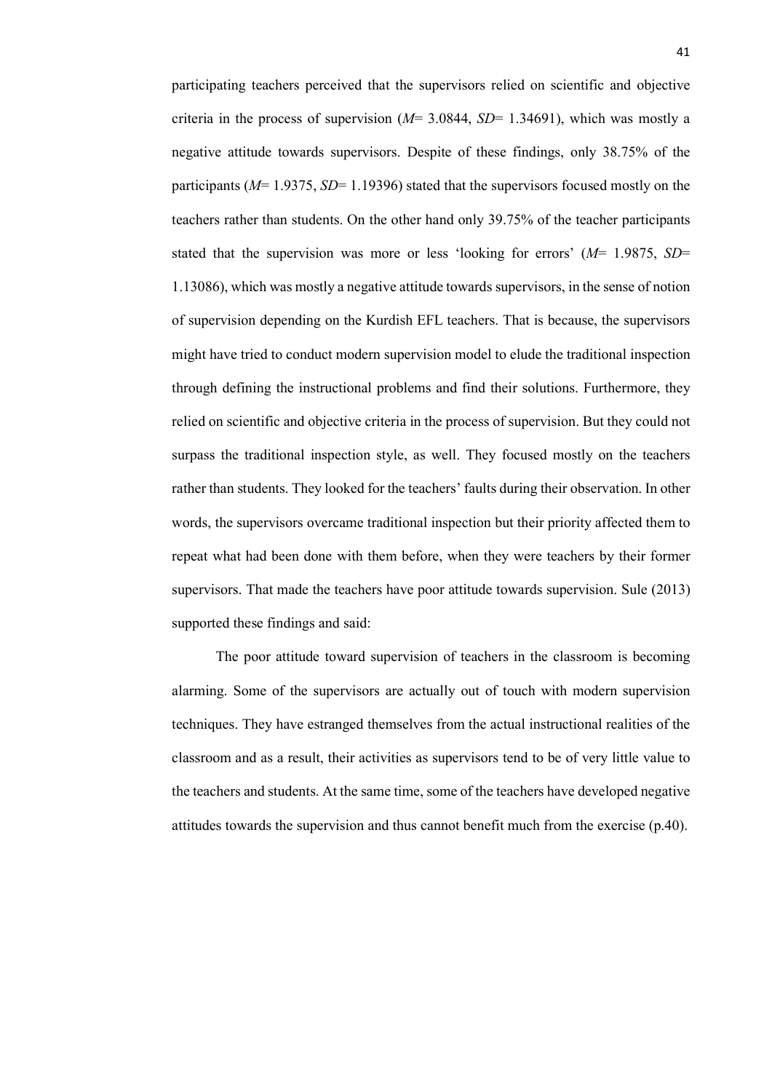participating teachers perceived that the supervisors relied on scientific and objective criteria in the process of supervision  $(M=3.0844, SD=1.34691)$ , which was mostly a negative attitude towards supervisors. Despite of these findings, only 38.75% of the participants (*M*= 1.9375, *SD*= 1.19396) stated that the supervisors focused mostly on the teachers rather than students. On the other hand only 39.75% of the teacher participants stated that the supervision was more or less 'looking for errors' (*M*= 1.9875, *SD*= 1.13086), which was mostly a negative attitude towards supervisors, in the sense of notion of supervision depending on the Kurdish EFL teachers. That is because, the supervisors might have tried to conduct modern supervision model to elude the traditional inspection through defining the instructional problems and find their solutions. Furthermore, they relied on scientific and objective criteria in the process of supervision. But they could not surpass the traditional inspection style, as well. They focused mostly on the teachers rather than students. They looked for the teachers' faults during their observation. In other words, the supervisors overcame traditional inspection but their priority affected them to repeat what had been done with them before, when they were teachers by their former supervisors. That made the teachers have poor attitude towards supervision. Sule (2013) supported these findings and said:

The poor attitude toward supervision of teachers in the classroom is becoming alarming. Some of the supervisors are actually out of touch with modern supervision techniques. They have estranged themselves from the actual instructional realities of the classroom and as a result, their activities as supervisors tend to be of very little value to the teachers and students. At the same time, some of the teachers have developed negative attitudes towards the supervision and thus cannot benefit much from the exercise (p.40).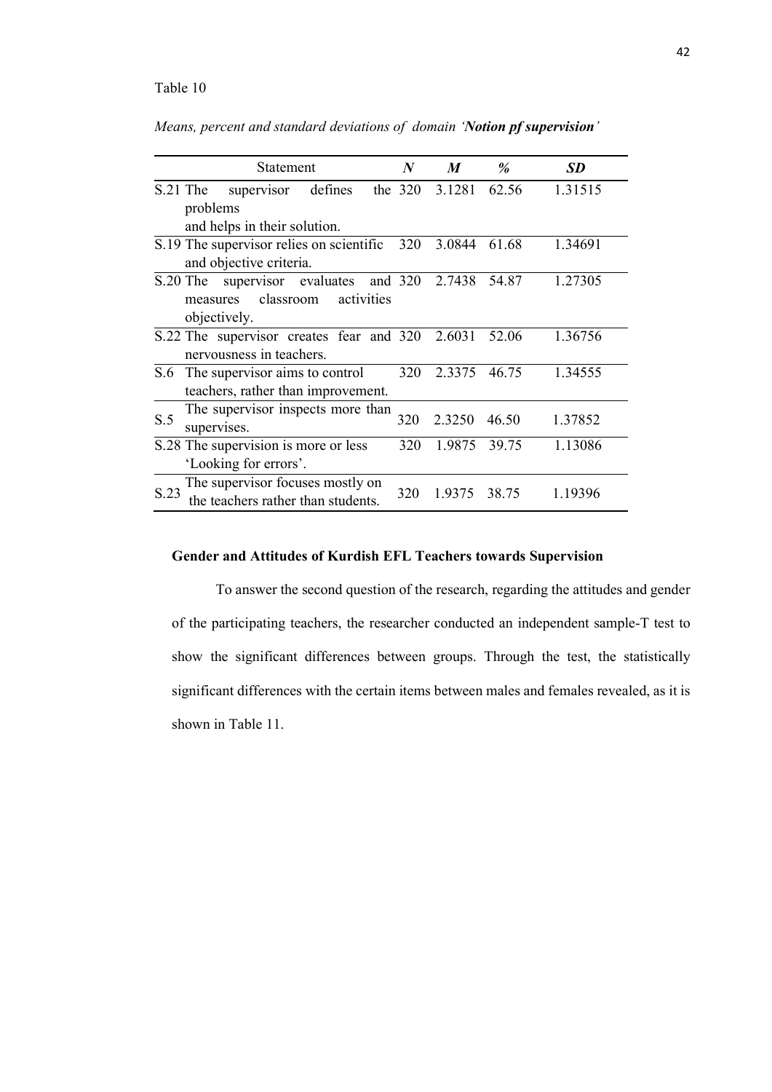*Means, percent and standard deviations of domain 'Notion pf supervision'*

|          | Statement                                                                                           | $\boldsymbol{N}$ | M      | $\%$  | <b>SD</b> |
|----------|-----------------------------------------------------------------------------------------------------|------------------|--------|-------|-----------|
| S.21 The | defines<br>supervisor<br>problems                                                                   | the $320$        | 3.1281 | 62.56 | 1.31515   |
|          | and helps in their solution.<br>S.19 The supervisor relies on scientific<br>and objective criteria. | 320              | 3.0844 | 61.68 | 1.34691   |
| S.20 The | supervisor evaluates and 320<br>classroom<br>activities<br>measures<br>objectively.                 |                  | 2.7438 | 54.87 | 1.27305   |
|          | S.22 The supervisor creates fear and 320<br>nervousness in teachers.                                |                  | 2.6031 | 52.06 | 1.36756   |
| S.6      | The supervisor aims to control<br>teachers, rather than improvement.                                | 320              | 2.3375 | 46.75 | 1.34555   |
| S.5      | The supervisor inspects more than<br>supervises.                                                    | 320              | 2.3250 | 46.50 | 1.37852   |
|          | S.28 The supervision is more or less<br>'Looking for errors'.                                       | 320              | 1.9875 | 39.75 | 1.13086   |
| S.23     | The supervisor focuses mostly on<br>the teachers rather than students.                              | 320              | 1.9375 | 38.75 | 1.19396   |

## **Gender and Attitudes of Kurdish EFL Teachers towards Supervision**

To answer the second question of the research, regarding the attitudes and gender of the participating teachers, the researcher conducted an independent sample-T test to show the significant differences between groups. Through the test, the statistically significant differences with the certain items between males and females revealed, as it is shown in Table 11.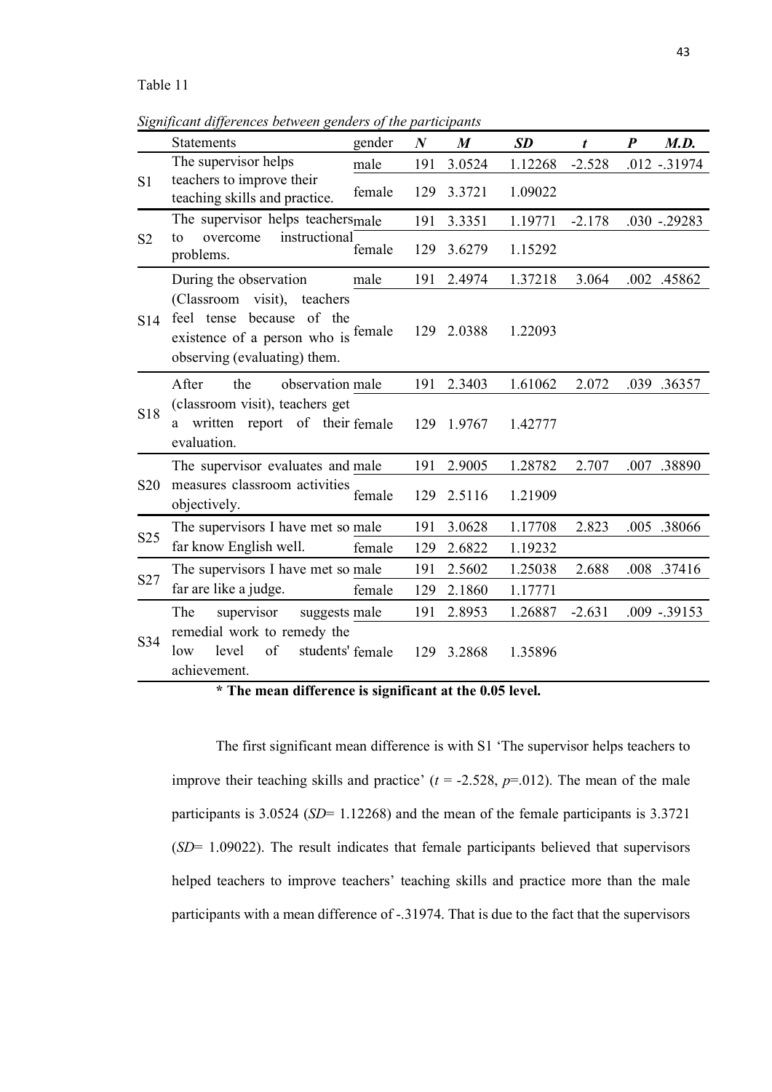*Significant differences between genders of the participants*

|                 | <b>Statements</b>                                                                                                                  | gender           | $\boldsymbol{N}$ | $\boldsymbol{M}$ | <b>SD</b> | t        | $\boldsymbol{P}$ | M.D.            |
|-----------------|------------------------------------------------------------------------------------------------------------------------------------|------------------|------------------|------------------|-----------|----------|------------------|-----------------|
| S <sub>1</sub>  | The supervisor helps                                                                                                               | male             | 191              | 3.0524           | 1.12268   | $-2.528$ |                  | $.012 - .31974$ |
|                 | teachers to improve their<br>teaching skills and practice.                                                                         | female           | 129              | 3.3721           | 1.09022   |          |                  |                 |
| S <sub>2</sub>  | The supervisor helps teachers <sub>male</sub>                                                                                      |                  | 191              | 3.3351           | 1.19771   | $-2.178$ |                  | $.030 - .29283$ |
|                 | instructional<br>overcome<br>to<br>problems.                                                                                       | female           | 129              | 3.6279           | 1.15292   |          |                  |                 |
|                 | During the observation                                                                                                             | male             | 191              | 2.4974           | 1.37218   | 3.064    |                  | .002 .45862     |
| S <sub>14</sub> | (Classroom visit), teachers<br>feel tense because<br>of the<br>existence of a person who is female<br>observing (evaluating) them. |                  | 129              | 2.0388           | 1.22093   |          |                  |                 |
| <b>S18</b>      | After<br>the<br>observation male                                                                                                   |                  | 191              | 2.3403           | 1.61062   | 2.072    |                  | .039 .36357     |
|                 | (classroom visit), teachers get<br>written report of their female<br>a<br>evaluation.                                              |                  | 129              | 1.9767           | 1.42777   |          |                  |                 |
| S <sub>20</sub> | The supervisor evaluates and male                                                                                                  |                  | 191              | 2.9005           | 1.28782   | 2.707    | .007             | .38890          |
|                 | measures classroom activities<br>objectively.                                                                                      | female           | 129              | 2.5116           | 1.21909   |          |                  |                 |
| S <sub>25</sub> | The supervisors I have met so male                                                                                                 |                  | 191              | 3.0628           | 1.17708   | 2.823    |                  | .005 .38066     |
|                 | far know English well.                                                                                                             | female           | 129              | 2.6822           | 1.19232   |          |                  |                 |
| S27             | The supervisors I have met so male                                                                                                 |                  | 191              | 2.5602           | 1.25038   | 2.688    |                  | .008 .37416     |
|                 | far are like a judge.                                                                                                              | female           | 129              | 2.1860           | 1.17771   |          |                  |                 |
|                 | supervisor<br>The<br>suggests male                                                                                                 |                  | 191              | 2.8953           | 1.26887   | $-2.631$ |                  | $.009 - .39153$ |
| S34             | remedial work to remedy the<br>of<br>level<br>low<br>achievement.                                                                  | students' female | 129              | 3.2868           | 1.35896   |          |                  |                 |

**\* The mean difference is significant at the 0.05 level.** 

The first significant mean difference is with S1 'The supervisor helps teachers to improve their teaching skills and practice'  $(t = -2.528, p = 0.012)$ . The mean of the male participants is 3.0524 (*SD*= 1.12268) and the mean of the female participants is 3.3721 (*SD*= 1.09022). The result indicates that female participants believed that supervisors helped teachers to improve teachers' teaching skills and practice more than the male participants with a mean difference of -.31974. That is due to the fact that the supervisors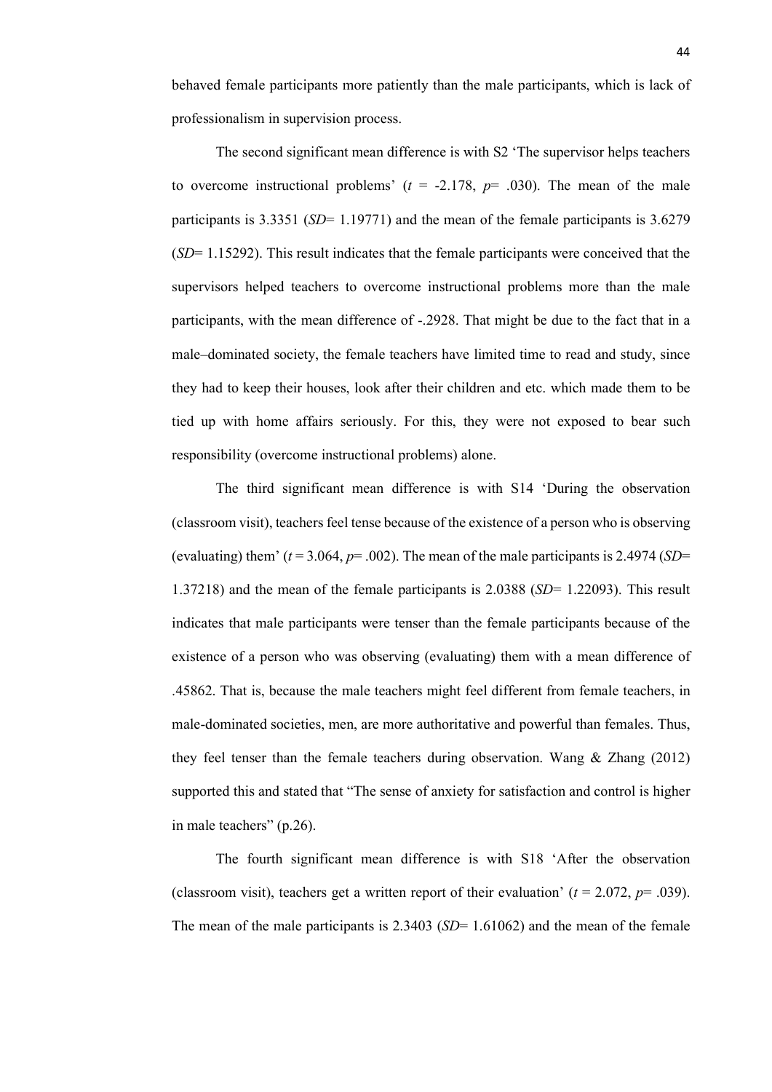behaved female participants more patiently than the male participants, which is lack of professionalism in supervision process.

The second significant mean difference is with S2 'The supervisor helps teachers to overcome instructional problems'  $(t = -2.178, p = .030)$ . The mean of the male participants is 3.3351 (*SD*= 1.19771) and the mean of the female participants is 3.6279 (*SD*= 1.15292). This result indicates that the female participants were conceived that the supervisors helped teachers to overcome instructional problems more than the male participants, with the mean difference of -.2928. That might be due to the fact that in a male–dominated society, the female teachers have limited time to read and study, since they had to keep their houses, look after their children and etc. which made them to be tied up with home affairs seriously. For this, they were not exposed to bear such responsibility (overcome instructional problems) alone.

The third significant mean difference is with S14 'During the observation (classroom visit), teachers feel tense because of the existence of a person who is observing (evaluating) them'  $(t=3.064, p=.002)$ . The mean of the male participants is 2.4974 (*SD*= 1.37218) and the mean of the female participants is 2.0388 (*SD*= 1.22093). This result indicates that male participants were tenser than the female participants because of the existence of a person who was observing (evaluating) them with a mean difference of .45862. That is, because the male teachers might feel different from female teachers, in male-dominated societies, men, are more authoritative and powerful than females. Thus, they feel tenser than the female teachers during observation. Wang  $\&$  Zhang (2012) supported this and stated that "The sense of anxiety for satisfaction and control is higher in male teachers" (p.26).

The fourth significant mean difference is with S18 'After the observation (classroom visit), teachers get a written report of their evaluation'  $(t = 2.072, p = .039)$ . The mean of the male participants is 2.3403 (*SD*= 1.61062) and the mean of the female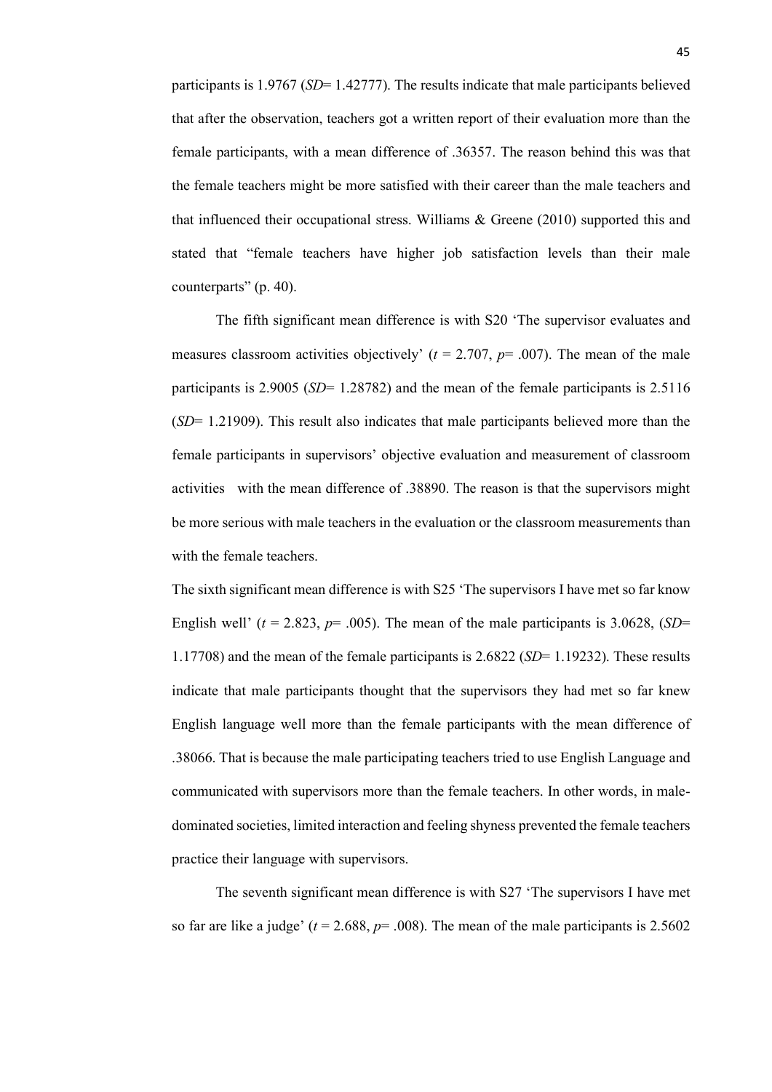participants is 1.9767 (*SD*= 1.42777). The results indicate that male participants believed that after the observation, teachers got a written report of their evaluation more than the female participants, with a mean difference of .36357. The reason behind this was that the female teachers might be more satisfied with their career than the male teachers and that influenced their occupational stress. Williams & Greene (2010) supported this and stated that "female teachers have higher job satisfaction levels than their male counterparts" (p. 40).

The fifth significant mean difference is with S20 'The supervisor evaluates and measures classroom activities objectively'  $(t = 2.707, p = .007)$ . The mean of the male participants is 2.9005 (*SD*= 1.28782) and the mean of the female participants is 2.5116 (*SD*= 1.21909). This result also indicates that male participants believed more than the female participants in supervisors' objective evaluation and measurement of classroom activities with the mean difference of .38890. The reason is that the supervisors might be more serious with male teachers in the evaluation or the classroom measurements than with the female teachers.

The sixth significant mean difference is with S25 'The supervisors I have met so far know English well'  $(t = 2.823, p = .005)$ . The mean of the male participants is 3.0628, (*SD*= 1.17708) and the mean of the female participants is 2.6822 (*SD*= 1.19232). These results indicate that male participants thought that the supervisors they had met so far knew English language well more than the female participants with the mean difference of .38066. That is because the male participating teachers tried to use English Language and communicated with supervisors more than the female teachers. In other words, in maledominated societies, limited interaction and feeling shyness prevented the female teachers practice their language with supervisors.

The seventh significant mean difference is with S27 'The supervisors I have met so far are like a judge'  $(t = 2.688, p = .008)$ . The mean of the male participants is 2.5602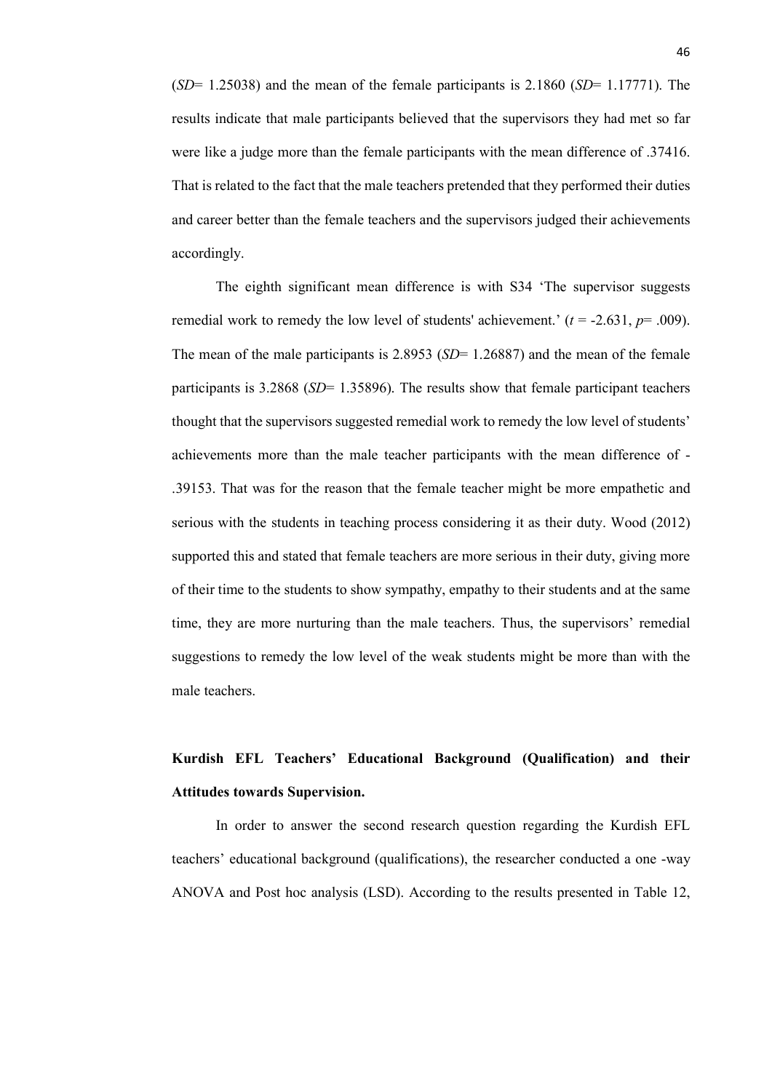(*SD*= 1.25038) and the mean of the female participants is 2.1860 (*SD*= 1.17771). The results indicate that male participants believed that the supervisors they had met so far were like a judge more than the female participants with the mean difference of .37416. That is related to the fact that the male teachers pretended that they performed their duties and career better than the female teachers and the supervisors judged their achievements accordingly.

The eighth significant mean difference is with S34 'The supervisor suggests remedial work to remedy the low level of students' achievement.'  $(t = -2.631, p = .009)$ . The mean of the male participants is 2.8953 (*SD*= 1.26887) and the mean of the female participants is 3.2868 (*SD*= 1.35896). The results show that female participant teachers thought that the supervisors suggested remedial work to remedy the low level of students' achievements more than the male teacher participants with the mean difference of - .39153. That was for the reason that the female teacher might be more empathetic and serious with the students in teaching process considering it as their duty. Wood (2012) supported this and stated that female teachers are more serious in their duty, giving more of their time to the students to show sympathy, empathy to their students and at the same time, they are more nurturing than the male teachers. Thus, the supervisors' remedial suggestions to remedy the low level of the weak students might be more than with the male teachers.

# **Kurdish EFL Teachers' Educational Background (Qualification) and their Attitudes towards Supervision.**

In order to answer the second research question regarding the Kurdish EFL teachers' educational background (qualifications), the researcher conducted a one -way ANOVA and Post hoc analysis (LSD). According to the results presented in Table 12,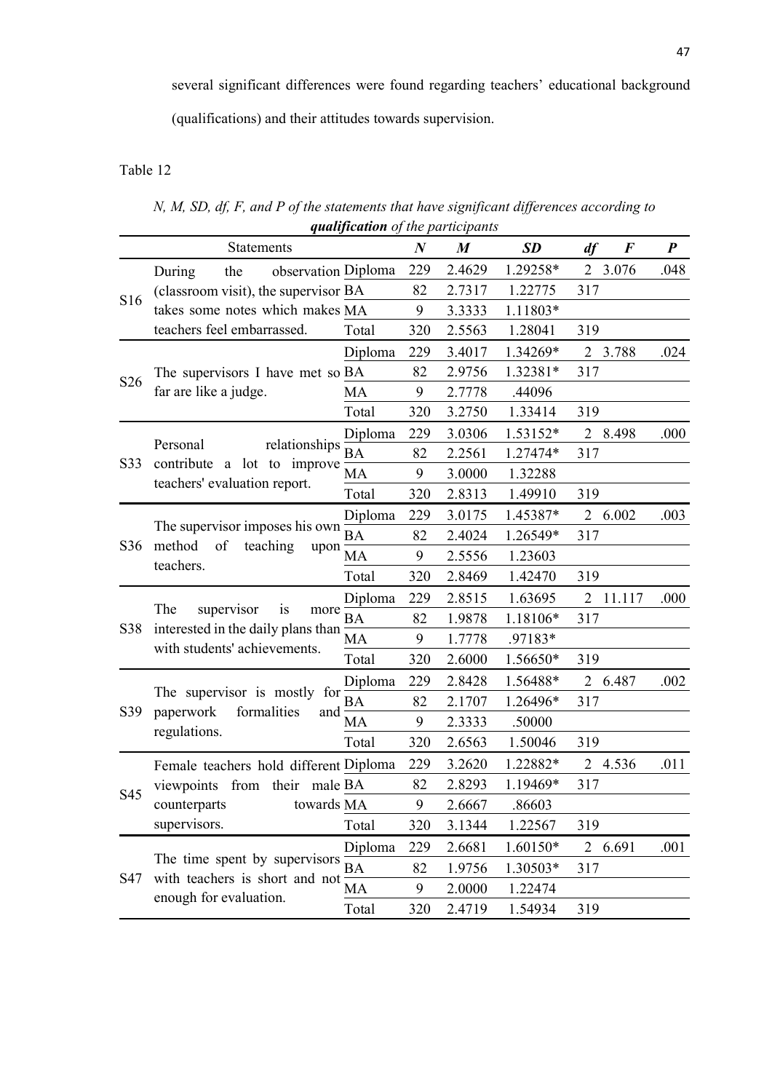several significant differences were found regarding teachers' educational background

(qualifications) and their attitudes towards supervision.

# Table 12

*N, M, SD, df, F, and P of the statements that have significant differences according to qualification of the participants* 

|                 | Statements                                                                                            |           | $\boldsymbol{N}$ | $\boldsymbol{M}$ | <b>SD</b> | df<br>$\bm{F}$          | $\boldsymbol{P}$ |
|-----------------|-------------------------------------------------------------------------------------------------------|-----------|------------------|------------------|-----------|-------------------------|------------------|
| S16             | observation Diploma<br>During<br>the                                                                  |           | 229              | 2.4629           | 1.29258*  | $\overline{2}$<br>3.076 | .048             |
|                 | (classroom visit), the supervisor BA                                                                  |           | 82               | 2.7317           | 1.22775   | 317                     |                  |
|                 | takes some notes which makes MA                                                                       |           | 9                | 3.3333           | 1.11803*  |                         |                  |
|                 | teachers feel embarrassed.                                                                            | Total     | 320              | 2.5563           | 1.28041   | 319                     |                  |
|                 |                                                                                                       | Diploma   | 229              | 3.4017           | 1.34269*  | 2 3.788                 | .024             |
|                 | The supervisors I have met so BA                                                                      |           | 82               | 2.9756           | 1.32381*  | 317                     |                  |
| S <sub>26</sub> | far are like a judge.                                                                                 | <b>MA</b> | 9                | 2.7778           | .44096    |                         |                  |
|                 |                                                                                                       | Total     | 320              | 3.2750           | 1.33414   | 319                     |                  |
|                 |                                                                                                       | Diploma   | 229              | 3.0306           | 1.53152*  | 2 8.498                 | .000             |
|                 | relationships<br>Personal                                                                             | BA        | 82               | 2.2561           | 1.27474*  | 317                     |                  |
| S33             | contribute a lot to improve                                                                           | MA        | 9                | 3.0000           | 1.32288   |                         |                  |
|                 | teachers' evaluation report.                                                                          | Total     | 320              | 2.8313           | 1.49910   | 319                     |                  |
|                 | The supervisor imposes his own<br>method<br>of<br>teaching<br>upon<br>teachers.                       | Diploma   | 229              | 3.0175           | 1.45387*  | 2 6.002                 | .003             |
|                 |                                                                                                       | <b>BA</b> | 82               | 2.4024           | 1.26549*  | 317                     |                  |
| S36             |                                                                                                       | MA        | 9                | 2.5556           | 1.23603   |                         |                  |
|                 |                                                                                                       | Total     | 320              | 2.8469           | 1.42470   | 319                     |                  |
|                 | The<br>supervisor<br>is<br>more<br>interested in the daily plans than<br>with students' achievements. | Diploma   | 229              | 2.8515           | 1.63695   | 2 11.117                | .000             |
|                 |                                                                                                       | <b>BA</b> | 82               | 1.9878           | 1.18106*  | 317                     |                  |
| S38             |                                                                                                       | MA        | 9                | 1.7778           | .97183*   |                         |                  |
|                 |                                                                                                       | Total     | 320              | 2.6000           | 1.56650*  | 319                     |                  |
|                 | The supervisor is mostly for<br>paperwork<br>formalities<br>and<br>regulations.                       | Diploma   | 229              | 2.8428           | 1.56488*  | 2 6.487                 | .002             |
|                 |                                                                                                       | BA        | 82               | 2.1707           | 1.26496*  | 317                     |                  |
| S39             |                                                                                                       | MA        | 9                | 2.3333           | .50000    |                         |                  |
|                 |                                                                                                       | Total     | 320              | 2.6563           | 1.50046   | 319                     |                  |
|                 | Female teachers hold different Diploma                                                                |           | 229              | 3.2620           | 1.22882*  | 2 4.536                 | .011             |
|                 | viewpoints from their male BA                                                                         |           | 82               | 2.8293           | 1.19469*  | 317                     |                  |
| S45             | towards MA<br>counterparts                                                                            |           | 9                | 2.6667           | .86603    |                         |                  |
|                 | supervisors.                                                                                          | Total     | 320              | 3.1344           | 1.22567   | 319                     |                  |
| S47             |                                                                                                       | Diploma   | 229              | 2.6681           | 1.60150*  | 2 6.691                 | .001             |
|                 | The time spent by supervisors                                                                         | BA        | 82               | 1.9756           | 1.30503*  | 317                     |                  |
|                 | with teachers is short and not                                                                        | MA        | 9                | 2.0000           | 1.22474   |                         |                  |
|                 | enough for evaluation.                                                                                | Total     | 320              | 2.4719           | 1.54934   | 319                     |                  |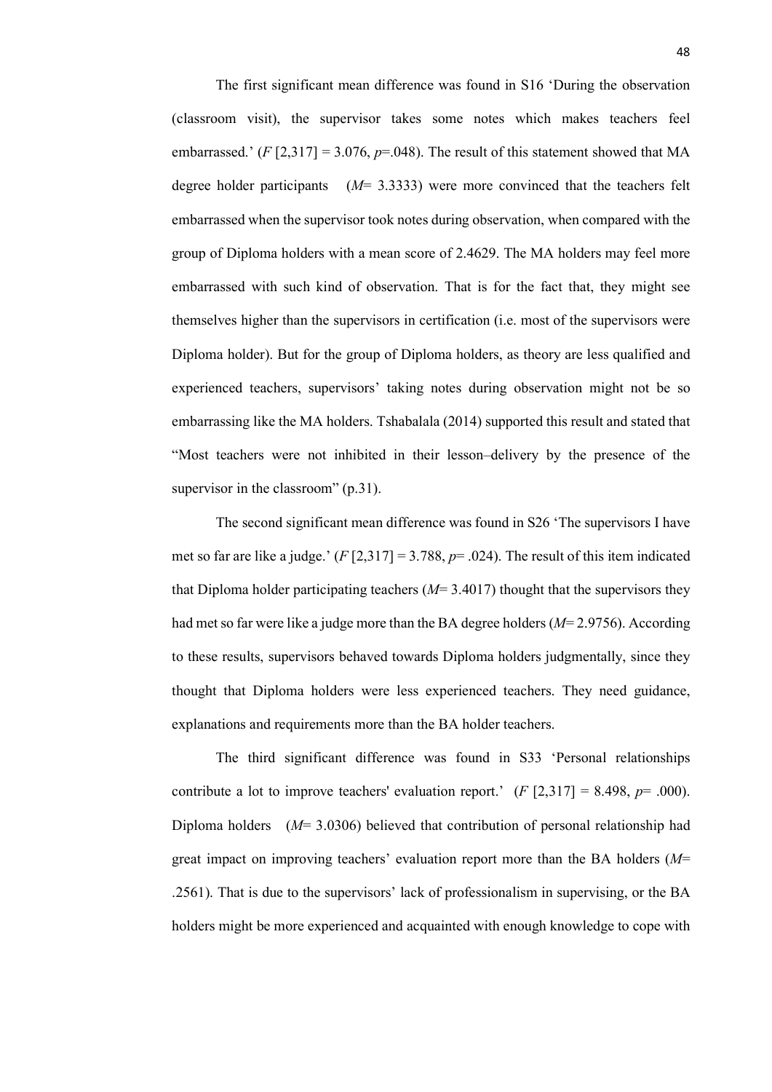The first significant mean difference was found in S16 'During the observation (classroom visit), the supervisor takes some notes which makes teachers feel embarrassed.'  $(F [2, 317] = 3.076, p = .048)$ . The result of this statement showed that MA degree holder participants (*M*= 3.3333) were more convinced that the teachers felt embarrassed when the supervisor took notes during observation, when compared with the group of Diploma holders with a mean score of 2.4629. The MA holders may feel more embarrassed with such kind of observation. That is for the fact that, they might see themselves higher than the supervisors in certification (i.e. most of the supervisors were Diploma holder). But for the group of Diploma holders, as theory are less qualified and experienced teachers, supervisors' taking notes during observation might not be so embarrassing like the MA holders. Tshabalala (2014) supported this result and stated that "Most teachers were not inhibited in their lesson–delivery by the presence of the supervisor in the classroom" (p.31).

The second significant mean difference was found in S26 'The supervisors I have met so far are like a judge.'  $(F[2,317] = 3.788, p = .024)$ . The result of this item indicated that Diploma holder participating teachers  $(M=3.4017)$  thought that the supervisors they had met so far were like a judge more than the BA degree holders (*M*= 2.9756). According to these results, supervisors behaved towards Diploma holders judgmentally, since they thought that Diploma holders were less experienced teachers. They need guidance, explanations and requirements more than the BA holder teachers.

The third significant difference was found in S33 'Personal relationships contribute a lot to improve teachers' evaluation report.'  $(F [2, 317] = 8.498, p = .000)$ . Diploma holders (*M*= 3.0306) believed that contribution of personal relationship had great impact on improving teachers' evaluation report more than the BA holders (*M*= .2561). That is due to the supervisors' lack of professionalism in supervising, or the BA holders might be more experienced and acquainted with enough knowledge to cope with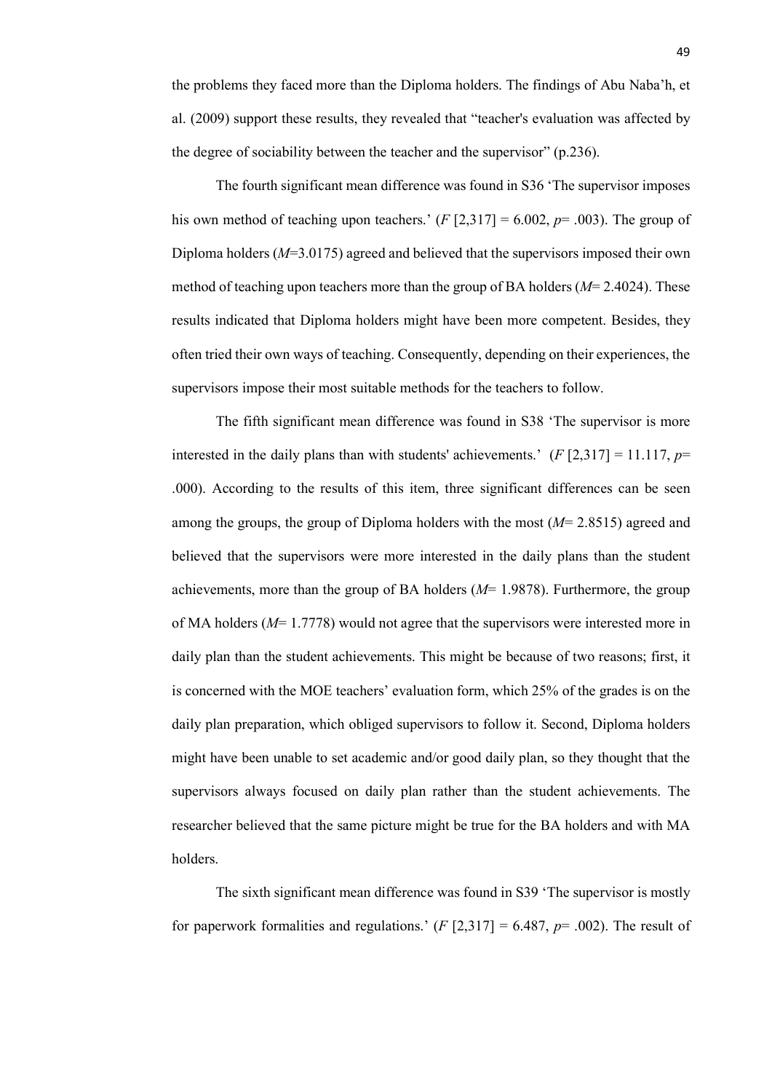The fourth significant mean difference was found in S36 'The supervisor imposes his own method of teaching upon teachers.'  $(F [2,317] = 6.002, p = .003)$ . The group of Diploma holders (*M*=3.0175) agreed and believed that the supervisors imposed their own method of teaching upon teachers more than the group of BA holders (*M*= 2.4024). These results indicated that Diploma holders might have been more competent. Besides, they often tried their own ways of teaching. Consequently, depending on their experiences, the supervisors impose their most suitable methods for the teachers to follow.

The fifth significant mean difference was found in S38 'The supervisor is more interested in the daily plans than with students' achievements.'  $(F[2,317] = 11.117, p=$ .000). According to the results of this item, three significant differences can be seen among the groups, the group of Diploma holders with the most (*M*= 2.8515) agreed and believed that the supervisors were more interested in the daily plans than the student achievements, more than the group of BA holders  $(M= 1.9878)$ . Furthermore, the group of MA holders (*M*= 1.7778) would not agree that the supervisors were interested more in daily plan than the student achievements. This might be because of two reasons; first, it is concerned with the MOE teachers' evaluation form, which 25% of the grades is on the daily plan preparation, which obliged supervisors to follow it. Second, Diploma holders might have been unable to set academic and/or good daily plan, so they thought that the supervisors always focused on daily plan rather than the student achievements. The researcher believed that the same picture might be true for the BA holders and with MA holders.

The sixth significant mean difference was found in S39 'The supervisor is mostly for paperwork formalities and regulations.'  $(F [2, 317] = 6.487, p = .002)$ . The result of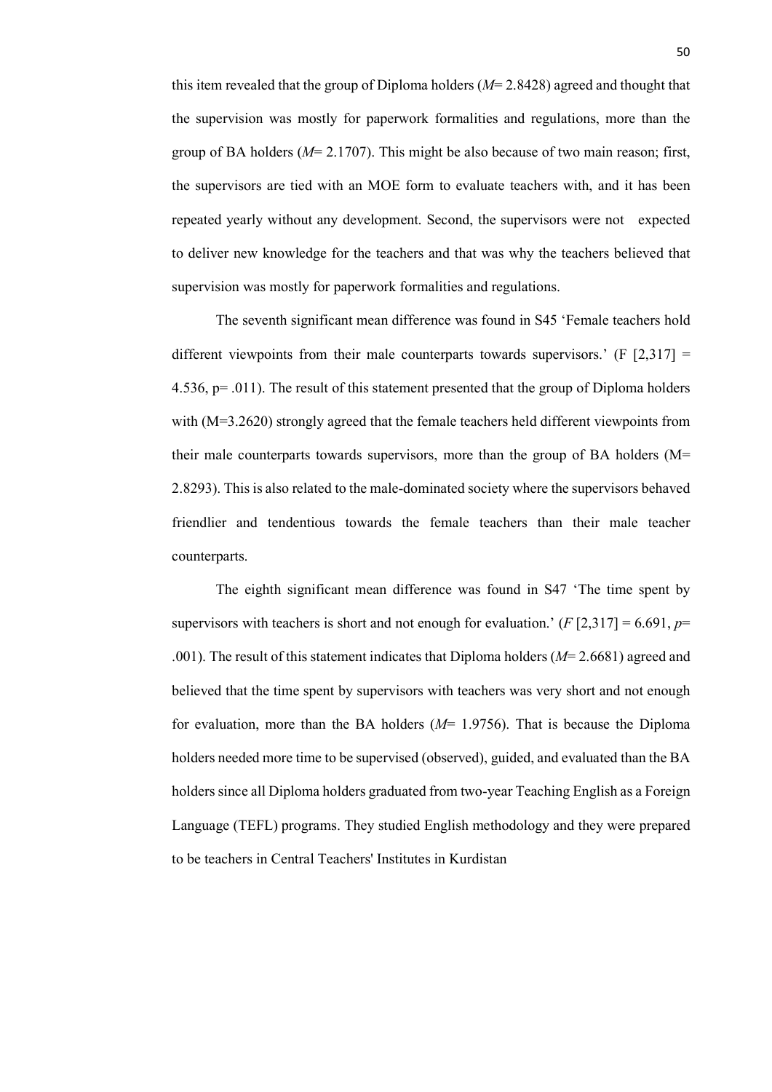this item revealed that the group of Diploma holders (*M*= 2.8428) agreed and thought that the supervision was mostly for paperwork formalities and regulations, more than the group of BA holders (*M*= 2.1707). This might be also because of two main reason; first, the supervisors are tied with an MOE form to evaluate teachers with, and it has been repeated yearly without any development. Second, the supervisors were not expected to deliver new knowledge for the teachers and that was why the teachers believed that supervision was mostly for paperwork formalities and regulations.

The seventh significant mean difference was found in S45 'Female teachers hold different viewpoints from their male counterparts towards supervisors.'  $(F [2,317] =$ 4.536, p= .011). The result of this statement presented that the group of Diploma holders with (M=3.2620) strongly agreed that the female teachers held different viewpoints from their male counterparts towards supervisors, more than the group of BA holders (M= 2.8293). This is also related to the male-dominated society where the supervisors behaved friendlier and tendentious towards the female teachers than their male teacher counterparts.

The eighth significant mean difference was found in S47 'The time spent by supervisors with teachers is short and not enough for evaluation.'  $(F[2,317] = 6.691, p=$ .001). The result of this statement indicates that Diploma holders (*M*= 2.6681) agreed and believed that the time spent by supervisors with teachers was very short and not enough for evaluation, more than the BA holders (*M*= 1.9756). That is because the Diploma holders needed more time to be supervised (observed), guided, and evaluated than the BA holders since all Diploma holders graduated from two-year Teaching English as a Foreign Language (TEFL) programs. They studied English methodology and they were prepared to be teachers in Central Teachers' Institutes in Kurdistan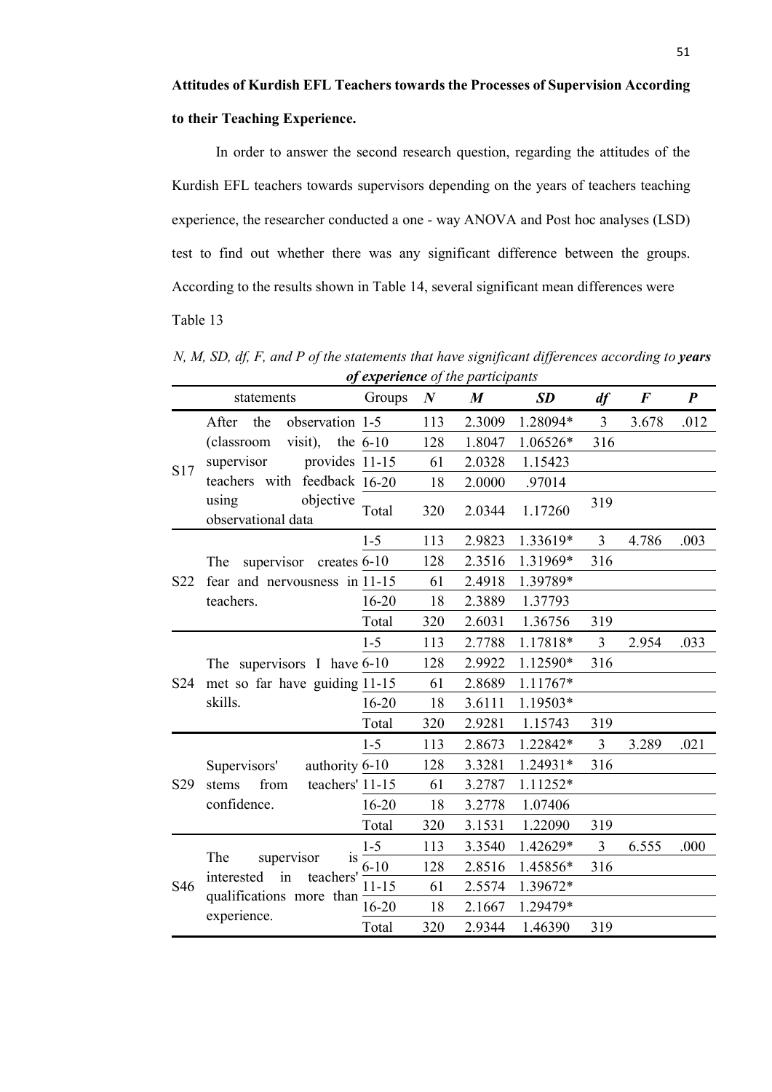In order to answer the second research question, regarding the attitudes of the Kurdish EFL teachers towards supervisors depending on the years of teachers teaching experience, the researcher conducted a one - way ANOVA and Post hoc analyses (LSD) test to find out whether there was any significant difference between the groups. According to the results shown in Table 14, several significant mean differences were Table 13

*N, M, SD, df, F, and P of the statements that have significant differences according to years of experience of the participants* 

|                 | statements                                                                                          | Groups    | $\boldsymbol{N}$ | $\boldsymbol{M}$ | <b>SD</b> | df             | $\bm{F}$ | $\boldsymbol{P}$ |
|-----------------|-----------------------------------------------------------------------------------------------------|-----------|------------------|------------------|-----------|----------------|----------|------------------|
| S17             | observation 1-5<br>After<br>the                                                                     |           | 113              | 2.3009           | 1.28094*  | 3              | 3.678    | .012             |
|                 | visit), the $6-10$<br>(classroom                                                                    |           | 128              | 1.8047           | 1.06526*  | 316            |          |                  |
|                 | provides 11-15<br>supervisor                                                                        |           | 61               | 2.0328           | 1.15423   |                |          |                  |
|                 | teachers with feedback 16-20                                                                        |           | 18               | 2.0000           | .97014    |                |          |                  |
|                 | objective<br>using<br>observational data                                                            | Total     | 320              | 2.0344           | 1.17260   | 319            |          |                  |
| S22             |                                                                                                     | $1 - 5$   | 113              | 2.9823           | 1.33619*  | $\overline{3}$ | 4.786    | .003             |
|                 | supervisor creates 6-10<br>The<br>fear and nervousness in 11-15<br>teachers.                        |           | 128              | 2.3516           | 1.31969*  | 316            |          |                  |
|                 |                                                                                                     |           | 61               | 2.4918           | 1.39789*  |                |          |                  |
|                 |                                                                                                     | $16 - 20$ | 18               | 2.3889           | 1.37793   |                |          |                  |
|                 |                                                                                                     | Total     | 320              | 2.6031           | 1.36756   | 319            |          |                  |
|                 |                                                                                                     | $1 - 5$   | 113              | 2.7788           | 1.17818*  | $\overline{3}$ | 2.954    | .033             |
|                 | The supervisors I have 6-10                                                                         |           | 128              | 2.9922           | 1.12590*  | 316            |          |                  |
| S <sub>24</sub> | met so far have guiding 11-15                                                                       |           | 61               | 2.8689           | 1.11767*  |                |          |                  |
|                 | skills.                                                                                             | $16 - 20$ | 18               | 3.6111           | 1.19503*  |                |          |                  |
|                 |                                                                                                     | Total     | 320              | 2.9281           | 1.15743   | 319            |          |                  |
| S <sub>29</sub> | authority 6-10<br>Supervisors'                                                                      | $1 - 5$   | 113              | 2.8673           | 1.22842*  | $\overline{3}$ | 3.289    | .021             |
|                 |                                                                                                     |           | 128              | 3.3281           | 1.24931*  | 316            |          |                  |
|                 | from<br>teachers' 11-15<br>stems                                                                    |           | 61               | 3.2787           | 1.11252*  |                |          |                  |
|                 | confidence.                                                                                         | $16 - 20$ | 18               | 3.2778           | 1.07406   |                |          |                  |
|                 |                                                                                                     | Total     | 320              | 3.1531           | 1.22090   | 319            |          |                  |
| S46             | supervisor<br>The<br>is<br>interested<br>in<br>teachers'<br>qualifications more than<br>experience. | $1 - 5$   | 113              | 3.3540           | 1.42629*  | $\overline{3}$ | 6.555    | .000             |
|                 |                                                                                                     | $6 - 10$  | 128              | 2.8516           | 1.45856*  | 316            |          |                  |
|                 |                                                                                                     | $11 - 15$ | 61               | 2.5574           | 1.39672*  |                |          |                  |
|                 |                                                                                                     | 16-20     | 18               | 2.1667           | 1.29479*  |                |          |                  |
|                 |                                                                                                     | Total     | 320              | 2.9344           | 1.46390   | 319            |          |                  |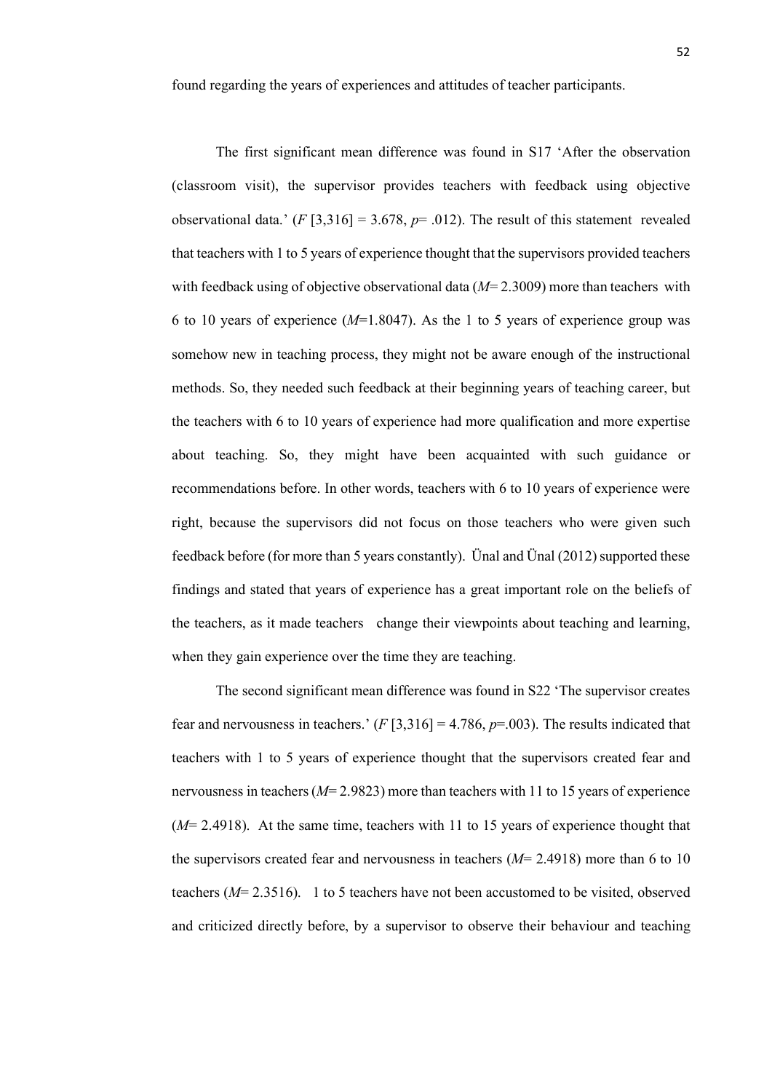found regarding the years of experiences and attitudes of teacher participants.

The first significant mean difference was found in S17 'After the observation (classroom visit), the supervisor provides teachers with feedback using objective observational data.'  $(F[3,316] = 3.678, p = .012)$ . The result of this statement revealed that teachers with 1 to 5 years of experience thought that the supervisors provided teachers with feedback using of objective observational data ( $M=2.3009$ ) more than teachers with 6 to 10 years of experience (*M*=1.8047). As the 1 to 5 years of experience group was somehow new in teaching process, they might not be aware enough of the instructional methods. So, they needed such feedback at their beginning years of teaching career, but the teachers with 6 to 10 years of experience had more qualification and more expertise about teaching. So, they might have been acquainted with such guidance or recommendations before. In other words, teachers with 6 to 10 years of experience were right, because the supervisors did not focus on those teachers who were given such feedback before (for more than 5 years constantly). Ünal and Ünal (2012) supported these findings and stated that years of experience has a great important role on the beliefs of the teachers, as it made teachers change their viewpoints about teaching and learning, when they gain experience over the time they are teaching.

The second significant mean difference was found in S22 'The supervisor creates fear and nervousness in teachers.'  $(F[3,316] = 4.786, p=0.003)$ . The results indicated that teachers with 1 to 5 years of experience thought that the supervisors created fear and nervousness in teachers (*M*= 2.9823) more than teachers with 11 to 15 years of experience (*M*= 2.4918). At the same time, teachers with 11 to 15 years of experience thought that the supervisors created fear and nervousness in teachers (*M*= 2.4918) more than 6 to 10 teachers (*M*= 2.3516). 1 to 5 teachers have not been accustomed to be visited, observed and criticized directly before, by a supervisor to observe their behaviour and teaching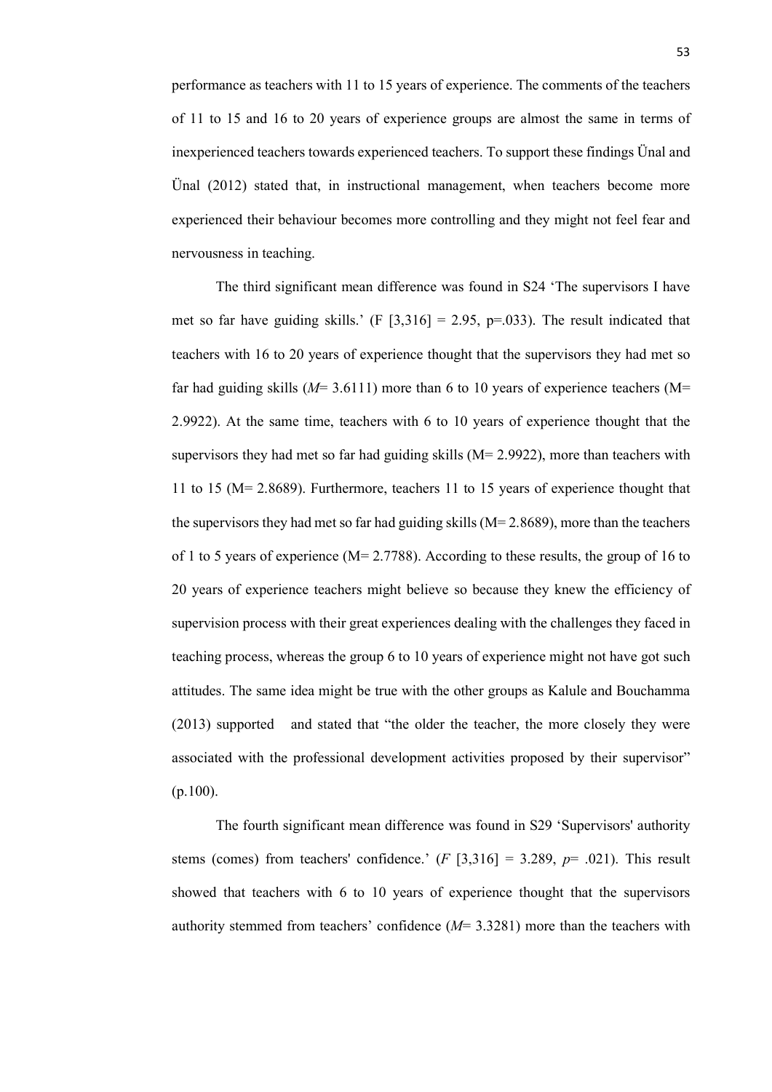performance as teachers with 11 to 15 years of experience. The comments of the teachers of 11 to 15 and 16 to 20 years of experience groups are almost the same in terms of inexperienced teachers towards experienced teachers. To support these findings Ünal and Ünal (2012) stated that, in instructional management, when teachers become more experienced their behaviour becomes more controlling and they might not feel fear and nervousness in teaching.

The third significant mean difference was found in S24 'The supervisors I have met so far have guiding skills.' (F  $[3,316] = 2.95$ , p=.033). The result indicated that teachers with 16 to 20 years of experience thought that the supervisors they had met so far had guiding skills (*M*= 3.6111) more than 6 to 10 years of experience teachers (M= 2.9922). At the same time, teachers with 6 to 10 years of experience thought that the supervisors they had met so far had guiding skills  $(M= 2.9922)$ , more than teachers with 11 to 15 (M= 2.8689). Furthermore, teachers 11 to 15 years of experience thought that the supervisors they had met so far had guiding skills  $(M= 2.8689)$ , more than the teachers of 1 to 5 years of experience (M= 2.7788). According to these results, the group of 16 to 20 years of experience teachers might believe so because they knew the efficiency of supervision process with their great experiences dealing with the challenges they faced in teaching process, whereas the group 6 to 10 years of experience might not have got such attitudes. The same idea might be true with the other groups as Kalule and Bouchamma (2013) supported and stated that "the older the teacher, the more closely they were associated with the professional development activities proposed by their supervisor" (p.100).

The fourth significant mean difference was found in S29 'Supervisors' authority stems (comes) from teachers' confidence.'  $(F \mid 3.316] = 3.289$ ,  $p = .021$ ). This result showed that teachers with 6 to 10 years of experience thought that the supervisors authority stemmed from teachers' confidence (*M*= 3.3281) more than the teachers with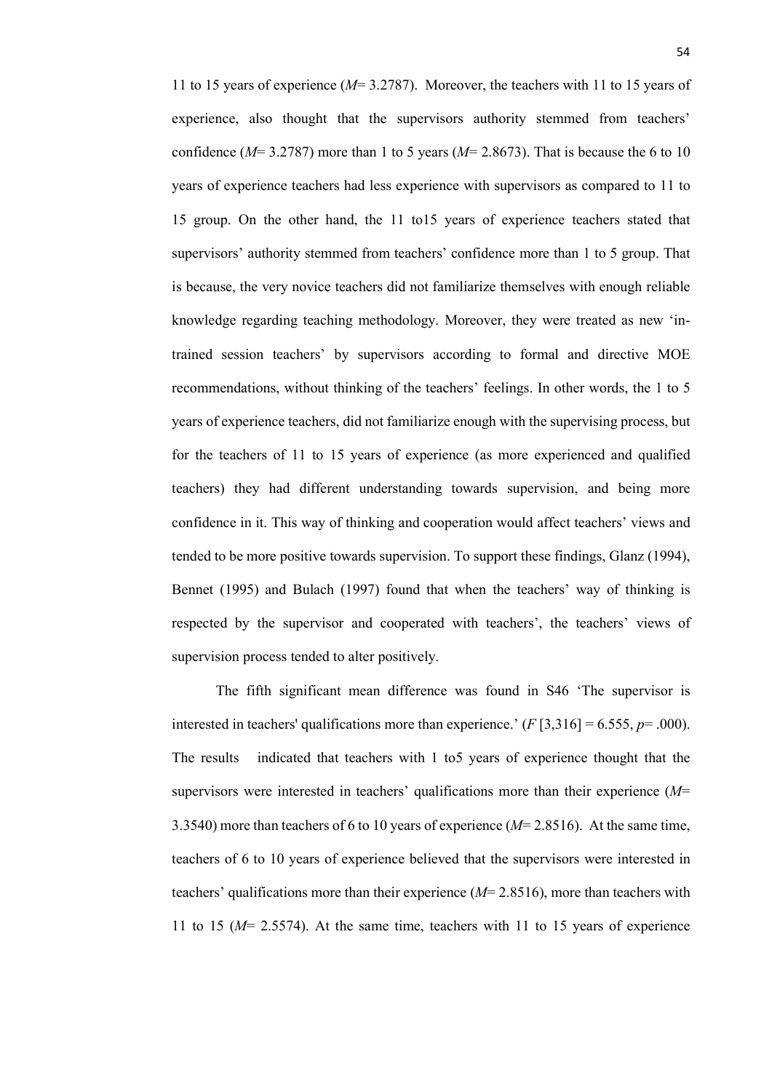11 to 15 years of experience (*M*= 3.2787). Moreover, the teachers with 11 to 15 years of experience, also thought that the supervisors authority stemmed from teachers' confidence ( $M=3.2787$ ) more than 1 to 5 years ( $M=2.8673$ ). That is because the 6 to 10 years of experience teachers had less experience with supervisors as compared to 11 to 15 group. On the other hand, the 11 to15 years of experience teachers stated that supervisors' authority stemmed from teachers' confidence more than 1 to 5 group. That is because, the very novice teachers did not familiarize themselves with enough reliable knowledge regarding teaching methodology. Moreover, they were treated as new 'intrained session teachers' by supervisors according to formal and directive MOE recommendations, without thinking of the teachers' feelings. In other words, the 1 to 5 years of experience teachers, did not familiarize enough with the supervising process, but for the teachers of 11 to 15 years of experience (as more experienced and qualified teachers) they had different understanding towards supervision, and being more confidence in it. This way of thinking and cooperation would affect teachers' views and tended to be more positive towards supervision. To support these findings, Glanz (1994), Bennet (1995) and Bulach (1997) found that when the teachers' way of thinking is respected by the supervisor and cooperated with teachers', the teachers' views of supervision process tended to alter positively.

The fifth significant mean difference was found in S46 'The supervisor is interested in teachers' qualifications more than experience.'  $(F[3,316] = 6.555, p = .000)$ . The results indicated that teachers with 1 to5 years of experience thought that the supervisors were interested in teachers' qualifications more than their experience (*M*= 3.3540) more than teachers of 6 to 10 years of experience (*M*= 2.8516). At the same time, teachers of 6 to 10 years of experience believed that the supervisors were interested in teachers' qualifications more than their experience  $(M=2.8516)$ , more than teachers with 11 to 15 (*M*= 2.5574). At the same time, teachers with 11 to 15 years of experience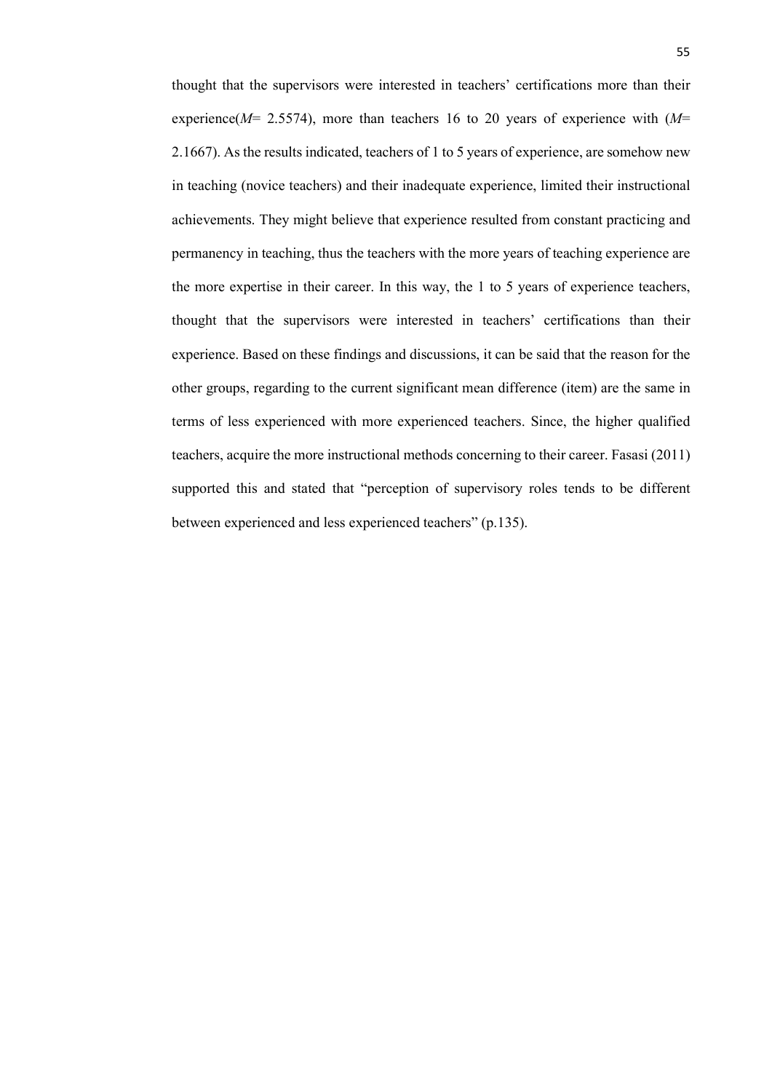thought that the supervisors were interested in teachers' certifications more than their experience(*M*= 2.5574), more than teachers 16 to 20 years of experience with (*M*= 2.1667). As the results indicated, teachers of 1 to 5 years of experience, are somehow new in teaching (novice teachers) and their inadequate experience, limited their instructional achievements. They might believe that experience resulted from constant practicing and permanency in teaching, thus the teachers with the more years of teaching experience are the more expertise in their career. In this way, the 1 to 5 years of experience teachers, thought that the supervisors were interested in teachers' certifications than their experience. Based on these findings and discussions, it can be said that the reason for the other groups, regarding to the current significant mean difference (item) are the same in terms of less experienced with more experienced teachers. Since, the higher qualified teachers, acquire the more instructional methods concerning to their career. Fasasi (2011) supported this and stated that "perception of supervisory roles tends to be different between experienced and less experienced teachers" (p.135).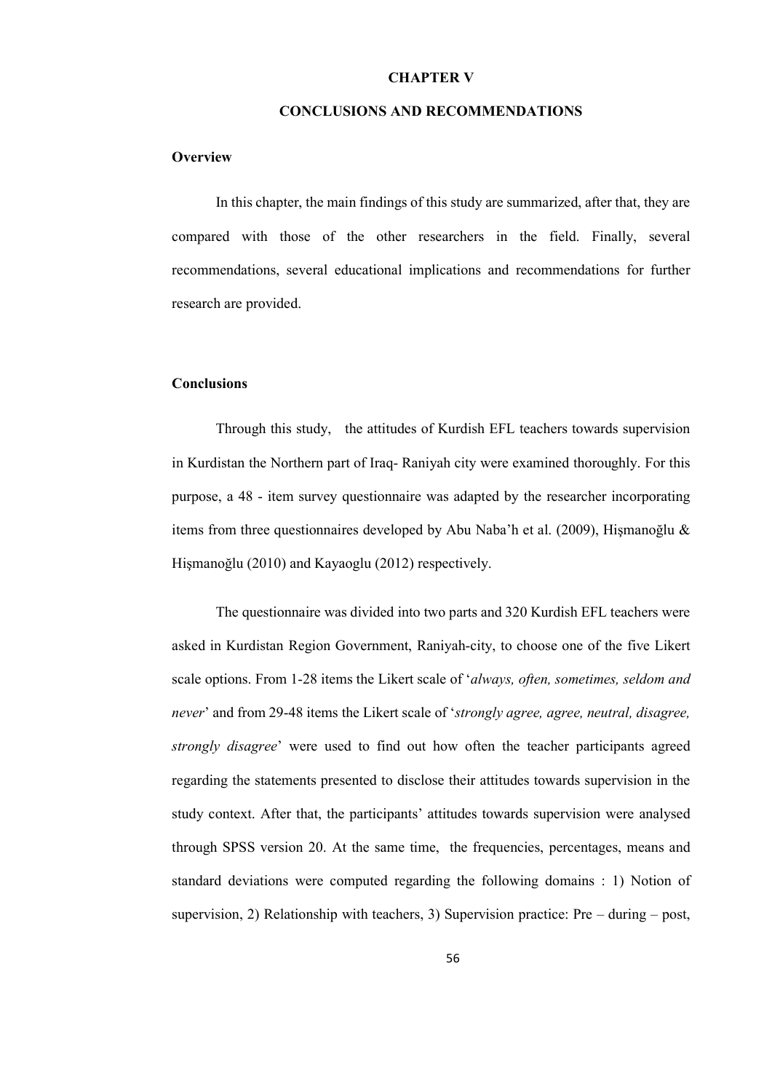#### **CHAPTER V**

#### **CONCLUSIONS AND RECOMMENDATIONS**

#### **Overview**

In this chapter, the main findings of this study are summarized, after that, they are compared with those of the other researchers in the field. Finally, several recommendations, several educational implications and recommendations for further research are provided.

#### **Conclusions**

Through this study, the attitudes of Kurdish EFL teachers towards supervision in Kurdistan the Northern part of Iraq- Raniyah city were examined thoroughly. For this purpose, a 48 - item survey questionnaire was adapted by the researcher incorporating items from three questionnaires developed by Abu Naba'h et al. (2009), Hişmanoğlu & Hişmanoğlu (2010) and Kayaoglu (2012) respectively.

The questionnaire was divided into two parts and 320 Kurdish EFL teachers were asked in Kurdistan Region Government, Raniyah-city, to choose one of the five Likert scale options. From 1-28 items the Likert scale of '*always, often, sometimes, seldom and never*' and from 29-48 items the Likert scale of '*strongly agree, agree, neutral, disagree, strongly disagree*' were used to find out how often the teacher participants agreed regarding the statements presented to disclose their attitudes towards supervision in the study context. After that, the participants' attitudes towards supervision were analysed through SPSS version 20. At the same time, the frequencies, percentages, means and standard deviations were computed regarding the following domains : 1) Notion of supervision, 2) Relationship with teachers, 3) Supervision practice: Pre – during – post,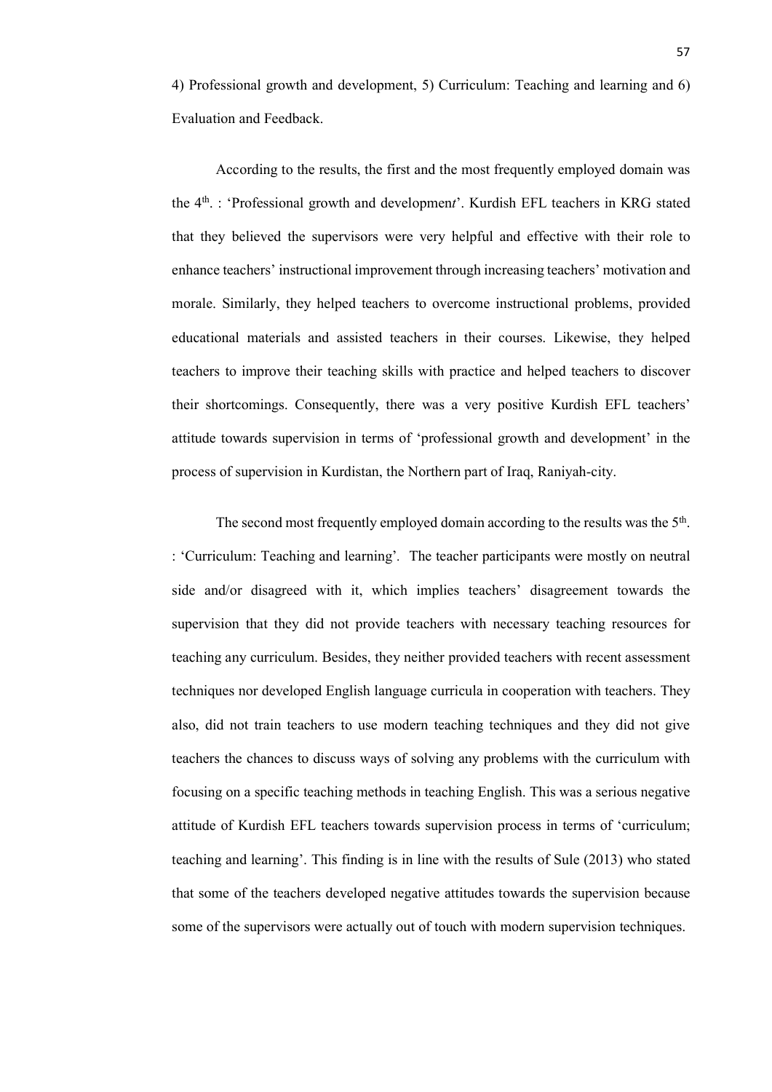4) Professional growth and development, 5) Curriculum: Teaching and learning and 6) Evaluation and Feedback.

According to the results, the first and the most frequently employed domain was the 4th. : 'Professional growth and developmen*t*'. Kurdish EFL teachers in KRG stated that they believed the supervisors were very helpful and effective with their role to enhance teachers' instructional improvement through increasing teachers' motivation and morale. Similarly, they helped teachers to overcome instructional problems, provided educational materials and assisted teachers in their courses. Likewise, they helped teachers to improve their teaching skills with practice and helped teachers to discover their shortcomings. Consequently, there was a very positive Kurdish EFL teachers' attitude towards supervision in terms of 'professional growth and development' in the process of supervision in Kurdistan, the Northern part of Iraq, Raniyah-city.

The second most frequently employed domain according to the results was the 5<sup>th</sup>. : 'Curriculum: Teaching and learning'*.* The teacher participants were mostly on neutral side and/or disagreed with it, which implies teachers' disagreement towards the supervision that they did not provide teachers with necessary teaching resources for teaching any curriculum. Besides, they neither provided teachers with recent assessment techniques nor developed English language curricula in cooperation with teachers. They also, did not train teachers to use modern teaching techniques and they did not give teachers the chances to discuss ways of solving any problems with the curriculum with focusing on a specific teaching methods in teaching English. This was a serious negative attitude of Kurdish EFL teachers towards supervision process in terms of 'curriculum; teaching and learning'. This finding is in line with the results of Sule (2013) who stated that some of the teachers developed negative attitudes towards the supervision because some of the supervisors were actually out of touch with modern supervision techniques.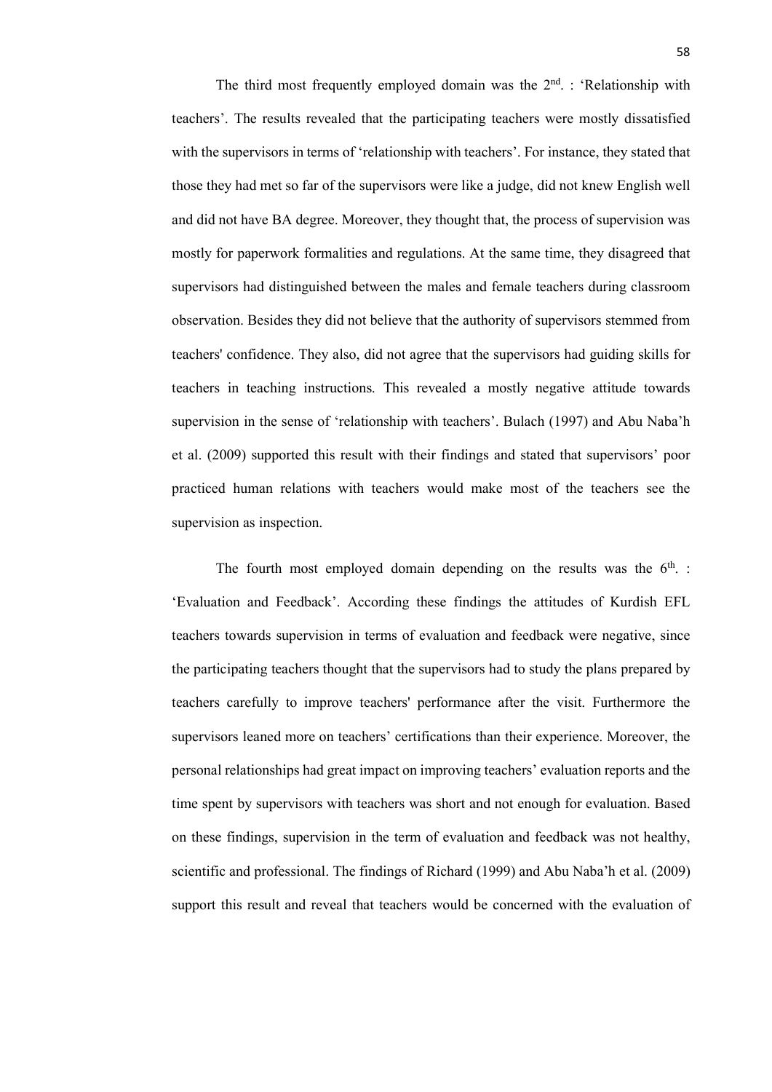The third most frequently employed domain was the  $2<sup>nd</sup>$ . : 'Relationship with teachers'. The results revealed that the participating teachers were mostly dissatisfied with the supervisors in terms of 'relationship with teachers'. For instance, they stated that those they had met so far of the supervisors were like a judge, did not knew English well and did not have BA degree. Moreover, they thought that, the process of supervision was mostly for paperwork formalities and regulations. At the same time, they disagreed that supervisors had distinguished between the males and female teachers during classroom observation. Besides they did not believe that the authority of supervisors stemmed from teachers' confidence. They also, did not agree that the supervisors had guiding skills for teachers in teaching instructions. This revealed a mostly negative attitude towards supervision in the sense of 'relationship with teachers'. Bulach (1997) and Abu Naba'h et al. (2009) supported this result with their findings and stated that supervisors' poor practiced human relations with teachers would make most of the teachers see the supervision as inspection.

The fourth most employed domain depending on the results was the  $6<sup>th</sup>$ . 'Evaluation and Feedback'. According these findings the attitudes of Kurdish EFL teachers towards supervision in terms of evaluation and feedback were negative, since the participating teachers thought that the supervisors had to study the plans prepared by teachers carefully to improve teachers' performance after the visit. Furthermore the supervisors leaned more on teachers' certifications than their experience. Moreover, the personal relationships had great impact on improving teachers' evaluation reports and the time spent by supervisors with teachers was short and not enough for evaluation. Based on these findings, supervision in the term of evaluation and feedback was not healthy, scientific and professional. The findings of Richard (1999) and Abu Naba'h et al. (2009) support this result and reveal that teachers would be concerned with the evaluation of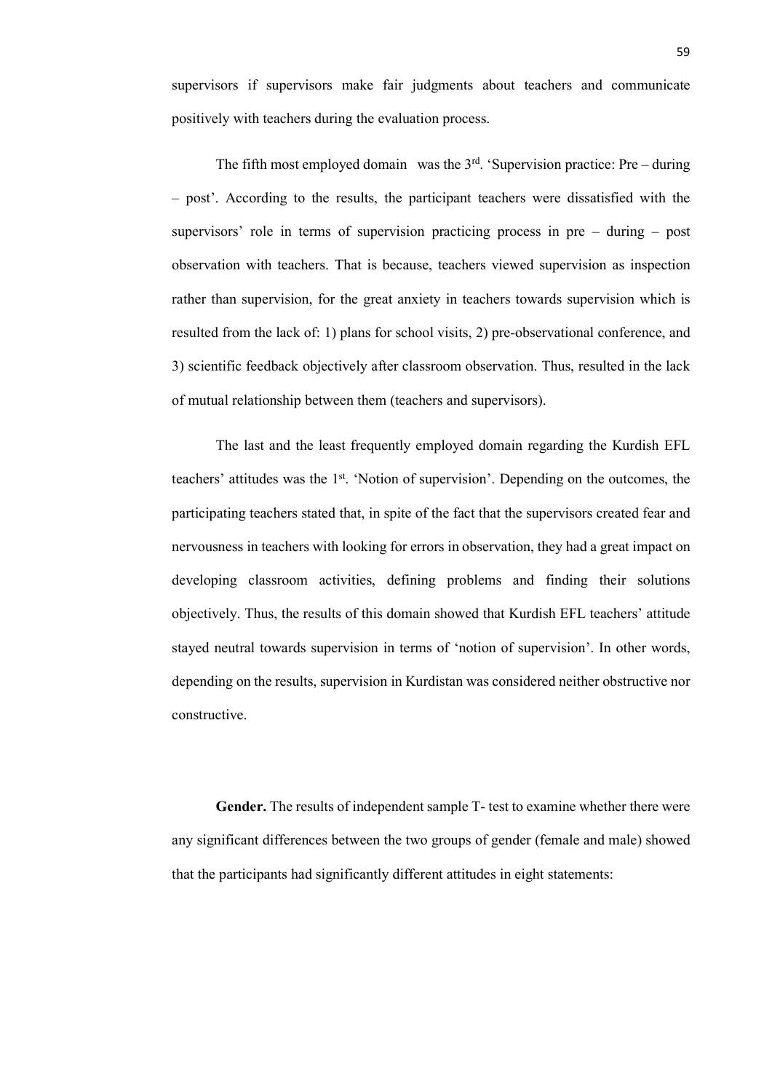supervisors if supervisors make fair judgments about teachers and communicate positively with teachers during the evaluation process.

The fifth most employed domain was the  $3<sup>rd</sup>$ . 'Supervision practice: Pre – during – post'. According to the results, the participant teachers were dissatisfied with the supervisors' role in terms of supervision practicing process in pre – during – post observation with teachers. That is because, teachers viewed supervision as inspection rather than supervision, for the great anxiety in teachers towards supervision which is resulted from the lack of: 1) plans for school visits, 2) pre-observational conference, and 3) scientific feedback objectively after classroom observation. Thus, resulted in the lack of mutual relationship between them (teachers and supervisors).

The last and the least frequently employed domain regarding the Kurdish EFL teachers' attitudes was the 1st. 'Notion of supervision'. Depending on the outcomes, the participating teachers stated that, in spite of the fact that the supervisors created fear and nervousness in teachers with looking for errors in observation, they had a great impact on developing classroom activities, defining problems and finding their solutions objectively. Thus, the results of this domain showed that Kurdish EFL teachers' attitude stayed neutral towards supervision in terms of 'notion of supervision'. In other words, depending on the results, supervision in Kurdistan was considered neither obstructive nor constructive.

Gender. The results of independent sample T- test to examine whether there were any significant differences between the two groups of gender (female and male) showed that the participants had significantly different attitudes in eight statements: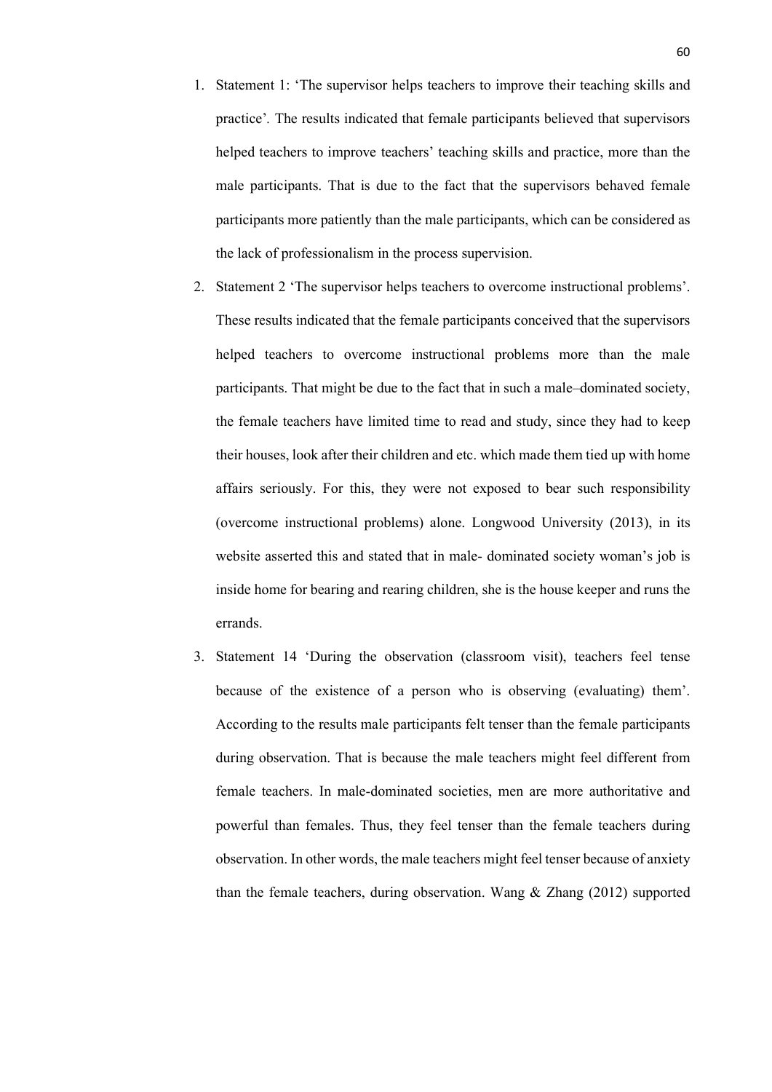- 1. Statement 1: 'The supervisor helps teachers to improve their teaching skills and practice'*.* The results indicated that female participants believed that supervisors helped teachers to improve teachers' teaching skills and practice, more than the male participants. That is due to the fact that the supervisors behaved female participants more patiently than the male participants, which can be considered as the lack of professionalism in the process supervision.
- 2. Statement 2 'The supervisor helps teachers to overcome instructional problems'. These results indicated that the female participants conceived that the supervisors helped teachers to overcome instructional problems more than the male participants. That might be due to the fact that in such a male–dominated society, the female teachers have limited time to read and study, since they had to keep their houses, look after their children and etc. which made them tied up with home affairs seriously. For this, they were not exposed to bear such responsibility (overcome instructional problems) alone. Longwood University (2013), in its website asserted this and stated that in male- dominated society woman's job is inside home for bearing and rearing children, she is the house keeper and runs the errands.
- 3. Statement 14 'During the observation (classroom visit), teachers feel tense because of the existence of a person who is observing (evaluating) them'. According to the results male participants felt tenser than the female participants during observation. That is because the male teachers might feel different from female teachers. In male-dominated societies, men are more authoritative and powerful than females. Thus, they feel tenser than the female teachers during observation. In other words, the male teachers might feel tenser because of anxiety than the female teachers, during observation. Wang & Zhang (2012) supported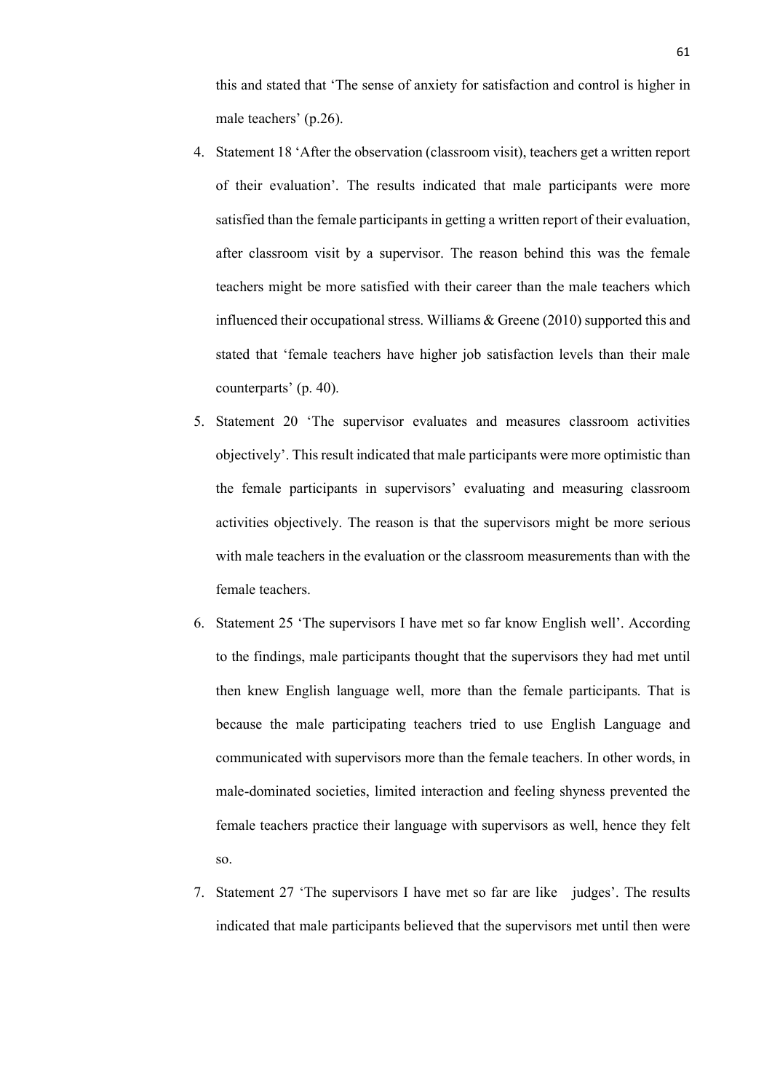this and stated that 'The sense of anxiety for satisfaction and control is higher in male teachers' (p.26).

- 4. Statement 18 'After the observation (classroom visit), teachers get a written report of their evaluation'. The results indicated that male participants were more satisfied than the female participants in getting a written report of their evaluation, after classroom visit by a supervisor. The reason behind this was the female teachers might be more satisfied with their career than the male teachers which influenced their occupational stress. Williams & Greene (2010) supported this and stated that 'female teachers have higher job satisfaction levels than their male counterparts' (p. 40).
- 5. Statement 20 'The supervisor evaluates and measures classroom activities objectively'. This result indicated that male participants were more optimistic than the female participants in supervisors' evaluating and measuring classroom activities objectively. The reason is that the supervisors might be more serious with male teachers in the evaluation or the classroom measurements than with the female teachers.
- 6. Statement 25 'The supervisors I have met so far know English well'. According to the findings, male participants thought that the supervisors they had met until then knew English language well, more than the female participants. That is because the male participating teachers tried to use English Language and communicated with supervisors more than the female teachers. In other words, in male-dominated societies, limited interaction and feeling shyness prevented the female teachers practice their language with supervisors as well, hence they felt so.
- 7. Statement 27 'The supervisors I have met so far are like judges'. The results indicated that male participants believed that the supervisors met until then were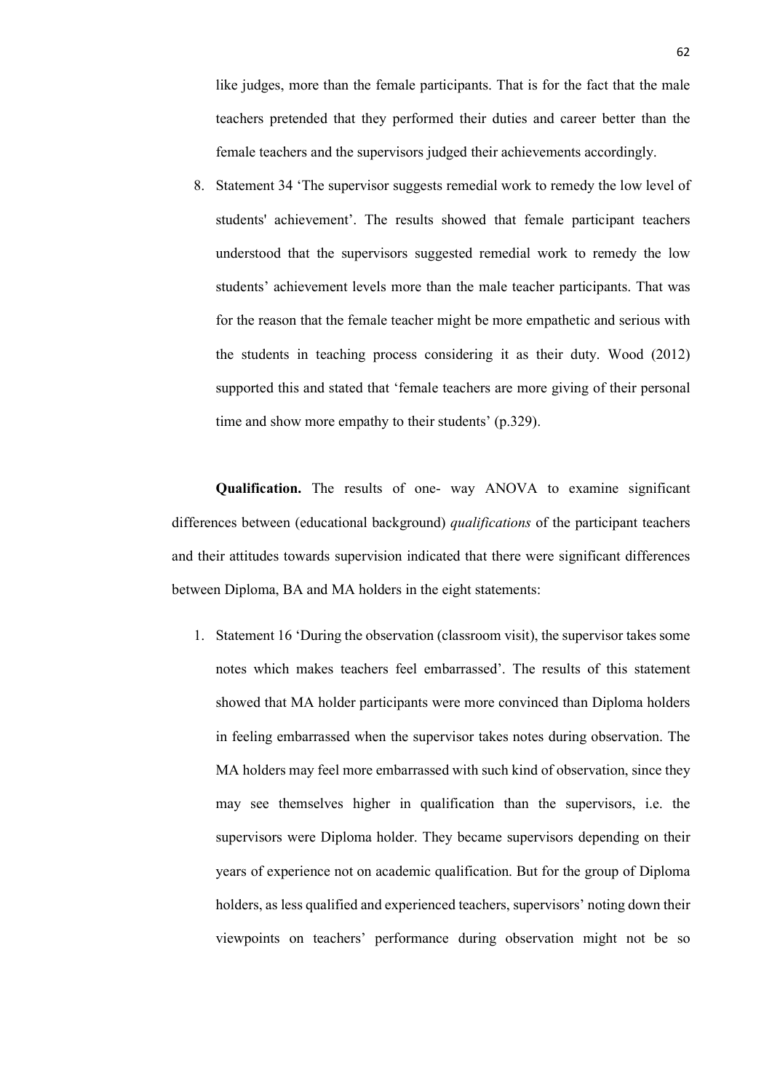like judges, more than the female participants. That is for the fact that the male teachers pretended that they performed their duties and career better than the female teachers and the supervisors judged their achievements accordingly.

8. Statement 34 'The supervisor suggests remedial work to remedy the low level of students' achievement'. The results showed that female participant teachers understood that the supervisors suggested remedial work to remedy the low students' achievement levels more than the male teacher participants. That was for the reason that the female teacher might be more empathetic and serious with the students in teaching process considering it as their duty. Wood (2012) supported this and stated that 'female teachers are more giving of their personal time and show more empathy to their students' (p.329).

**Qualification.** The results of one- way ANOVA to examine significant differences between (educational background) *qualifications* of the participant teachers and their attitudes towards supervision indicated that there were significant differences between Diploma, BA and MA holders in the eight statements:

1. Statement 16 'During the observation (classroom visit), the supervisor takes some notes which makes teachers feel embarrassed'. The results of this statement showed that MA holder participants were more convinced than Diploma holders in feeling embarrassed when the supervisor takes notes during observation. The MA holders may feel more embarrassed with such kind of observation, since they may see themselves higher in qualification than the supervisors, i.e. the supervisors were Diploma holder. They became supervisors depending on their years of experience not on academic qualification. But for the group of Diploma holders, as less qualified and experienced teachers, supervisors' noting down their viewpoints on teachers' performance during observation might not be so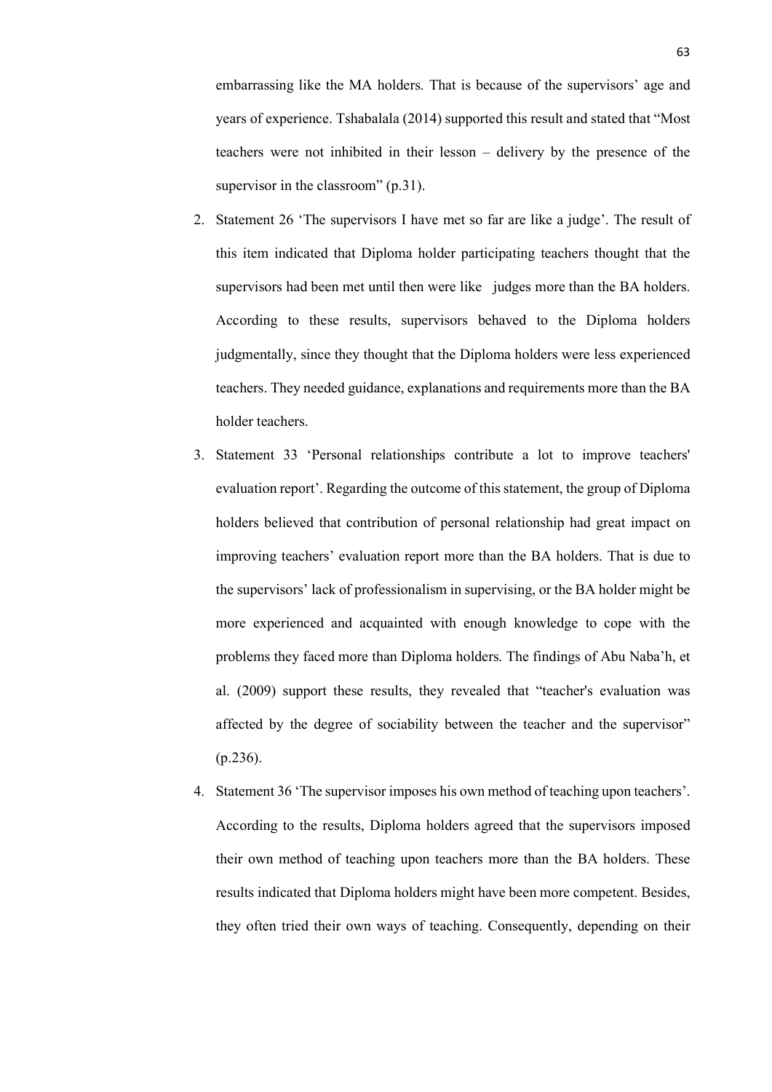embarrassing like the MA holders. That is because of the supervisors' age and years of experience. Tshabalala (2014) supported this result and stated that "Most teachers were not inhibited in their lesson – delivery by the presence of the supervisor in the classroom" (p.31).

- 2. Statement 26 'The supervisors I have met so far are like a judge'. The result of this item indicated that Diploma holder participating teachers thought that the supervisors had been met until then were like judges more than the BA holders. According to these results, supervisors behaved to the Diploma holders judgmentally, since they thought that the Diploma holders were less experienced teachers. They needed guidance, explanations and requirements more than the BA holder teachers.
- 3. Statement 33 'Personal relationships contribute a lot to improve teachers' evaluation report'. Regarding the outcome of this statement, the group of Diploma holders believed that contribution of personal relationship had great impact on improving teachers' evaluation report more than the BA holders. That is due to the supervisors' lack of professionalism in supervising, or the BA holder might be more experienced and acquainted with enough knowledge to cope with the problems they faced more than Diploma holders. The findings of Abu Naba'h, et al. (2009) support these results, they revealed that "teacher's evaluation was affected by the degree of sociability between the teacher and the supervisor" (p.236).
- 4. Statement 36 'The supervisor imposes his own method of teaching upon teachers'. According to the results, Diploma holders agreed that the supervisors imposed their own method of teaching upon teachers more than the BA holders. These results indicated that Diploma holders might have been more competent. Besides, they often tried their own ways of teaching. Consequently, depending on their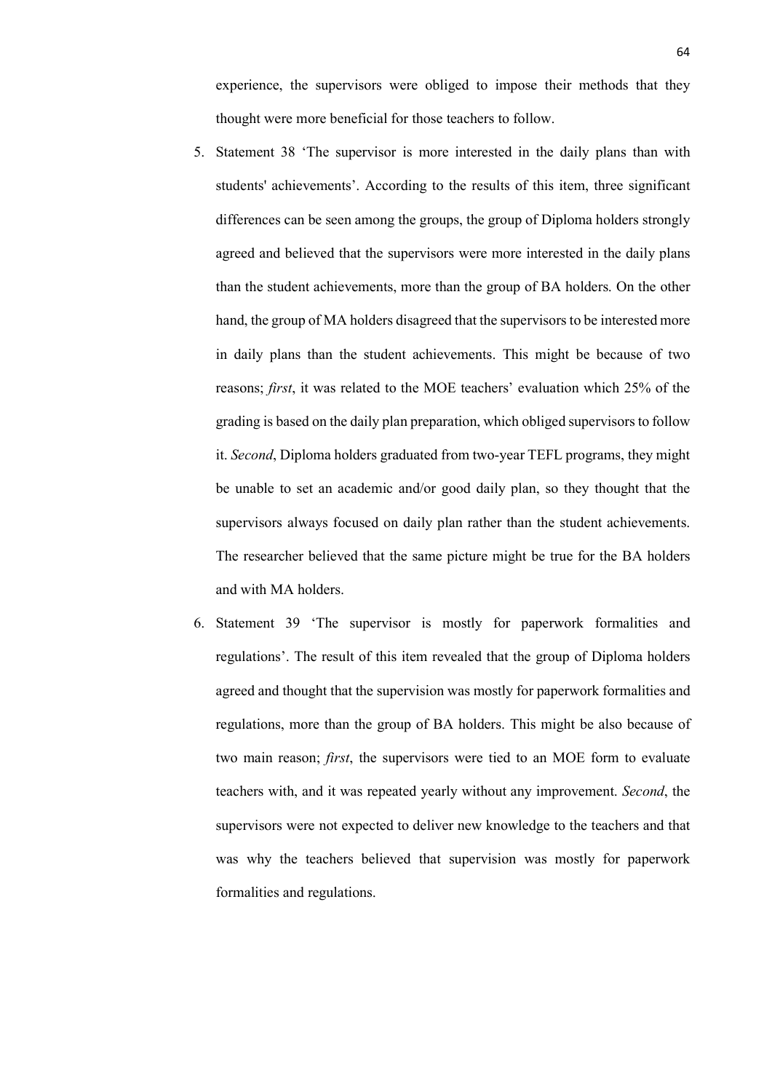experience, the supervisors were obliged to impose their methods that they thought were more beneficial for those teachers to follow.

- 5. Statement 38 'The supervisor is more interested in the daily plans than with students' achievements'. According to the results of this item, three significant differences can be seen among the groups, the group of Diploma holders strongly agreed and believed that the supervisors were more interested in the daily plans than the student achievements, more than the group of BA holders. On the other hand, the group of MA holders disagreed that the supervisors to be interested more in daily plans than the student achievements. This might be because of two reasons; *first*, it was related to the MOE teachers' evaluation which 25% of the grading is based on the daily plan preparation, which obliged supervisors to follow it. *Second*, Diploma holders graduated from two-year TEFL programs, they might be unable to set an academic and/or good daily plan, so they thought that the supervisors always focused on daily plan rather than the student achievements. The researcher believed that the same picture might be true for the BA holders and with MA holders.
- 6. Statement 39 'The supervisor is mostly for paperwork formalities and regulations'. The result of this item revealed that the group of Diploma holders agreed and thought that the supervision was mostly for paperwork formalities and regulations, more than the group of BA holders. This might be also because of two main reason; *first*, the supervisors were tied to an MOE form to evaluate teachers with, and it was repeated yearly without any improvement. *Second*, the supervisors were not expected to deliver new knowledge to the teachers and that was why the teachers believed that supervision was mostly for paperwork formalities and regulations.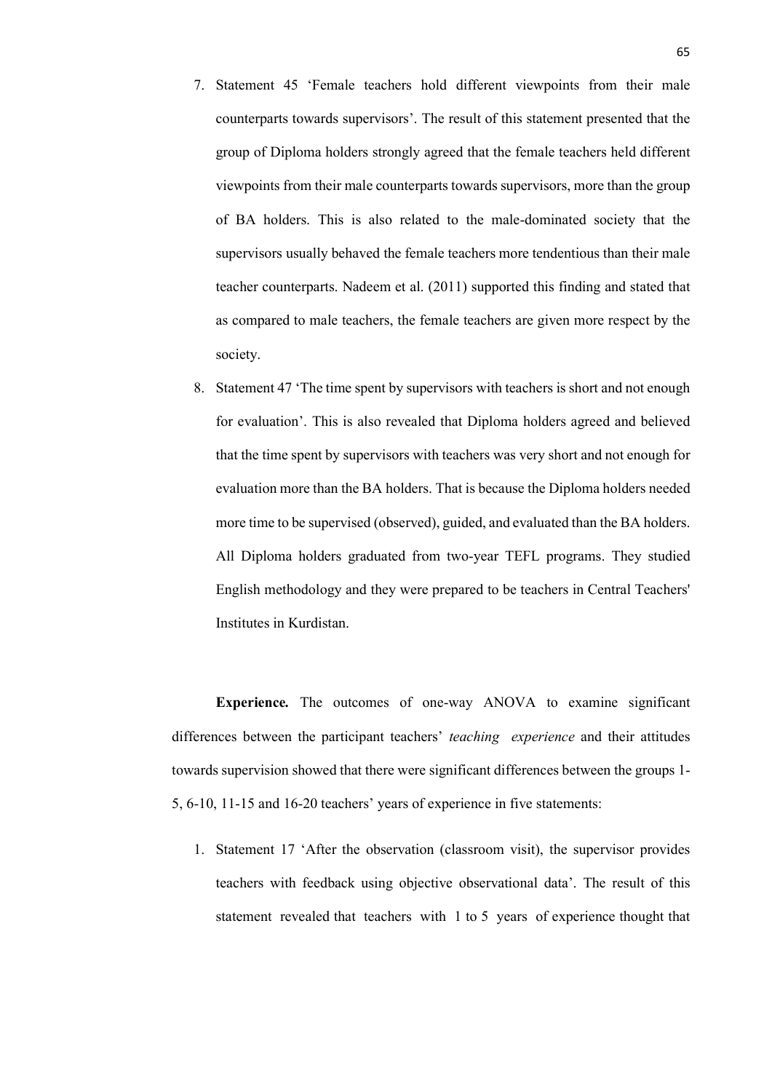- 7. Statement 45 'Female teachers hold different viewpoints from their male counterparts towards supervisors'. The result of this statement presented that the group of Diploma holders strongly agreed that the female teachers held different viewpoints from their male counterparts towards supervisors, more than the group of BA holders. This is also related to the male-dominated society that the supervisors usually behaved the female teachers more tendentious than their male teacher counterparts. Nadeem et al. (2011) supported this finding and stated that as compared to male teachers, the female teachers are given more respect by the society.
- 8. Statement 47 'The time spent by supervisors with teachers is short and not enough for evaluation'. This is also revealed that Diploma holders agreed and believed that the time spent by supervisors with teachers was very short and not enough for evaluation more than the BA holders. That is because the Diploma holders needed more time to be supervised (observed), guided, and evaluated than the BA holders. All Diploma holders graduated from two-year TEFL programs. They studied English methodology and they were prepared to be teachers in Central Teachers' Institutes in Kurdistan.

**Experience***.* The outcomes of one-way ANOVA to examine significant differences between the participant teachers' *teaching experience* and their attitudes towards supervision showed that there were significant differences between the groups 1- 5, 6-10, 11-15 and 16-20 teachers' years of experience in five statements:

1. Statement 17 'After the observation (classroom visit), the supervisor provides teachers with feedback using objective observational data'. The result of this statement revealed that teachers with 1 to 5 years of experience thought that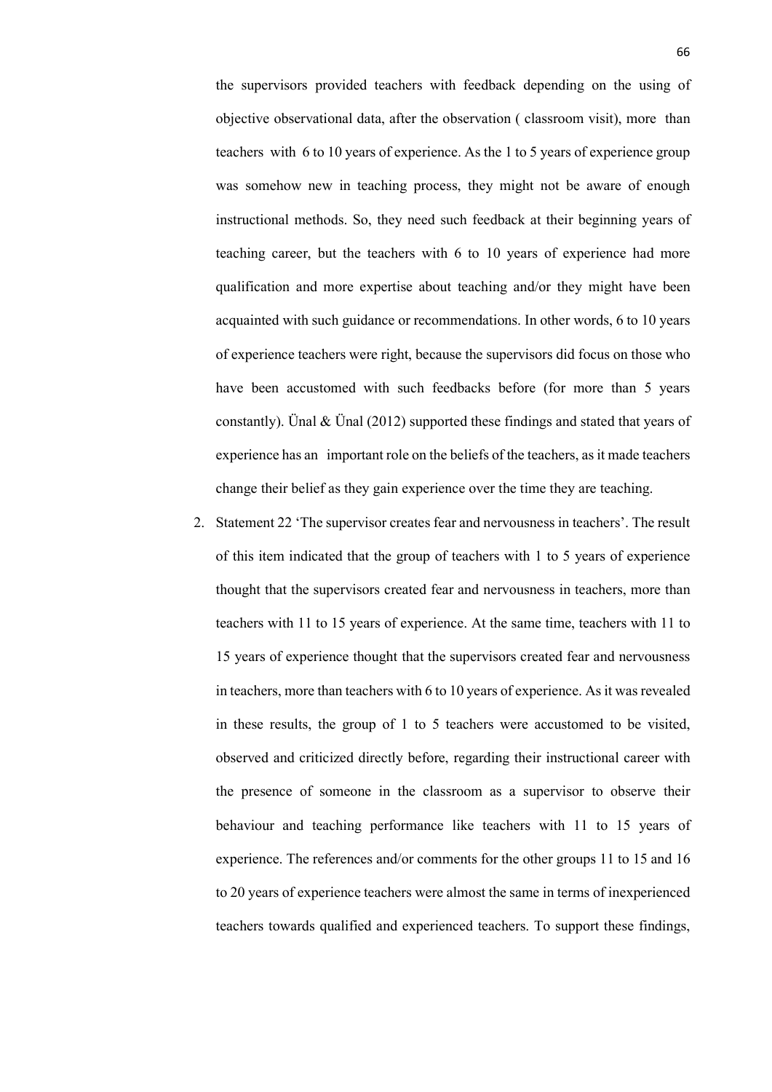the supervisors provided teachers with feedback depending on the using of objective observational data, after the observation ( classroom visit), more than teachers with 6 to 10 years of experience. As the 1 to 5 years of experience group was somehow new in teaching process, they might not be aware of enough instructional methods. So, they need such feedback at their beginning years of teaching career, but the teachers with 6 to 10 years of experience had more qualification and more expertise about teaching and/or they might have been acquainted with such guidance or recommendations. In other words, 6 to 10 years of experience teachers were right, because the supervisors did focus on those who have been accustomed with such feedbacks before (for more than 5 years constantly). Unal  $&$  Unal (2012) supported these findings and stated that years of experience has an important role on the beliefs of the teachers, as it made teachers change their belief as they gain experience over the time they are teaching.

2. Statement 22 'The supervisor creates fear and nervousness in teachers'. The result of this item indicated that the group of teachers with 1 to 5 years of experience thought that the supervisors created fear and nervousness in teachers, more than teachers with 11 to 15 years of experience. At the same time, teachers with 11 to 15 years of experience thought that the supervisors created fear and nervousness in teachers, more than teachers with 6 to 10 years of experience. As it was revealed in these results, the group of 1 to 5 teachers were accustomed to be visited, observed and criticized directly before, regarding their instructional career with the presence of someone in the classroom as a supervisor to observe their behaviour and teaching performance like teachers with 11 to 15 years of experience. The references and/or comments for the other groups 11 to 15 and 16 to 20 years of experience teachers were almost the same in terms of inexperienced teachers towards qualified and experienced teachers. To support these findings,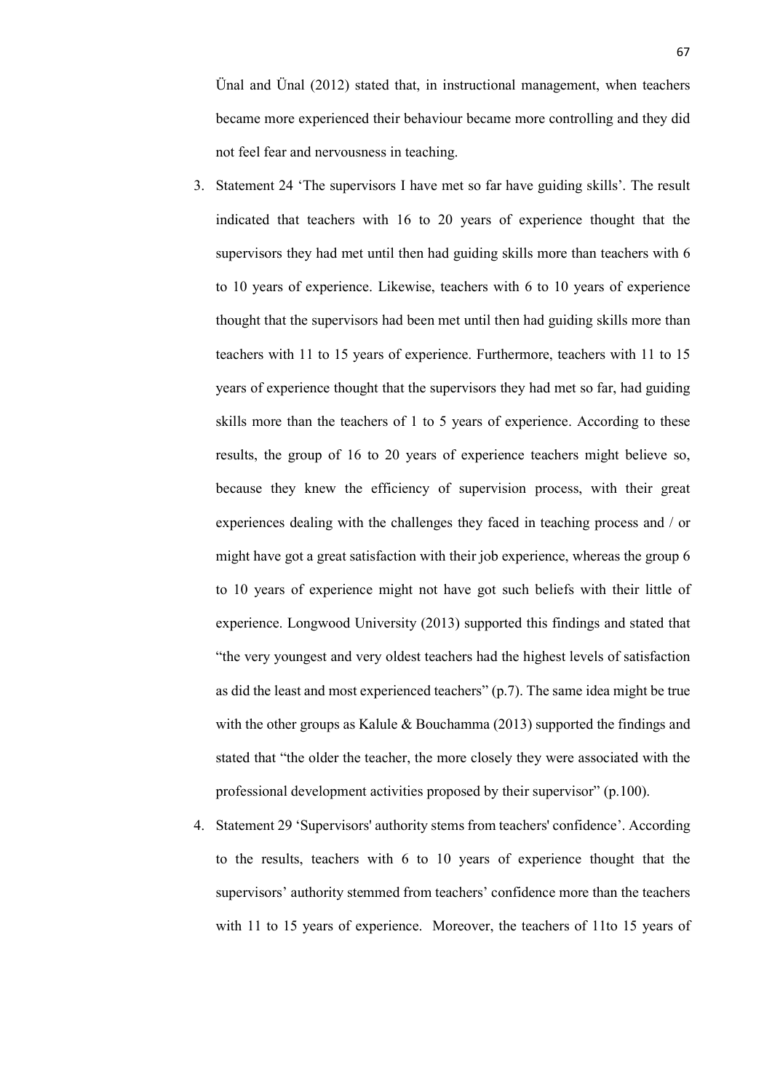Ünal and Ünal (2012) stated that, in instructional management, when teachers became more experienced their behaviour became more controlling and they did not feel fear and nervousness in teaching.

- 3. Statement 24 'The supervisors I have met so far have guiding skills'. The result indicated that teachers with 16 to 20 years of experience thought that the supervisors they had met until then had guiding skills more than teachers with 6 to 10 years of experience. Likewise, teachers with 6 to 10 years of experience thought that the supervisors had been met until then had guiding skills more than teachers with 11 to 15 years of experience. Furthermore, teachers with 11 to 15 years of experience thought that the supervisors they had met so far, had guiding skills more than the teachers of 1 to 5 years of experience. According to these results, the group of 16 to 20 years of experience teachers might believe so, because they knew the efficiency of supervision process, with their great experiences dealing with the challenges they faced in teaching process and / or might have got a great satisfaction with their job experience, whereas the group 6 to 10 years of experience might not have got such beliefs with their little of experience. Longwood University (2013) supported this findings and stated that "the very youngest and very oldest teachers had the highest levels of satisfaction as did the least and most experienced teachers" (p.7). The same idea might be true with the other groups as Kalule & Bouchamma (2013) supported the findings and stated that "the older the teacher, the more closely they were associated with the professional development activities proposed by their supervisor" (p.100).
- 4. Statement 29 'Supervisors' authority stems from teachers' confidence'. According to the results, teachers with 6 to 10 years of experience thought that the supervisors' authority stemmed from teachers' confidence more than the teachers with 11 to 15 years of experience. Moreover, the teachers of 11to 15 years of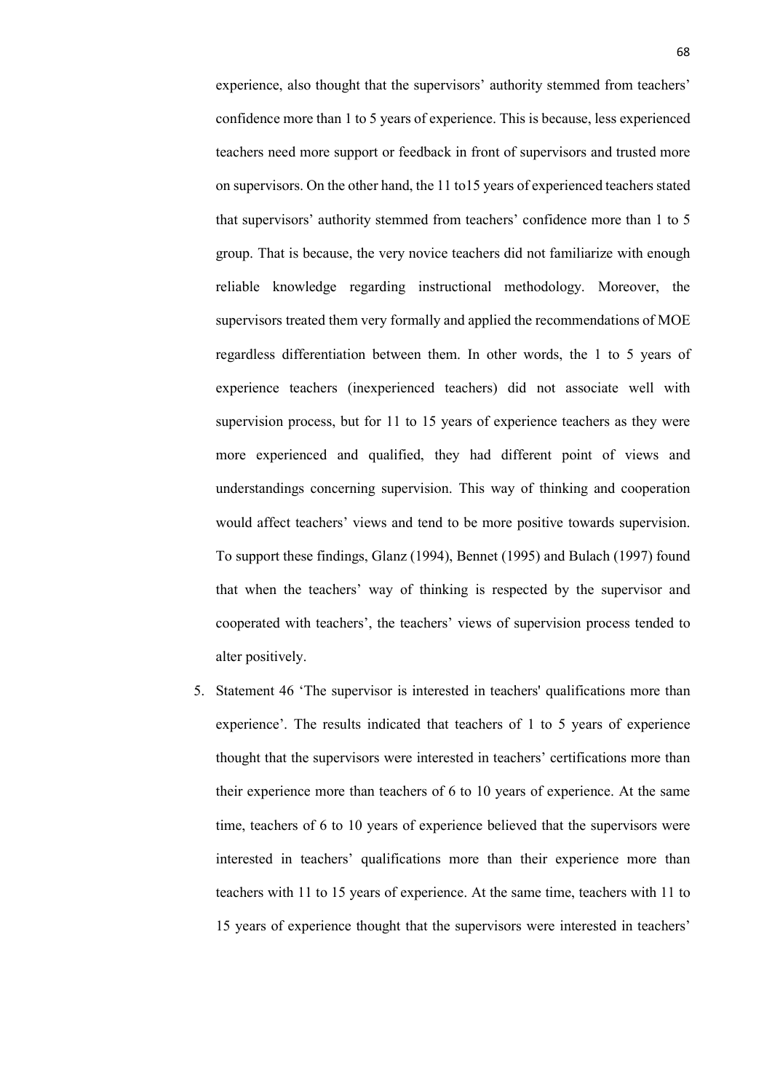experience, also thought that the supervisors' authority stemmed from teachers' confidence more than 1 to 5 years of experience. This is because, less experienced teachers need more support or feedback in front of supervisors and trusted more on supervisors. On the other hand, the 11 to15 years of experienced teachers stated that supervisors' authority stemmed from teachers' confidence more than 1 to 5 group. That is because, the very novice teachers did not familiarize with enough reliable knowledge regarding instructional methodology. Moreover, the supervisors treated them very formally and applied the recommendations of MOE regardless differentiation between them. In other words, the 1 to 5 years of experience teachers (inexperienced teachers) did not associate well with supervision process, but for 11 to 15 years of experience teachers as they were more experienced and qualified, they had different point of views and understandings concerning supervision. This way of thinking and cooperation would affect teachers' views and tend to be more positive towards supervision. To support these findings, Glanz (1994), Bennet (1995) and Bulach (1997) found that when the teachers' way of thinking is respected by the supervisor and cooperated with teachers', the teachers' views of supervision process tended to alter positively.

5. Statement 46 'The supervisor is interested in teachers' qualifications more than experience'. The results indicated that teachers of 1 to 5 years of experience thought that the supervisors were interested in teachers' certifications more than their experience more than teachers of 6 to 10 years of experience. At the same time, teachers of 6 to 10 years of experience believed that the supervisors were interested in teachers' qualifications more than their experience more than teachers with 11 to 15 years of experience. At the same time, teachers with 11 to 15 years of experience thought that the supervisors were interested in teachers'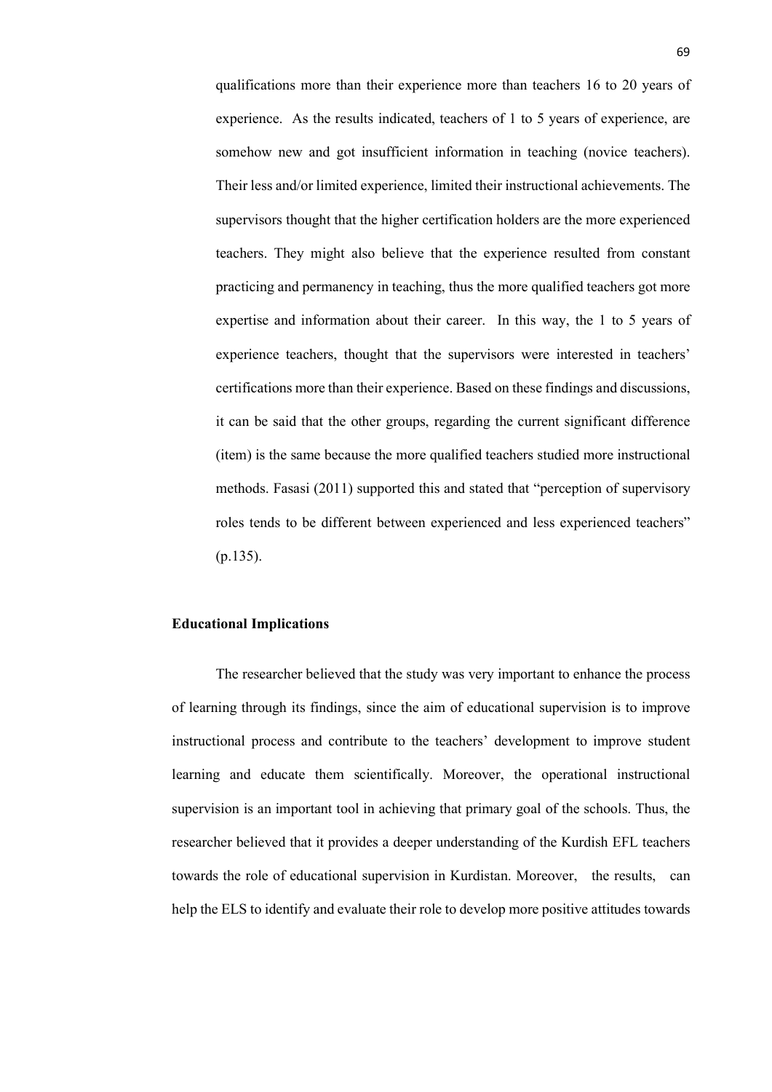qualifications more than their experience more than teachers 16 to 20 years of experience. As the results indicated, teachers of 1 to 5 years of experience, are somehow new and got insufficient information in teaching (novice teachers). Their less and/or limited experience, limited their instructional achievements. The supervisors thought that the higher certification holders are the more experienced teachers. They might also believe that the experience resulted from constant practicing and permanency in teaching, thus the more qualified teachers got more expertise and information about their career. In this way, the 1 to 5 years of experience teachers, thought that the supervisors were interested in teachers' certifications more than their experience. Based on these findings and discussions, it can be said that the other groups, regarding the current significant difference (item) is the same because the more qualified teachers studied more instructional methods. Fasasi (2011) supported this and stated that "perception of supervisory roles tends to be different between experienced and less experienced teachers" (p.135).

#### **Educational Implications**

The researcher believed that the study was very important to enhance the process of learning through its findings, since the aim of educational supervision is to improve instructional process and contribute to the teachers' development to improve student learning and educate them scientifically. Moreover, the operational instructional supervision is an important tool in achieving that primary goal of the schools. Thus, the researcher believed that it provides a deeper understanding of the Kurdish EFL teachers towards the role of educational supervision in Kurdistan. Moreover, the results, can help the ELS to identify and evaluate their role to develop more positive attitudes towards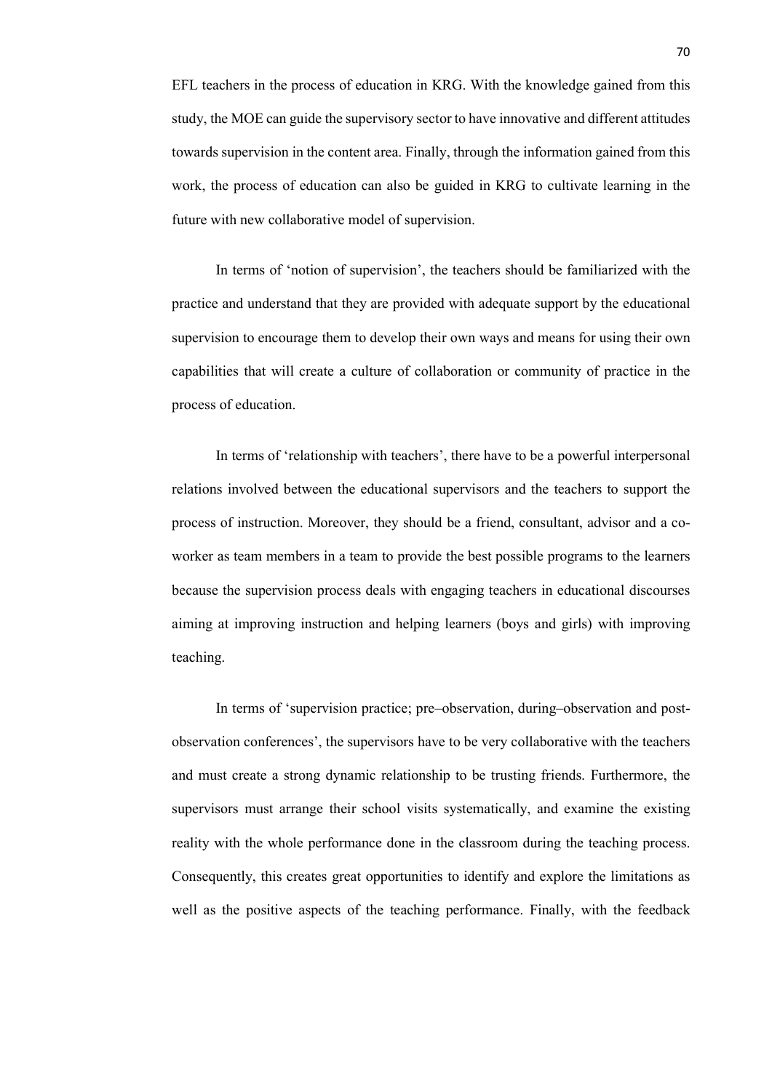EFL teachers in the process of education in KRG. With the knowledge gained from this study, the MOE can guide the supervisory sector to have innovative and different attitudes towards supervision in the content area. Finally, through the information gained from this work, the process of education can also be guided in KRG to cultivate learning in the future with new collaborative model of supervision.

In terms of 'notion of supervision', the teachers should be familiarized with the practice and understand that they are provided with adequate support by the educational supervision to encourage them to develop their own ways and means for using their own capabilities that will create a culture of collaboration or community of practice in the process of education.

In terms of 'relationship with teachers', there have to be a powerful interpersonal relations involved between the educational supervisors and the teachers to support the process of instruction. Moreover, they should be a friend, consultant, advisor and a coworker as team members in a team to provide the best possible programs to the learners because the supervision process deals with engaging teachers in educational discourses aiming at improving instruction and helping learners (boys and girls) with improving teaching.

In terms of 'supervision practice; pre–observation, during–observation and postobservation conferences', the supervisors have to be very collaborative with the teachers and must create a strong dynamic relationship to be trusting friends. Furthermore, the supervisors must arrange their school visits systematically, and examine the existing reality with the whole performance done in the classroom during the teaching process. Consequently, this creates great opportunities to identify and explore the limitations as well as the positive aspects of the teaching performance. Finally, with the feedback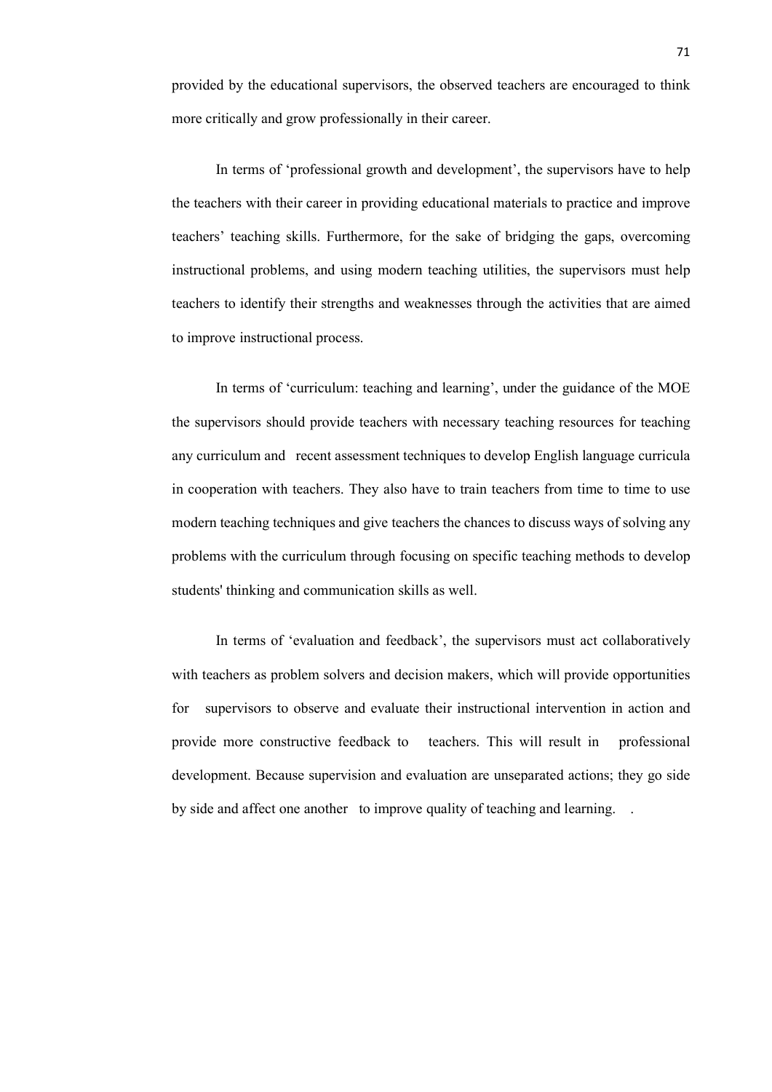provided by the educational supervisors, the observed teachers are encouraged to think more critically and grow professionally in their career.

In terms of 'professional growth and development', the supervisors have to help the teachers with their career in providing educational materials to practice and improve teachers' teaching skills. Furthermore, for the sake of bridging the gaps, overcoming instructional problems, and using modern teaching utilities, the supervisors must help teachers to identify their strengths and weaknesses through the activities that are aimed to improve instructional process.

In terms of 'curriculum: teaching and learning', under the guidance of the MOE the supervisors should provide teachers with necessary teaching resources for teaching any curriculum and recent assessment techniques to develop English language curricula in cooperation with teachers. They also have to train teachers from time to time to use modern teaching techniques and give teachers the chances to discuss ways of solving any problems with the curriculum through focusing on specific teaching methods to develop students' thinking and communication skills as well.

In terms of 'evaluation and feedback', the supervisors must act collaboratively with teachers as problem solvers and decision makers, which will provide opportunities for supervisors to observe and evaluate their instructional intervention in action and provide more constructive feedback to teachers. This will result in professional development. Because supervision and evaluation are unseparated actions; they go side by side and affect one another to improve quality of teaching and learning. .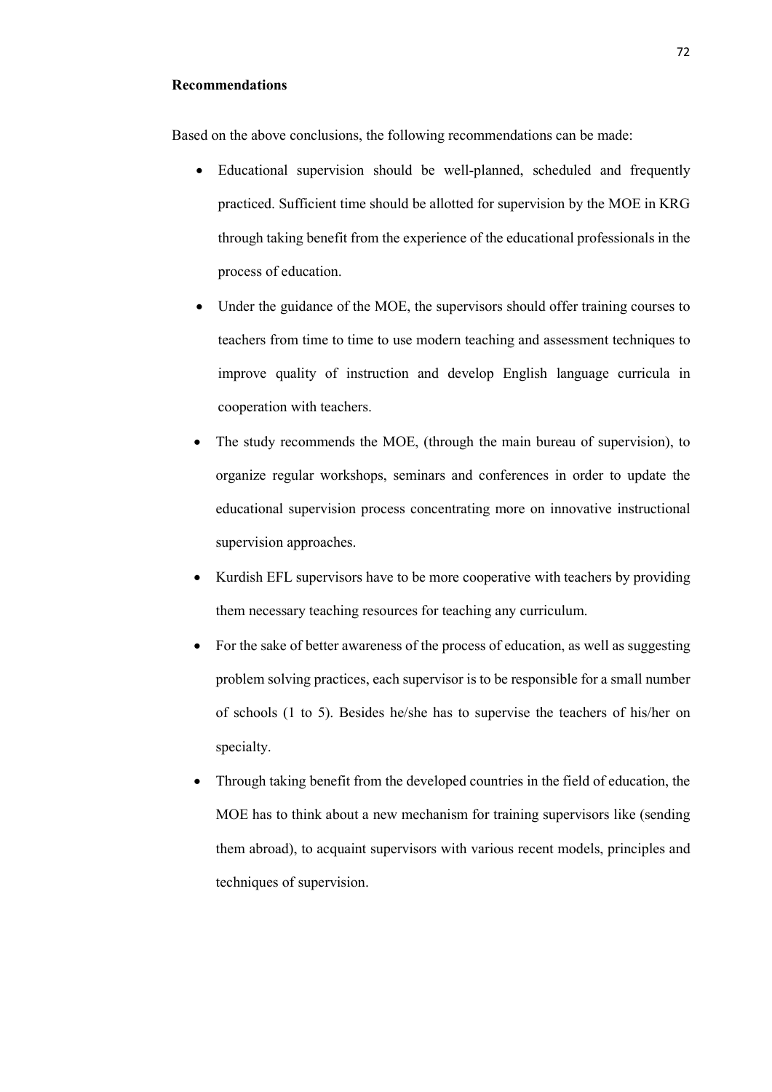#### **Recommendations**

Based on the above conclusions, the following recommendations can be made:

- Educational supervision should be well-planned, scheduled and frequently practiced. Sufficient time should be allotted for supervision by the MOE in KRG through taking benefit from the experience of the educational professionals in the process of education.
- Under the guidance of the MOE, the supervisors should offer training courses to teachers from time to time to use modern teaching and assessment techniques to improve quality of instruction and develop English language curricula in cooperation with teachers.
- The study recommends the MOE, (through the main bureau of supervision), to organize regular workshops, seminars and conferences in order to update the educational supervision process concentrating more on innovative instructional supervision approaches.
- Kurdish EFL supervisors have to be more cooperative with teachers by providing them necessary teaching resources for teaching any curriculum.
- For the sake of better awareness of the process of education, as well as suggesting problem solving practices, each supervisor is to be responsible for a small number of schools (1 to 5). Besides he/she has to supervise the teachers of his/her on specialty.
- Through taking benefit from the developed countries in the field of education, the MOE has to think about a new mechanism for training supervisors like (sending them abroad), to acquaint supervisors with various recent models, principles and techniques of supervision.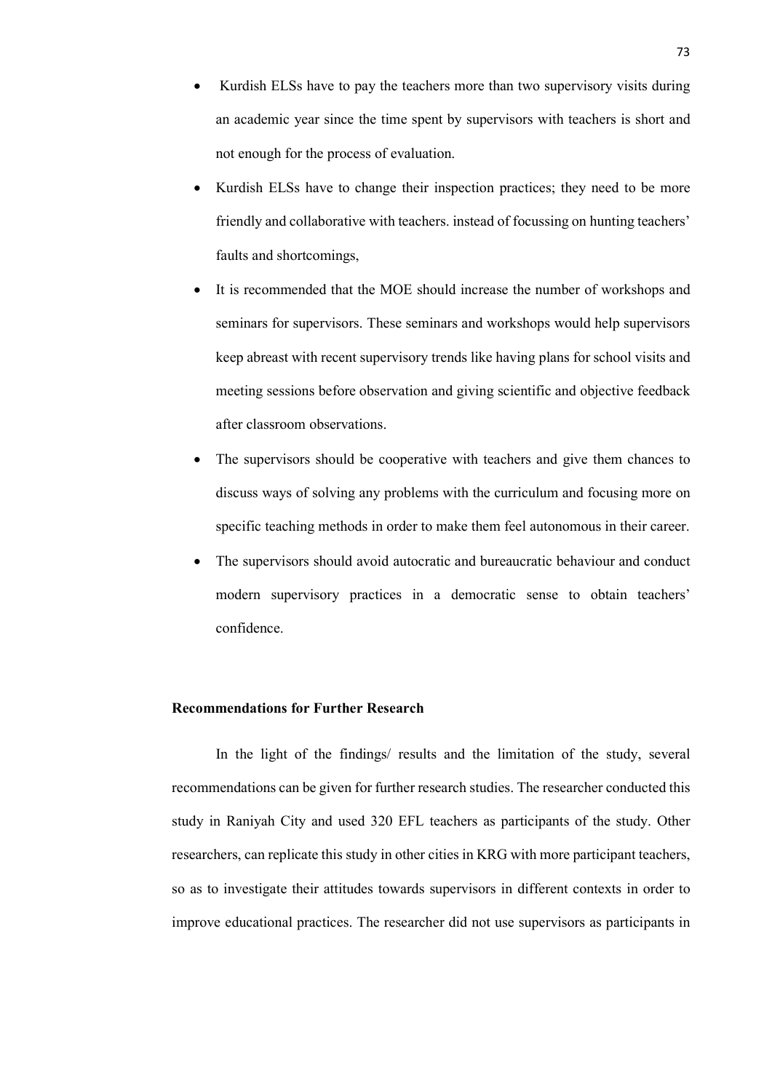- Kurdish ELSs have to pay the teachers more than two supervisory visits during an academic year since the time spent by supervisors with teachers is short and not enough for the process of evaluation.
- Kurdish ELSs have to change their inspection practices; they need to be more friendly and collaborative with teachers. instead of focussing on hunting teachers' faults and shortcomings,
- It is recommended that the MOE should increase the number of workshops and seminars for supervisors. These seminars and workshops would help supervisors keep abreast with recent supervisory trends like having plans for school visits and meeting sessions before observation and giving scientific and objective feedback after classroom observations.
- The supervisors should be cooperative with teachers and give them chances to discuss ways of solving any problems with the curriculum and focusing more on specific teaching methods in order to make them feel autonomous in their career.
- The supervisors should avoid autocratic and bureaucratic behaviour and conduct modern supervisory practices in a democratic sense to obtain teachers' confidence.

#### **Recommendations for Further Research**

In the light of the findings/ results and the limitation of the study, several recommendations can be given for further research studies. The researcher conducted this study in Raniyah City and used 320 EFL teachers as participants of the study. Other researchers, can replicate this study in other cities in KRG with more participant teachers, so as to investigate their attitudes towards supervisors in different contexts in order to improve educational practices. The researcher did not use supervisors as participants in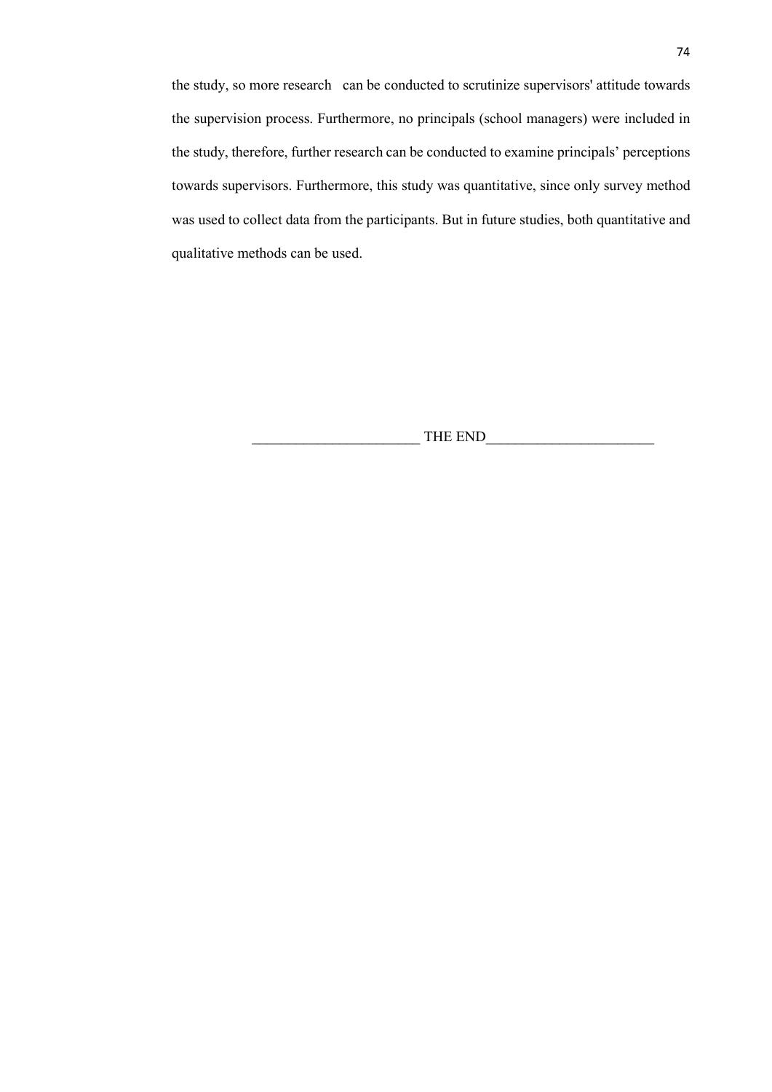the study, so more research can be conducted to scrutinize supervisors' attitude towards the supervision process. Furthermore, no principals (school managers) were included in the study, therefore, further research can be conducted to examine principals' perceptions towards supervisors. Furthermore, this study was quantitative, since only survey method was used to collect data from the participants. But in future studies, both quantitative and qualitative methods can be used.

THE END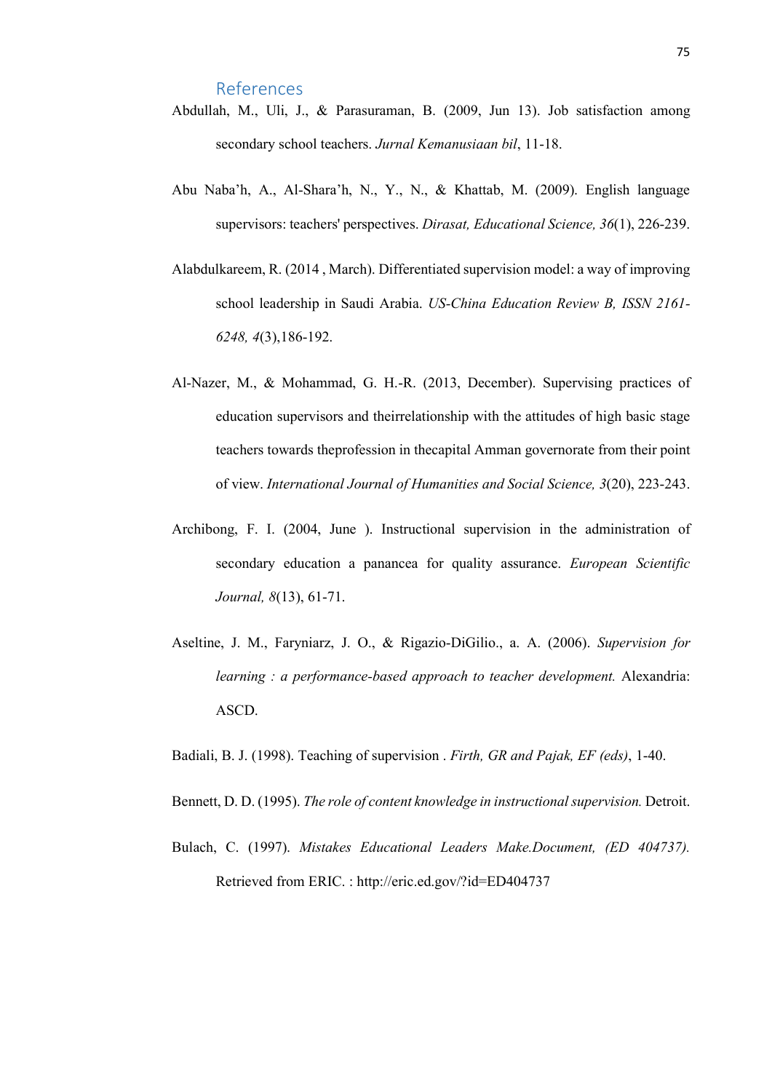References

- Abdullah, M., Uli, J., & Parasuraman, B. (2009, Jun 13). Job satisfaction among secondary school teachers. *Jurnal Kemanusiaan bil*, 11-18.
- Abu Naba'h, A., Al-Shara'h, N., Y., N., & Khattab, M. (2009). English language supervisors: teachers' perspectives. *Dirasat, Educational Science, 36*(1), 226-239.
- Alabdulkareem, R. (2014 , March). Differentiated supervision model: a way of improving school leadership in Saudi Arabia. *US-China Education Review B, ISSN 2161- 6248, 4*(3),186-192.
- Al-Nazer, M., & Mohammad, G. H.-R. (2013, December). Supervising practices of education supervisors and theirrelationship with the attitudes of high basic stage teachers towards theprofession in thecapital Amman governorate from their point of view. *International Journal of Humanities and Social Science, 3*(20), 223-243.
- Archibong, F. I. (2004, June ). Instructional supervision in the administration of secondary education a panancea for quality assurance. *European Scientific Journal, 8*(13), 61-71.
- Aseltine, J. M., Faryniarz, J. O., & Rigazio-DiGilio., a. A. (2006). *Supervision for learning : a performance-based approach to teacher development.* Alexandria: ASCD.

Badiali, B. J. (1998). Teaching of supervision . *Firth, GR and Pajak, EF (eds)*, 1-40.

- Bennett, D. D. (1995). *The role of content knowledge in instructional supervision.* Detroit.
- Bulach, C. (1997). *Mistakes Educational Leaders Make.Document, (ED 404737).* Retrieved from ERIC. : http://eric.ed.gov/?id=ED404737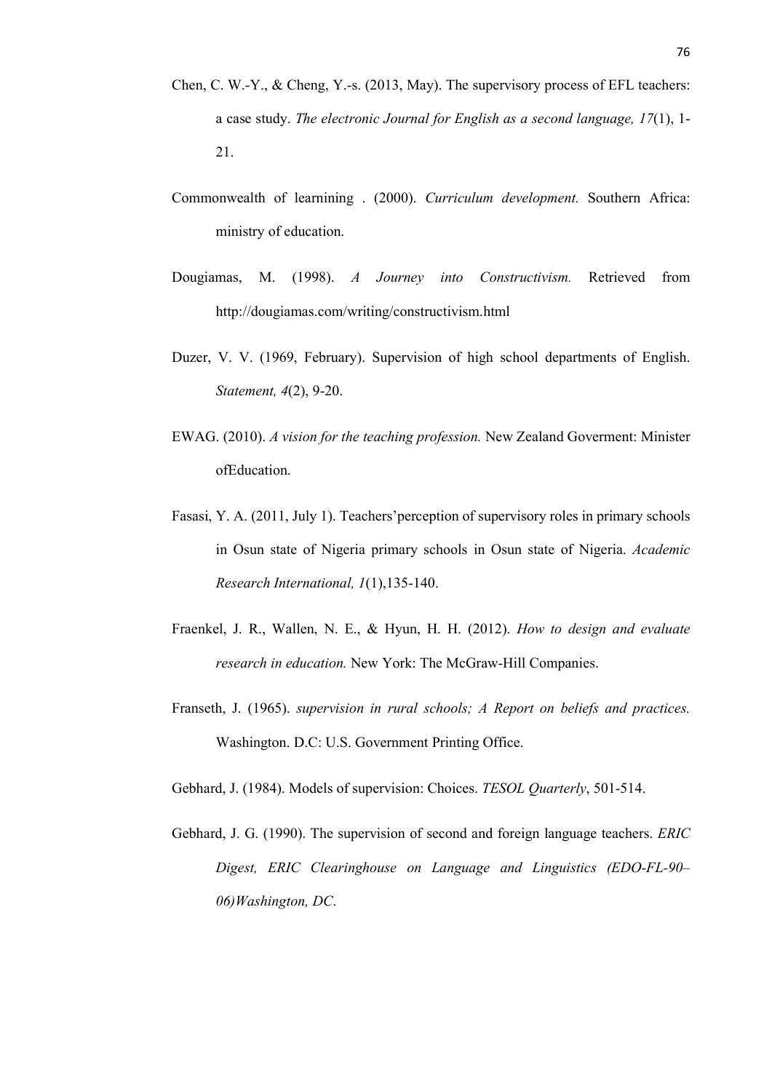- Chen, C. W.-Y., & Cheng, Y.-s. (2013, May). The supervisory process of EFL teachers: a case study. *The electronic Journal for English as a second language, 17*(1), 1- 21.
- Commonwealth of learnining . (2000). *Curriculum development.* Southern Africa: ministry of education.
- Dougiamas, M. (1998). *A Journey into Constructivism.* Retrieved from http://dougiamas.com/writing/constructivism.html
- Duzer, V. V. (1969, February). Supervision of high school departments of English. *Statement, 4*(2), 9-20.
- EWAG. (2010). *A vision for the teaching profession.* New Zealand Goverment: Minister ofEducation.
- Fasasi, Y. A. (2011, July 1). Teachers'perception of supervisory roles in primary schools in Osun state of Nigeria primary schools in Osun state of Nigeria. *Academic Research International, 1*(1),135-140.
- Fraenkel, J. R., Wallen, N. E., & Hyun, H. H. (2012). *How to design and evaluate research in education.* New York: The McGraw-Hill Companies.
- Franseth, J. (1965). *supervision in rural schools; A Report on beliefs and practices.* Washington. D.C: U.S. Government Printing Office.

Gebhard, J. (1984). Models of supervision: Choices. *TESOL Quarterly*, 501-514.

Gebhard, J. G. (1990). The supervision of second and foreign language teachers. *ERIC Digest, ERIC Clearinghouse on Language and Linguistics (EDO-FL-90– 06)Washington, DC*.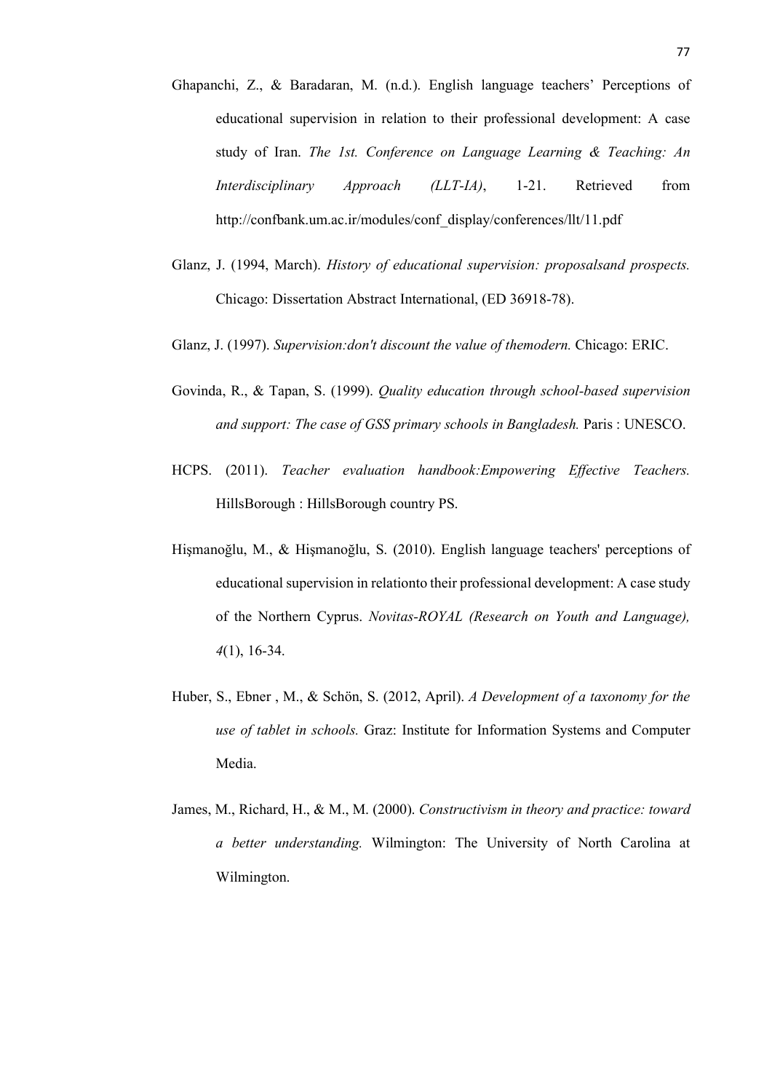- Ghapanchi, Z., & Baradaran, M. (n.d.). English language teachers' Perceptions of educational supervision in relation to their professional development: A case study of Iran. *The 1st. Conference on Language Learning & Teaching: An Interdisciplinary Approach (LLT-IA)*, 1-21. Retrieved from http://confbank.um.ac.ir/modules/conf\_display/conferences/llt/11.pdf
- Glanz, J. (1994, March). *History of educational supervision: proposalsand prospects.* Chicago: Dissertation Abstract International, (ED 36918-78).
- Glanz, J. (1997). *Supervision:don't discount the value of themodern.* Chicago: ERIC.
- Govinda, R., & Tapan, S. (1999). *Quality education through school-based supervision and support: The case of GSS primary schools in Bangladesh.* Paris : UNESCO.
- HCPS. (2011). *Teacher evaluation handbook:Empowering Effective Teachers.* HillsBorough : HillsBorough country PS.
- Hişmanoğlu, M., & Hişmanoğlu, S. (2010). English language teachers' perceptions of educational supervision in relationto their professional development: A case study of the Northern Cyprus. *Novitas-ROYAL (Research on Youth and Language), 4*(1), 16-34.
- Huber, S., Ebner , M., & Schön, S. (2012, April). *A Development of a taxonomy for the use of tablet in schools.* Graz: Institute for Information Systems and Computer Media.
- James, M., Richard, H., & M., M. (2000). *Constructivism in theory and practice: toward a better understanding.* Wilmington: The University of North Carolina at Wilmington.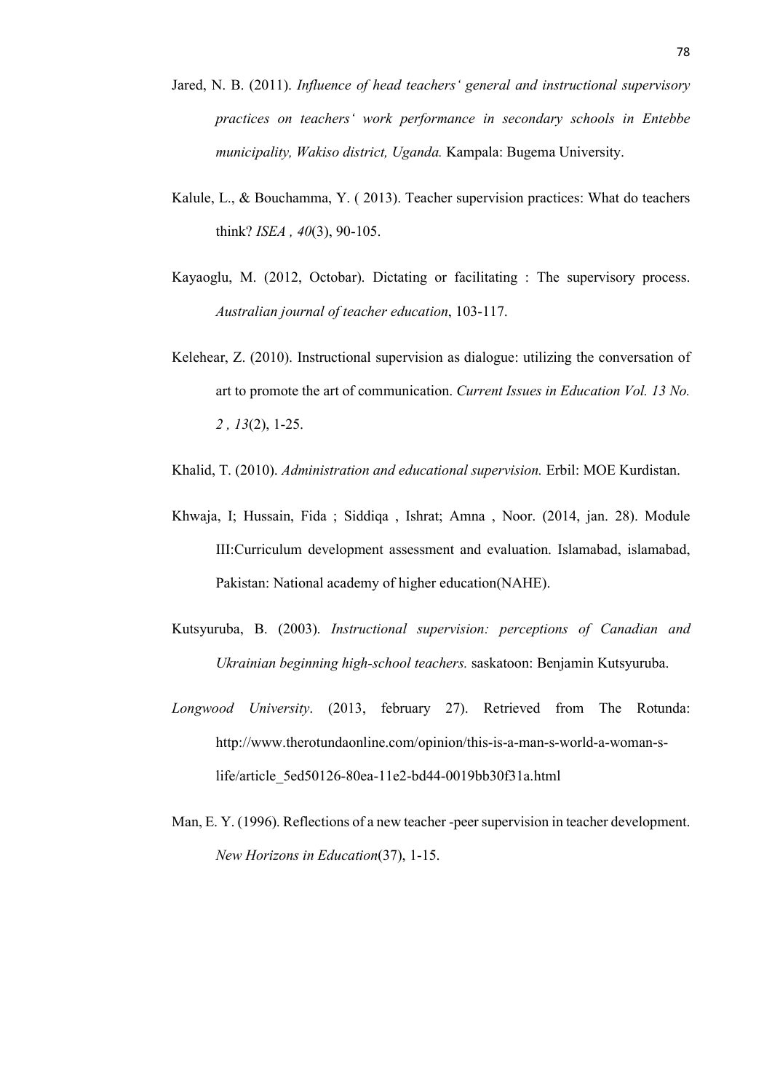- Jared, N. B. (2011). *Influence of head teachers' general and instructional supervisory practices on teachers' work performance in secondary schools in Entebbe municipality, Wakiso district, Uganda.* Kampala: Bugema University.
- Kalule, L., & Bouchamma, Y. ( 2013). Teacher supervision practices: What do teachers think? *ISEA , 40*(3), 90-105.
- Kayaoglu, M. (2012, Octobar). Dictating or facilitating : The supervisory process. *Australian journal of teacher education*, 103-117.
- Kelehear, Z. (2010). Instructional supervision as dialogue: utilizing the conversation of art to promote the art of communication. *Current Issues in Education Vol. 13 No. 2 , 13*(2), 1-25.
- Khalid, T. (2010). *Administration and educational supervision.* Erbil: MOE Kurdistan.
- Khwaja, I; Hussain, Fida ; Siddiqa , Ishrat; Amna , Noor. (2014, jan. 28). Module III:Curriculum development assessment and evaluation. Islamabad, islamabad, Pakistan: National academy of higher education(NAHE).
- Kutsyuruba, B. (2003). *Instructional supervision: perceptions of Canadian and Ukrainian beginning high-school teachers.* saskatoon: Benjamin Kutsyuruba.
- *Longwood University*. (2013, february 27). Retrieved from The Rotunda: http://www.therotundaonline.com/opinion/this-is-a-man-s-world-a-woman-slife/article\_5ed50126-80ea-11e2-bd44-0019bb30f31a.html
- Man, E. Y. (1996). Reflections of a new teacher -peer supervision in teacher development. *New Horizons in Education*(37), 1-15.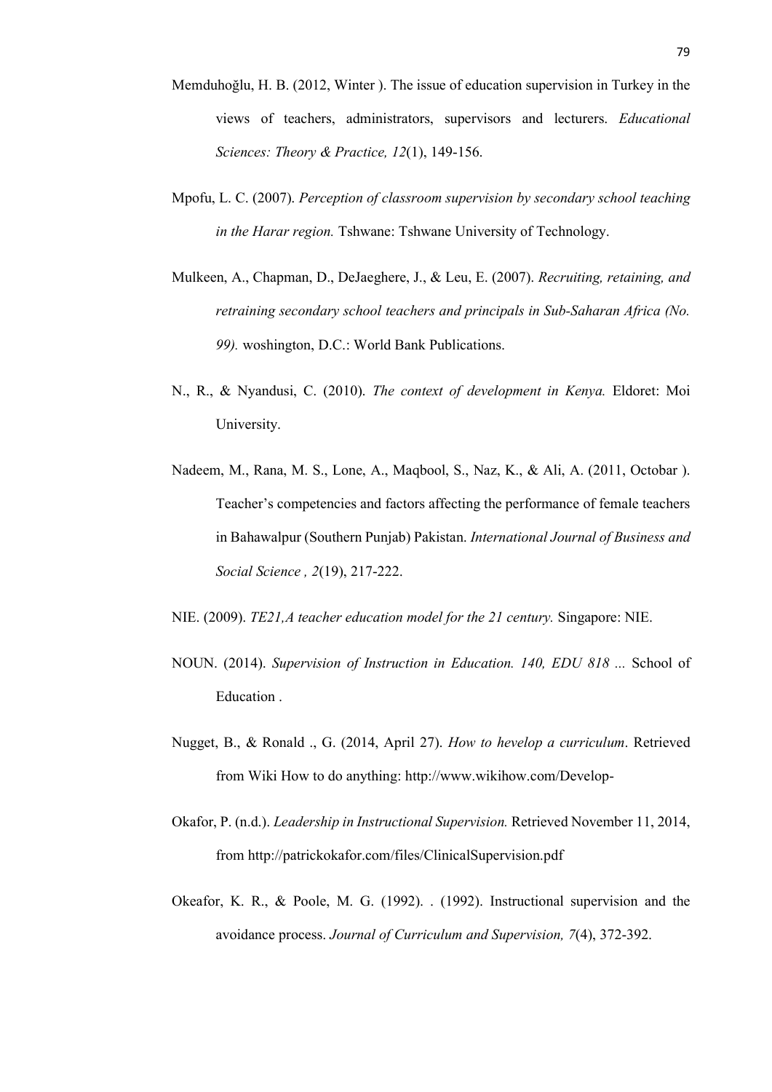- Memduhoğlu, H. B. (2012, Winter ). The issue of education supervision in Turkey in the views of teachers, administrators, supervisors and lecturers. *Educational Sciences: Theory & Practice, 12*(1), 149-156.
- Mpofu, L. C. (2007). *Perception of classroom supervision by secondary school teaching in the Harar region.* Tshwane: Tshwane University of Technology.
- Mulkeen, A., Chapman, D., DeJaeghere, J., & Leu, E. (2007). *Recruiting, retaining, and retraining secondary school teachers and principals in Sub-Saharan Africa (No. 99).* woshington, D.C.: World Bank Publications.
- N., R., & Nyandusi, C. (2010). *The context of development in Kenya.* Eldoret: Moi University.
- Nadeem, M., Rana, M. S., Lone, A., Maqbool, S., Naz, K., & Ali, A. (2011, Octobar ). Teacher's competencies and factors affecting the performance of female teachers in Bahawalpur (Southern Punjab) Pakistan. *International Journal of Business and Social Science , 2*(19), 217-222.
- NIE. (2009). *TE21,A teacher education model for the 21 century.* Singapore: NIE.
- NOUN. (2014). *Supervision of Instruction in Education. 140, EDU 818 ...* School of Education .
- Nugget, B., & Ronald ., G. (2014, April 27). *How to hevelop a curriculum*. Retrieved from Wiki How to do anything: http://www.wikihow.com/Develop-
- Okafor, P. (n.d.). *Leadership in Instructional Supervision.* Retrieved November 11, 2014, from http://patrickokafor.com/files/ClinicalSupervision.pdf
- Okeafor, K. R., & Poole, M. G. (1992). . (1992). Instructional supervision and the avoidance process. *Journal of Curriculum and Supervision, 7*(4), 372-392.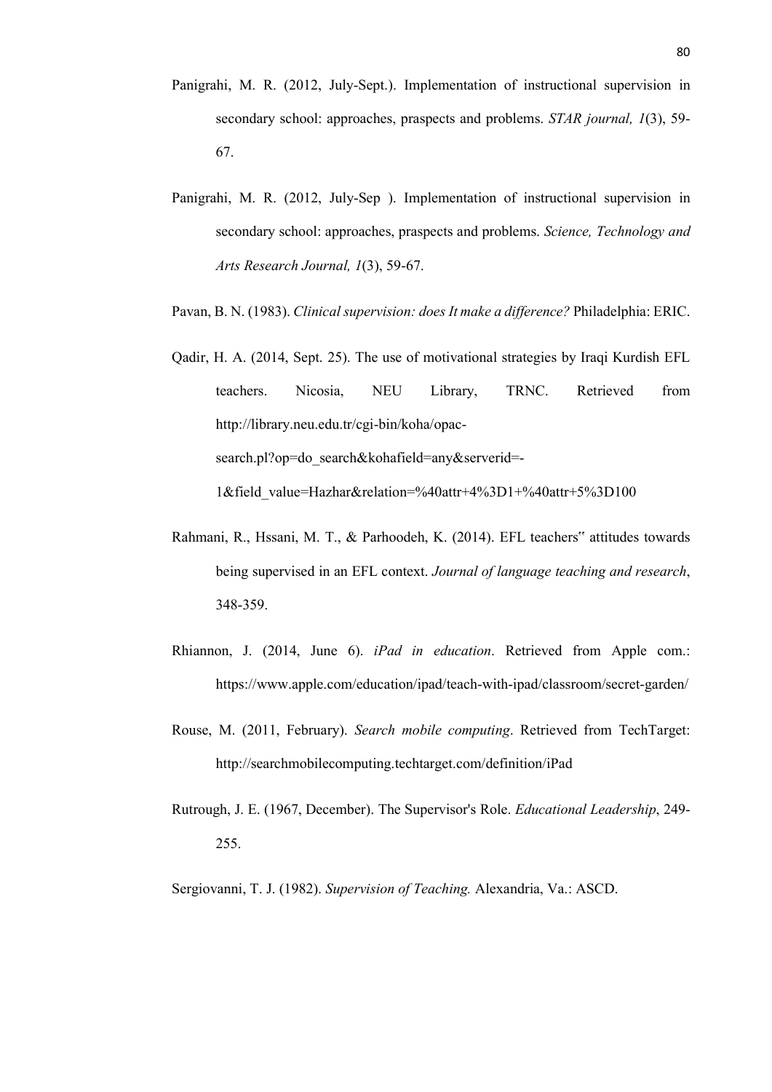- Panigrahi, M. R. (2012, July-Sept.). Implementation of instructional supervision in secondary school: approaches, praspects and problems. *STAR journal, 1*(3), 59- 67.
- Panigrahi, M. R. (2012, July-Sep ). Implementation of instructional supervision in secondary school: approaches, praspects and problems. *Science, Technology and Arts Research Journal, 1*(3), 59-67.
- Pavan, B. N. (1983). *Clinical supervision: does It make a difference?* Philadelphia: ERIC.
- Qadir, H. A. (2014, Sept. 25). The use of motivational strategies by Iraqi Kurdish EFL teachers. Nicosia, NEU Library, TRNC. Retrieved from http://library.neu.edu.tr/cgi-bin/koha/opacsearch.pl?op=do\_search&kohafield=any&serverid=-

1&field\_value=Hazhar&relation=%40attr+4%3D1+%40attr+5%3D100

- Rahmani, R., Hssani, M. T., & Parhoodeh, K. (2014). EFL teachers" attitudes towards being supervised in an EFL context. *Journal of language teaching and research*, 348-359.
- Rhiannon, J. (2014, June 6). *iPad in education*. Retrieved from Apple com.: https://www.apple.com/education/ipad/teach-with-ipad/classroom/secret-garden/
- Rouse, M. (2011, February). *Search mobile computing*. Retrieved from TechTarget: http://searchmobilecomputing.techtarget.com/definition/iPad
- Rutrough, J. E. (1967, December). The Supervisor's Role. *Educational Leadership*, 249- 255.

Sergiovanni, T. J. (1982). *Supervision of Teaching.* Alexandria, Va.: ASCD.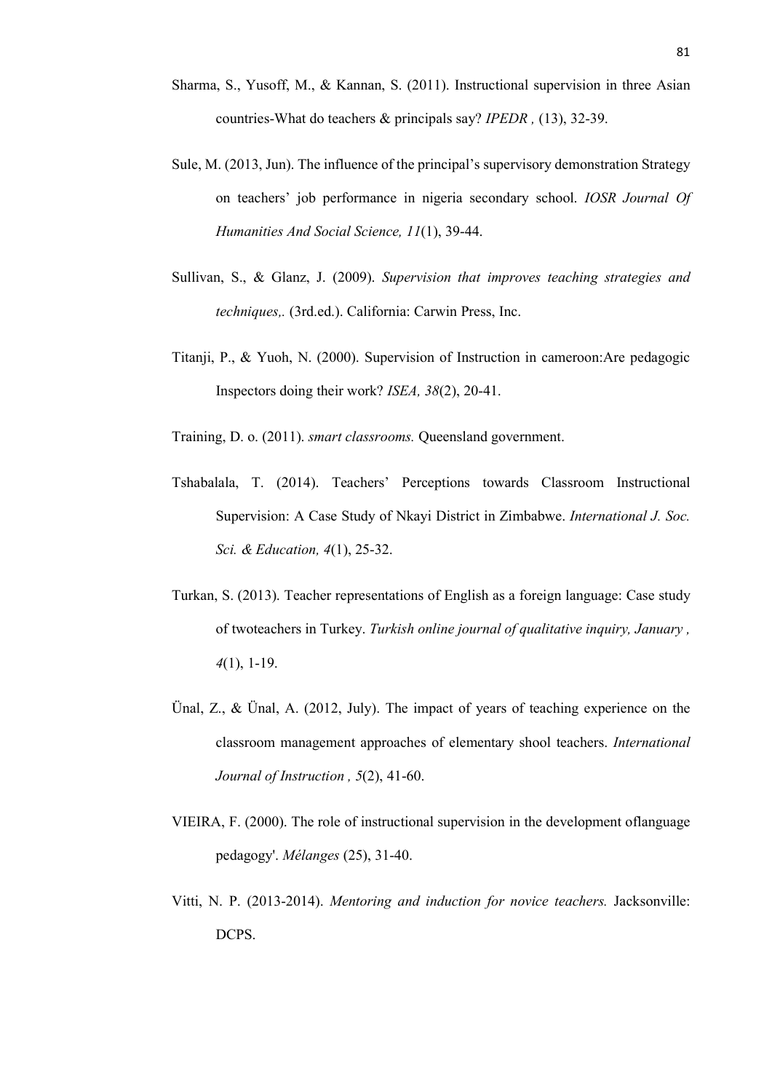- Sharma, S., Yusoff, M., & Kannan, S. (2011). Instructional supervision in three Asian countries-What do teachers & principals say? *IPEDR ,* (13), 32-39.
- Sule, M. (2013, Jun). The influence of the principal's supervisory demonstration Strategy on teachers' job performance in nigeria secondary school. *IOSR Journal Of Humanities And Social Science, 11*(1), 39-44.
- Sullivan, S., & Glanz, J. (2009). *Supervision that improves teaching strategies and techniques,.* (3rd.ed.). California: Carwin Press, Inc.
- Titanji, P., & Yuoh, N. (2000). Supervision of Instruction in cameroon:Are pedagogic Inspectors doing their work? *ISEA, 38*(2), 20-41.

Training, D. o. (2011). *smart classrooms.* Queensland government.

- Tshabalala, T. (2014). Teachers' Perceptions towards Classroom Instructional Supervision: A Case Study of Nkayi District in Zimbabwe. *International J. Soc. Sci. & Education, 4*(1), 25-32.
- Turkan, S. (2013). Teacher representations of English as a foreign language: Case study of twoteachers in Turkey. *Turkish online journal of qualitative inquiry, January , 4*(1), 1-19.
- Ünal, Z., & Ünal, A. (2012, July). The impact of years of teaching experience on the classroom management approaches of elementary shool teachers. *International Journal of Instruction , 5*(2), 41-60.
- VIEIRA, F. (2000). The role of instructional supervision in the development oflanguage pedagogy'. *Mélanges* (25), 31-40.
- Vitti, N. P. (2013-2014). *Mentoring and induction for novice teachers.* Jacksonville: DCPS.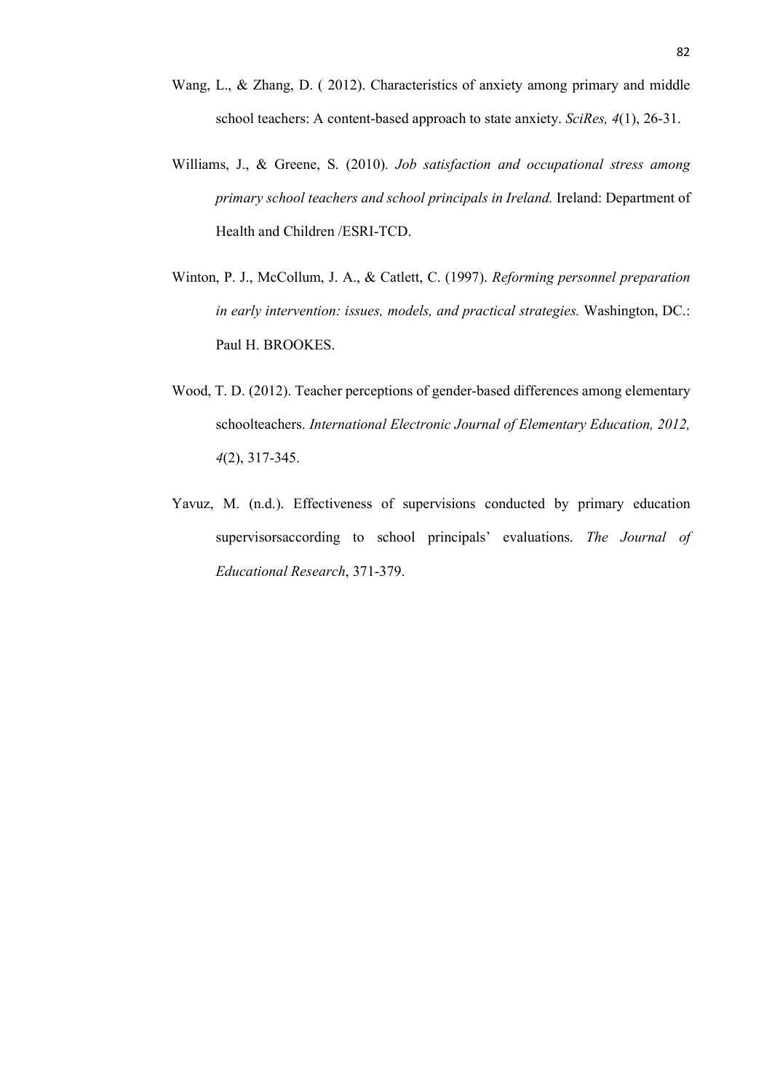- Wang, L., & Zhang, D. ( 2012). Characteristics of anxiety among primary and middle school teachers: A content-based approach to state anxiety. *SciRes, 4*(1), 26-31.
- Williams, J., & Greene, S. (2010). *Job satisfaction and occupational stress among primary school teachers and school principals in Ireland.* Ireland: Department of Health and Children /ESRI-TCD.
- Winton, P. J., McCollum, J. A., & Catlett, C. (1997). *Reforming personnel preparation in early intervention: issues, models, and practical strategies.* Washington, DC.: Paul H. BROOKES.
- Wood, T. D. (2012). Teacher perceptions of gender-based differences among elementary schoolteachers. *International Electronic Journal of Elementary Education, 2012, 4*(2), 317-345.
- Yavuz, M. (n.d.). Effectiveness of supervisions conducted by primary education supervisorsaccording to school principals' evaluations. *The Journal of Educational Research*, 371-379.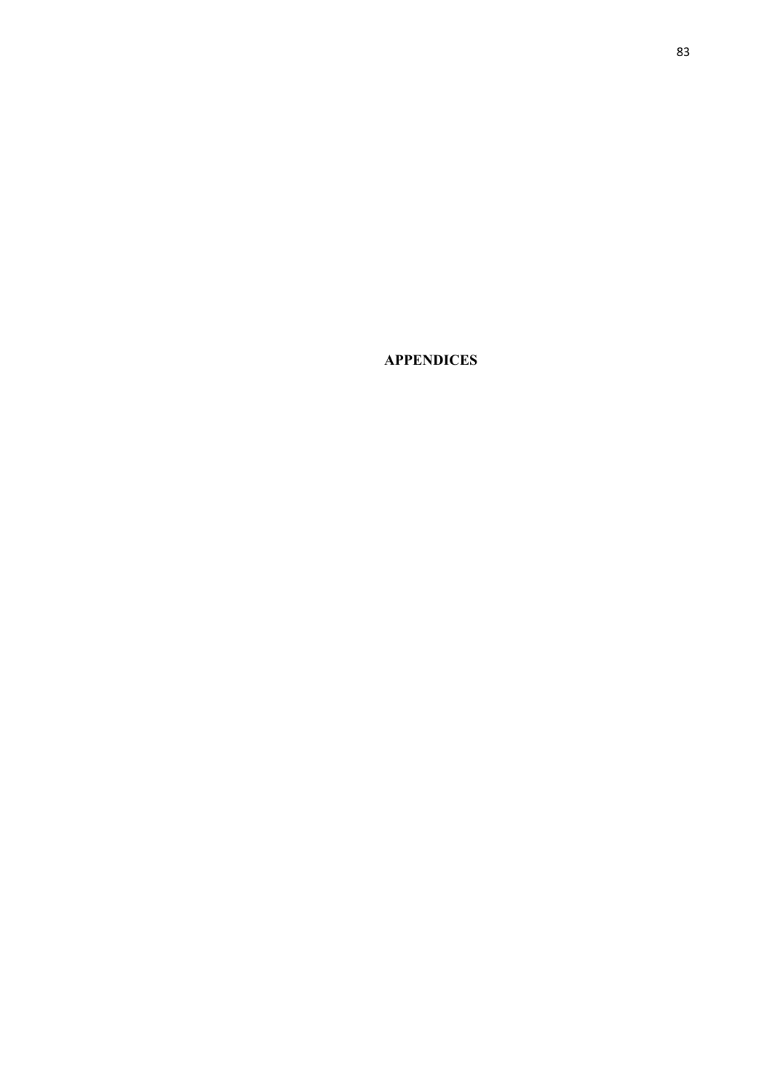**APPENDICES**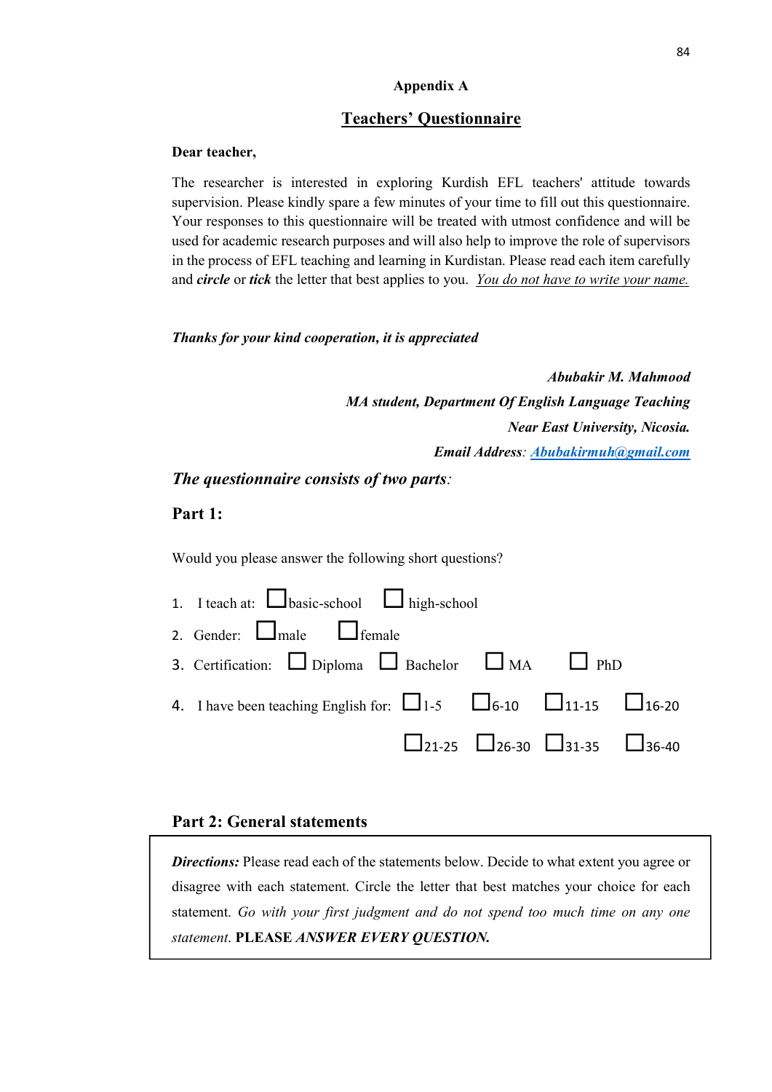### **Appendix A**

### **Teachers' Questionnaire**

#### **Dear teacher,**

The researcher is interested in exploring Kurdish EFL teachers' attitude towards supervision. Please kindly spare a few minutes of your time to fill out this questionnaire. Your responses to this questionnaire will be treated with utmost confidence and will be used for academic research purposes and will also help to improve the role of supervisors in the process of EFL teaching and learning in Kurdistan. Please read each item carefully and *circle* or *tick* the letter that best applies to you. *You do not have to write your name.*

### *Thanks for your kind cooperation, it is appreciated*

*Abubakir M. Mahmood MA student, Department Of English Language Teaching Near East University, Nicosia. Email Address: Abubakirmuh@gmail.com*

*The questionnaire consists of two parts:*

## **Part 1:**

Would you please answer the following short questions?

| 1. I teach at: $\Box$ basic-school $\Box$ high-school                                 |  |                                                                 |  |
|---------------------------------------------------------------------------------------|--|-----------------------------------------------------------------|--|
| 2. Gender: $\Box$ male $\Box$ female                                                  |  |                                                                 |  |
| 3. Certification: $\Box$ Diploma $\Box$ Bachelor $\Box$ MA $\Box$ PhD                 |  |                                                                 |  |
| 4. I have been teaching English for: $\Box$ 1-5 $\Box$ 6-10 $\Box$ 11-15 $\Box$ 16-20 |  |                                                                 |  |
|                                                                                       |  | $\square$ 21-25 $\square$ 26-30 $\square$ 31-35 $\square$ 36-40 |  |

## **Part 2: General statements**

**Directions:** Please read each of the statements below. Decide to what extent you agree or disagree with each statement. Circle the letter that best matches your choice for each statement. *Go with your first judgment and do not spend too much time on any one statement*. **PLEASE** *ANSWER EVERY QUESTION.*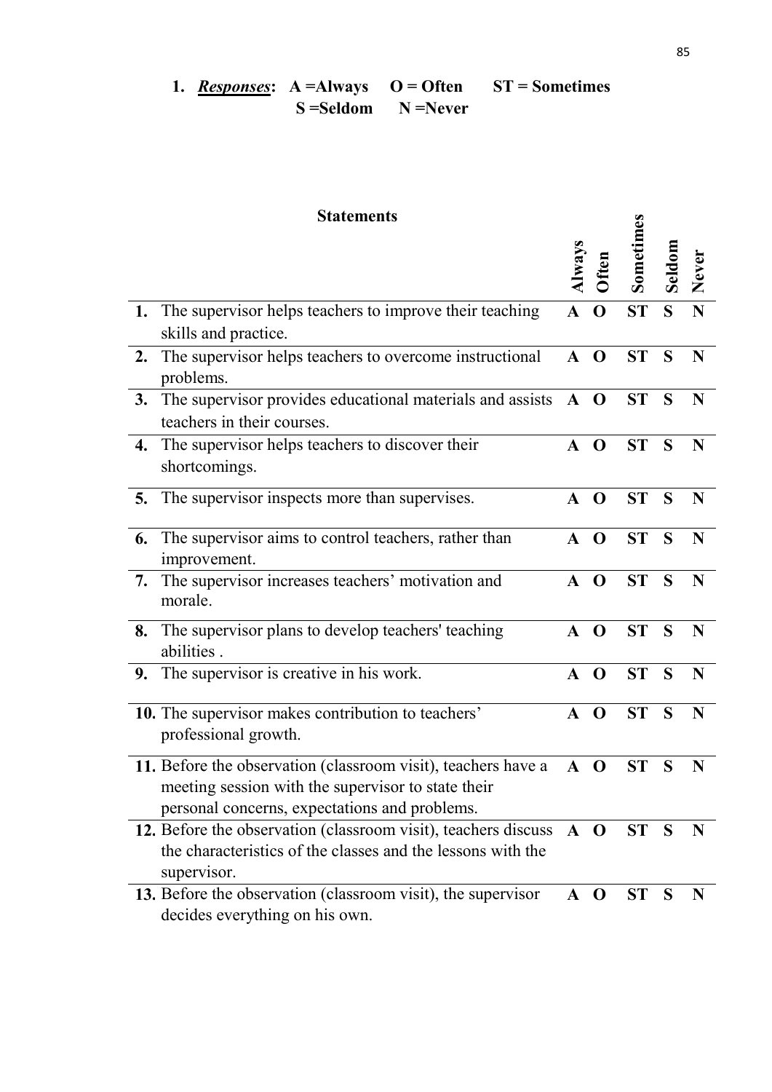1. *Responses*: A = Always O = Often ST = Sometimes **S**=Seldom **N**=Never

|    | <b>Statements</b>                                                                                                                                                    |              |              |           |              |       |
|----|----------------------------------------------------------------------------------------------------------------------------------------------------------------------|--------------|--------------|-----------|--------------|-------|
|    |                                                                                                                                                                      | Always       | Often        | Sometimes | Seldom       | Never |
|    | 1. The supervisor helps teachers to improve their teaching<br>skills and practice.                                                                                   | A O          |              | ST        | S            | N     |
| 2. | The supervisor helps teachers to overcome instructional<br>problems.                                                                                                 | $\mathbf{A}$ | $\bf{O}$     | <b>ST</b> | S            | N     |
| 3. | The supervisor provides educational materials and assists $\mathbf{A}$ <b>O</b><br>teachers in their courses.                                                        |              |              | <b>ST</b> | S            | N     |
| 4. | The supervisor helps teachers to discover their<br>shortcomings.                                                                                                     | $\mathbf{A}$ | $\mathbf{O}$ | <b>ST</b> | S            | N     |
|    | 5. The supervisor inspects more than supervises.                                                                                                                     | $\mathbf{A}$ | $\mathbf{O}$ | <b>ST</b> | S            | N     |
| 6. | The supervisor aims to control teachers, rather than<br>improvement.                                                                                                 | $\mathbf{A}$ | $\mathbf 0$  | <b>ST</b> | S            | N     |
| 7. | The supervisor increases teachers' motivation and<br>morale.                                                                                                         | $\mathbf{A}$ | $\mathbf 0$  | <b>ST</b> | S            | N     |
| 8. | The supervisor plans to develop teachers' teaching<br>abilities.                                                                                                     | A O          |              | <b>ST</b> | S            | N     |
|    | 9. The supervisor is creative in his work.                                                                                                                           | A O          |              | ST        | S            | N     |
|    | 10. The supervisor makes contribution to teachers'<br>professional growth.                                                                                           | $\mathbf{A}$ | $\mathbf 0$  | <b>ST</b> | S            | N     |
|    | 11. Before the observation (classroom visit), teachers have a<br>meeting session with the supervisor to state their<br>personal concerns, expectations and problems. | A O          |              | <b>ST</b> | S            | N     |
|    | 12. Before the observation (classroom visit), teachers discuss<br>the characteristics of the classes and the lessons with the<br>supervisor.                         | $A$ O        |              | ST S      |              | N     |
|    | 13. Before the observation (classroom visit), the supervisor<br>decides everything on his own.                                                                       | A O          |              | <b>ST</b> | <sub>S</sub> | N     |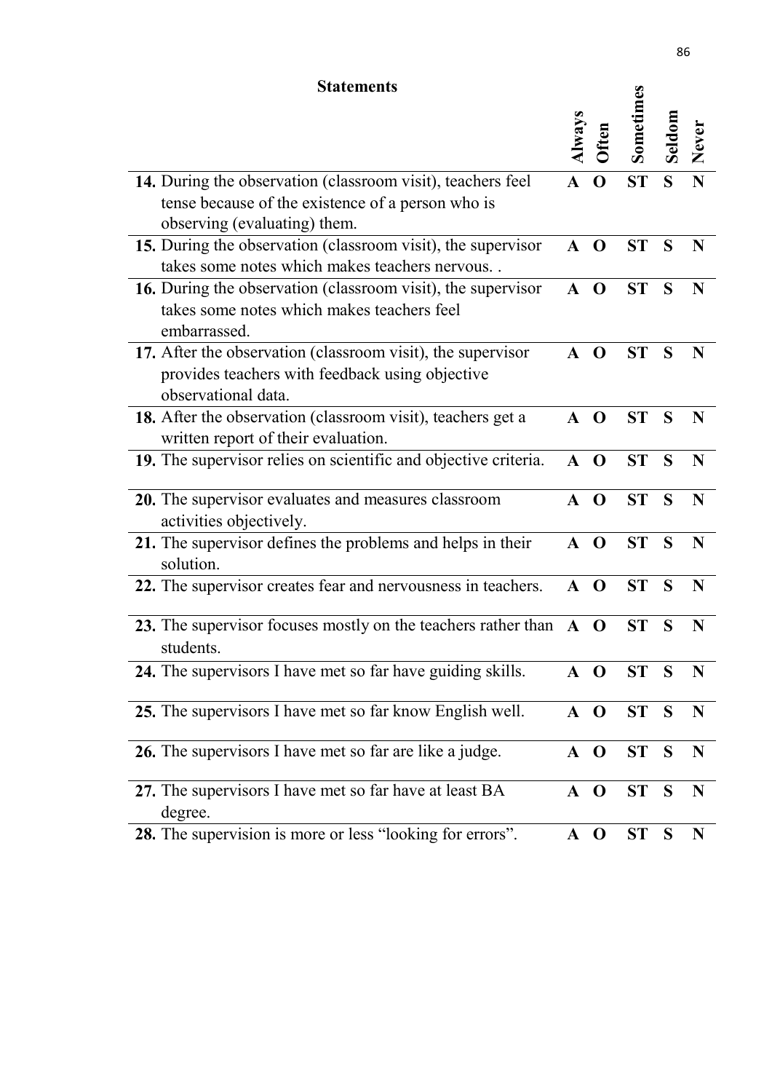## **Statements**

| <b>Statements</b> |                                                                                                                                                  |                  |              |           |       |       |
|-------------------|--------------------------------------------------------------------------------------------------------------------------------------------------|------------------|--------------|-----------|-------|-------|
|                   |                                                                                                                                                  | $\mathbf{A}$ way |              | Sometimes | eddom | Never |
|                   | 14. During the observation (classroom visit), teachers feel<br>tense because of the existence of a person who is<br>observing (evaluating) them. |                  | $\mathbf 0$  | <b>ST</b> | S     | N     |
|                   | 15. During the observation (classroom visit), the supervisor<br>takes some notes which makes teachers nervous                                    | $\mathbf{A}$     | $\mathbf 0$  | <b>ST</b> | S     | N     |
|                   | 16. During the observation (classroom visit), the supervisor<br>takes some notes which makes teachers feel<br>embarrassed.                       | $\mathbf{A}$     | $\bf{O}$     | <b>ST</b> | S     | N     |
|                   | 17. After the observation (classroom visit), the supervisor<br>provides teachers with feedback using objective<br>observational data.            | $\mathbf{A}$     | $\mathbf 0$  | <b>ST</b> | S     | N     |
|                   | 18. After the observation (classroom visit), teachers get a<br>written report of their evaluation.                                               | $\mathbf{A}$     | $\mathbf 0$  | <b>ST</b> | S     | N     |
|                   | 19. The supervisor relies on scientific and objective criteria.                                                                                  | $\mathbf{A}$     | $\mathbf 0$  | <b>ST</b> | S     | N     |
|                   | 20. The supervisor evaluates and measures classroom<br>activities objectively.                                                                   | $\mathbf{A}$     | $\Omega$     | <b>ST</b> | S     | N     |
|                   | 21. The supervisor defines the problems and helps in their<br>solution.                                                                          | $\mathbf{A}$     | $\Omega$     | <b>ST</b> | S     | N     |
|                   | 22. The supervisor creates fear and nervousness in teachers.                                                                                     | $\mathbf{A}$     | $\Omega$     | <b>ST</b> | S     | N     |
|                   | 23. The supervisor focuses mostly on the teachers rather than<br>students.                                                                       | $\mathbf{A}$     | $\bf{O}$     | ST        | S     | N     |
|                   | 24. The supervisors I have met so far have guiding skills.                                                                                       | $A$ O            |              | ST S      |       | N     |
|                   | 25. The supervisors I have met so far know English well.                                                                                         | ${\bf A}$        | $\mathbf{O}$ | ST        | S     | N     |
|                   | 26. The supervisors I have met so far are like a judge.                                                                                          | A O              |              | ST        | S     | N     |
|                   | 27. The supervisors I have met so far have at least BA<br>degree.                                                                                | A O              |              | ST        | S     | N     |
|                   | 28. The supervision is more or less "looking for errors".                                                                                        | $\mathbf{A}$     | $\bf{O}$     | ST        | S     | N     |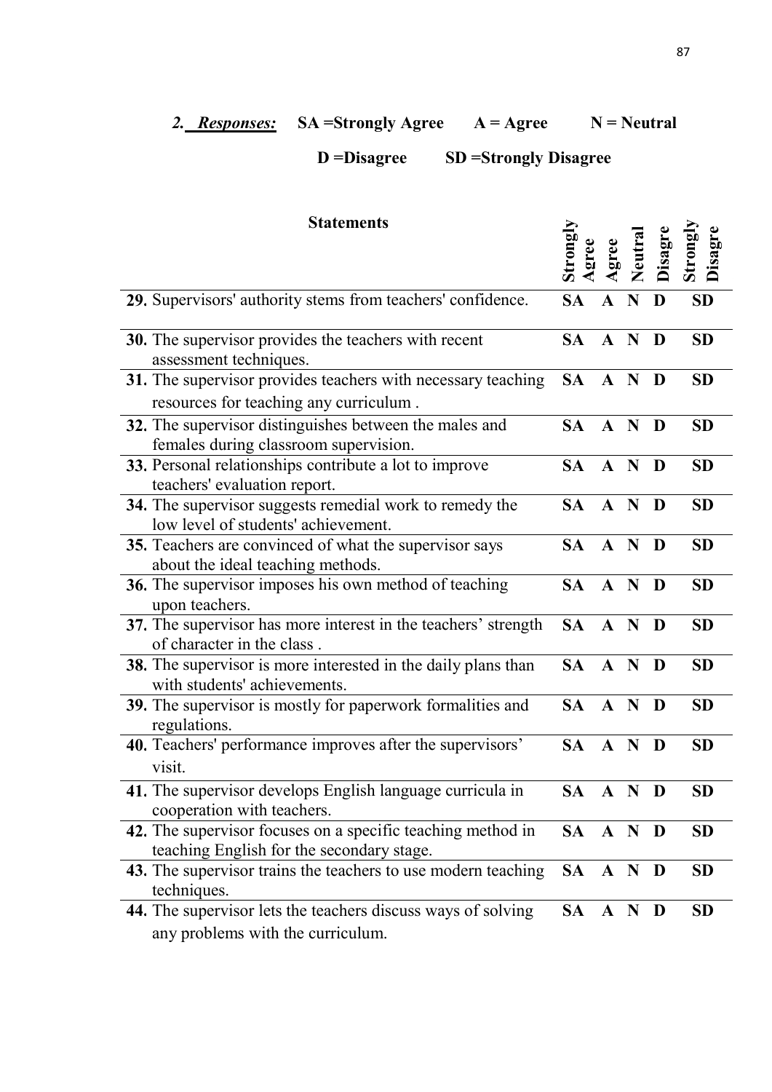## 2. **Responses:** SA =Strongly Agree A = Agree N = Neutral

# **D =Disagree SD =Strongly Disagree**

| <b>Statements</b>                                                                                        |           | gree         | Neutral | Disagre | Disagre<br>Strongl |
|----------------------------------------------------------------------------------------------------------|-----------|--------------|---------|---------|--------------------|
| 29. Supervisors' authority stems from teachers' confidence.                                              | <b>SA</b> | $\mathbf A$  | N       | D       | <b>SD</b>          |
| 30. The supervisor provides the teachers with recent<br>assessment techniques.                           | SA.       | $A \nN$      |         | D       | <b>SD</b>          |
| 31. The supervisor provides teachers with necessary teaching<br>resources for teaching any curriculum.   | SA A N    |              |         | D       | <b>SD</b>          |
| 32. The supervisor distinguishes between the males and<br>females during classroom supervision.          | SA        | A N          |         | D       | <b>SD</b>          |
| 33. Personal relationships contribute a lot to improve<br>teachers' evaluation report.                   | SA -      | A N          |         | D       | <b>SD</b>          |
| 34. The supervisor suggests remedial work to remedy the<br>low level of students' achievement.           | SA.       | A N          |         | D       | <b>SD</b>          |
| 35. Teachers are convinced of what the supervisor says<br>about the ideal teaching methods.              | SA -      | A N          |         | D       | <b>SD</b>          |
| 36. The supervisor imposes his own method of teaching<br>upon teachers.                                  | SA.       | A N          |         | D       | <b>SD</b>          |
| 37. The supervisor has more interest in the teachers' strength<br>of character in the class.             | <b>SA</b> | A N          |         | D       | <b>SD</b>          |
| 38. The supervisor is more interested in the daily plans than<br>with students' achievements.            | SA -      | A N          |         | D       | <b>SD</b>          |
| 39. The supervisor is mostly for paperwork formalities and<br>regulations.                               | <b>SA</b> | A N          |         | D       | <b>SD</b>          |
| 40. Teachers' performance improves after the supervisors'<br>visit.                                      | <b>SA</b> | $A \nN$      |         | D       | <b>SD</b>          |
| 41. The supervisor develops English language curricula in<br>cooperation with teachers.                  | <b>SA</b> | $\mathbf{A}$ | N       | D       | <b>SD</b>          |
| 42. The supervisor focuses on a specific teaching method in<br>teaching English for the secondary stage. | SA A N D  |              |         |         | <b>SD</b>          |
| 43. The supervisor trains the teachers to use modern teaching<br>techniques.                             | SA A N D  |              |         |         | <b>SD</b>          |
| 44. The supervisor lets the teachers discuss ways of solving<br>any problems with the curriculum.        | SA A N D  |              |         |         | <b>SD</b>          |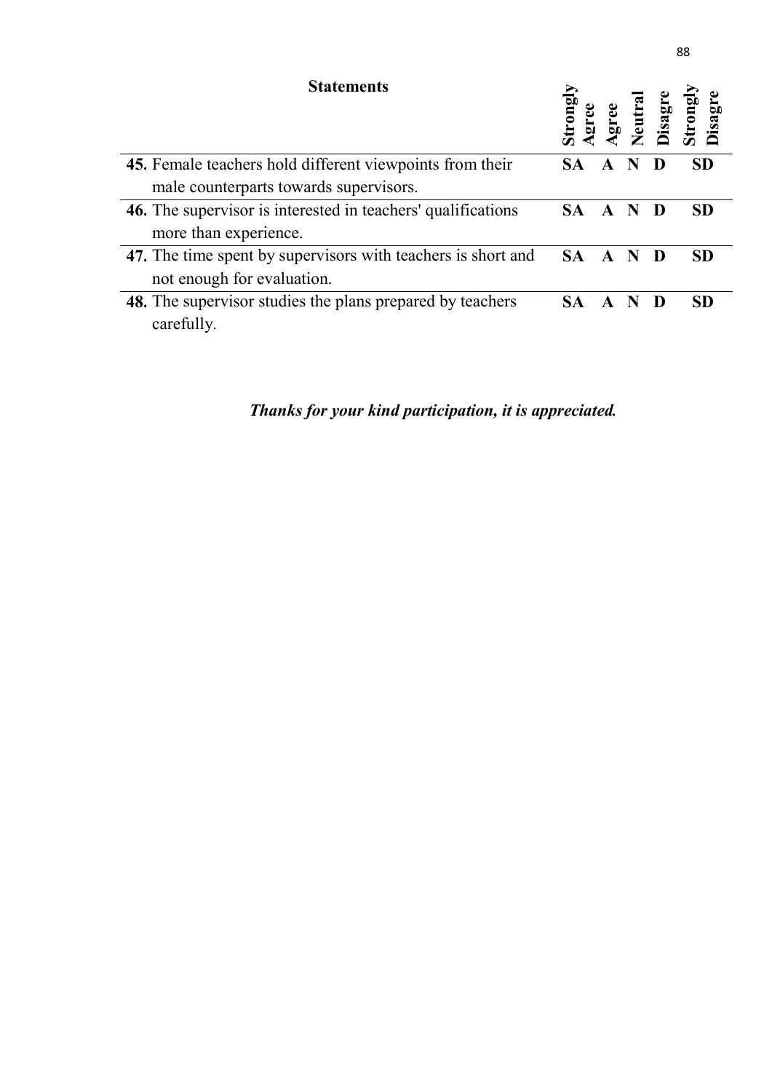| <b>Statements</b>                                            |           |             | isag | Disag     |
|--------------------------------------------------------------|-----------|-------------|------|-----------|
| 45. Female teachers hold different viewpoints from their     | <b>SA</b> | A           |      | <b>SD</b> |
| male counterparts towards supervisors.                       |           |             |      |           |
| 46. The supervisor is interested in teachers' qualifications | <b>SA</b> |             |      | <b>SD</b> |
| more than experience.                                        |           |             |      |           |
| 47. The time spent by supervisors with teachers is short and | <b>SA</b> | $\mathbf A$ |      | <b>SD</b> |
| not enough for evaluation.                                   |           |             |      |           |
| 48. The supervisor studies the plans prepared by teachers    |           |             |      | <b>SD</b> |
| carefully.                                                   |           |             |      |           |

*Thanks for your kind participation, it is appreciated.*